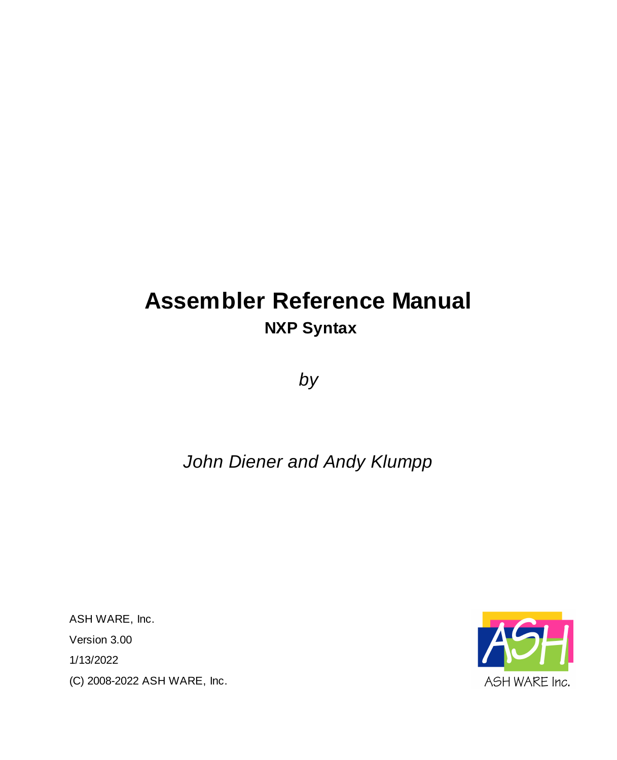# **Assembler Reference Manual NXP Syntax**

*by*

# *John Diener and Andy Klumpp*

ASH WARE, Inc. Version 3.00 1/13/2022 (C) 2008-2022 ASH WARE, Inc.

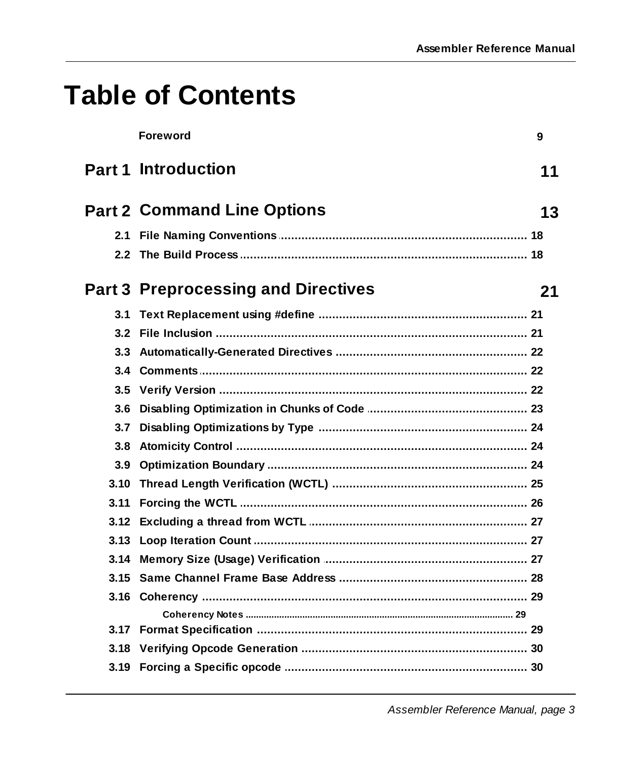# **Table of Contents**

|      | <b>Foreword</b>                      | 9  |
|------|--------------------------------------|----|
|      | Part 1 Introduction                  | 11 |
|      | <b>Part 2 Command Line Options</b>   | 13 |
|      |                                      |    |
|      |                                      |    |
|      | Part 3  Preprocessing and Directives | 21 |
| 3.1  |                                      |    |
| 3.2  |                                      |    |
| 3.3  |                                      |    |
| 3.4  |                                      |    |
| 3.5  |                                      |    |
| 3.6  |                                      |    |
| 3.7  |                                      |    |
| 3.8  |                                      |    |
| 3.9  |                                      |    |
| 3.10 |                                      |    |
| 3.11 |                                      |    |
|      |                                      |    |
|      |                                      |    |
|      |                                      |    |
| 3.15 |                                      |    |
|      |                                      |    |
|      |                                      |    |
|      |                                      |    |
| 3.18 |                                      |    |
|      |                                      |    |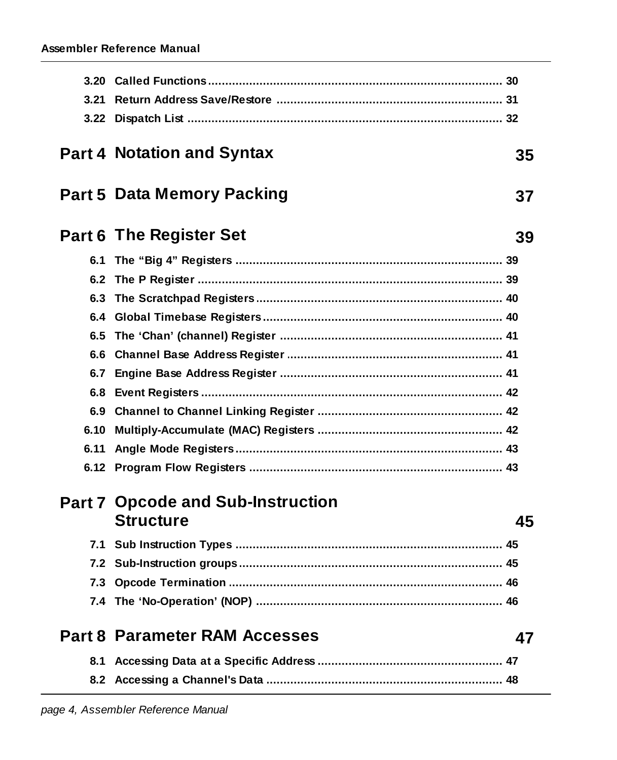| 3.20 |                                                              |    |
|------|--------------------------------------------------------------|----|
| 3.21 |                                                              |    |
| 3.22 |                                                              |    |
|      | <b>Part 4 Notation and Syntax</b>                            | 35 |
|      | <b>Part 5 Data Memory Packing</b>                            | 37 |
|      | <b>Part 6 The Register Set</b>                               | 39 |
|      |                                                              |    |
| 6.2  |                                                              |    |
| 6.3  |                                                              |    |
| 6.4  |                                                              |    |
| 6.5  |                                                              |    |
| 6.6  |                                                              |    |
| 6.7  |                                                              |    |
| 6.8  |                                                              |    |
|      |                                                              |    |
| 6.10 |                                                              |    |
| 6.11 |                                                              |    |
|      |                                                              |    |
|      | <b>Part 7 Opcode and Sub-Instruction</b><br><b>Structure</b> | 45 |
|      |                                                              |    |
|      |                                                              |    |
|      | 7.3 Opcode Termination                                       | 46 |
|      |                                                              |    |
|      | <b>Part 8 Parameter RAM Accesses</b>                         | 47 |
| 8.1  |                                                              |    |
|      |                                                              |    |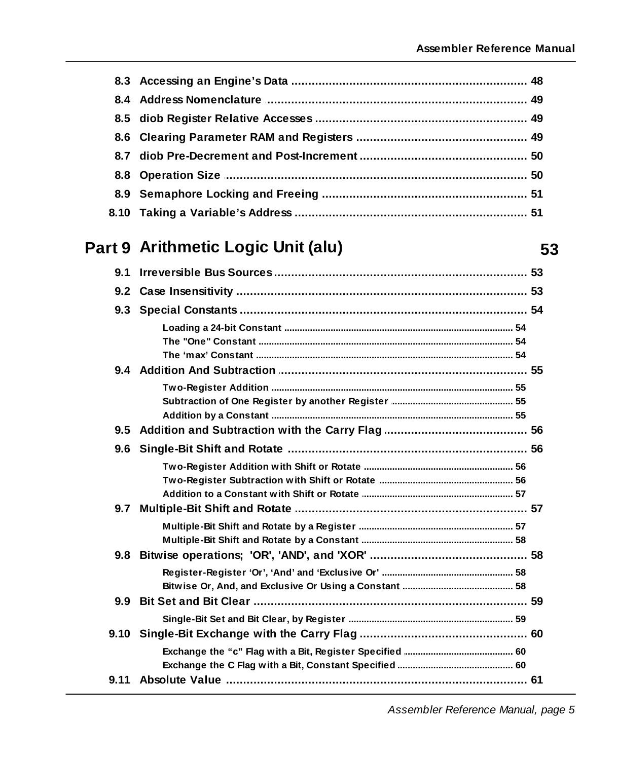53

## Part 9 Arithmetic Logic Unit (alu)

| 9.1           |  |
|---------------|--|
| $9.2^{\circ}$ |  |
|               |  |
|               |  |
|               |  |
|               |  |
|               |  |
|               |  |
|               |  |
|               |  |
| 9.5           |  |
| 9.6           |  |
|               |  |
|               |  |
|               |  |
| 9.7           |  |
|               |  |
|               |  |
| 9.8           |  |
|               |  |
|               |  |
| 9.9           |  |
|               |  |
| 9.10          |  |
|               |  |
|               |  |
|               |  |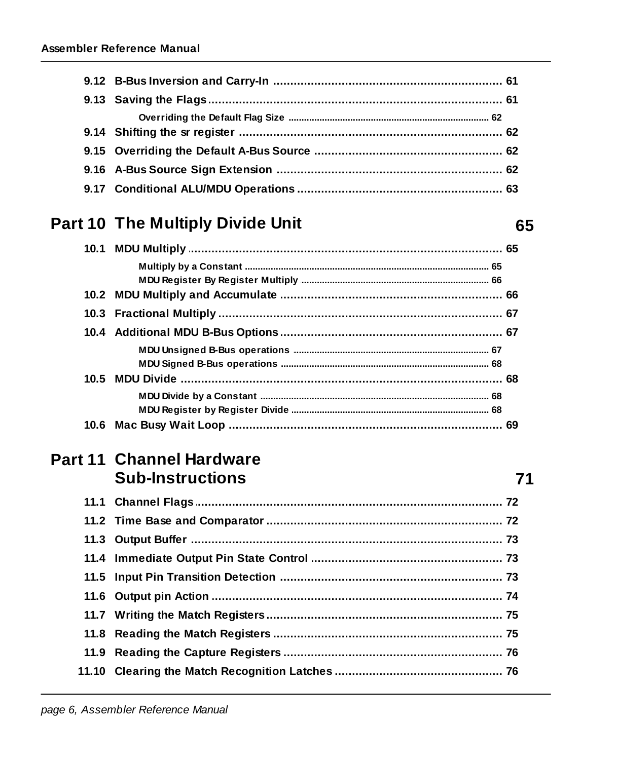## Part 10 The Multiply Divide Unit

65

 $71$ 

#### **Part 11 Channel Hardware Sub-Instructions**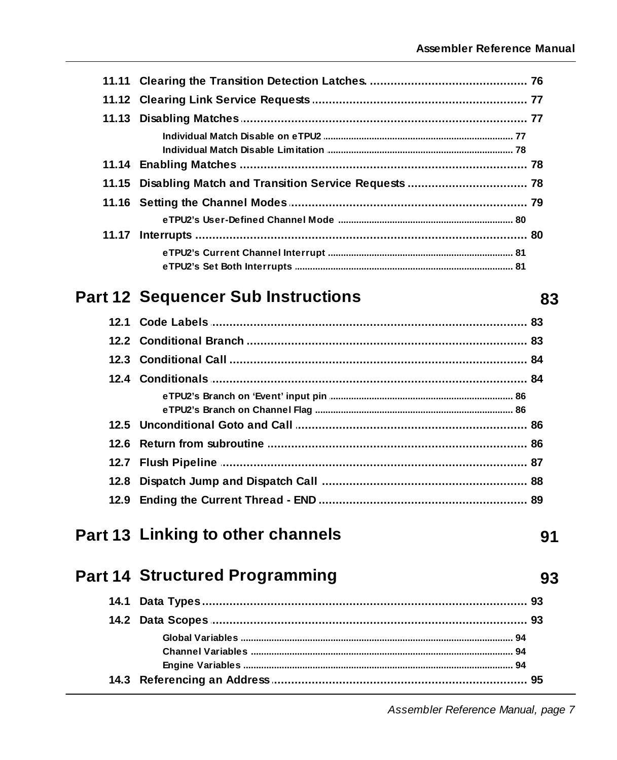#### **Part 12 Sequencer Sub Instructions**

### Part 13 Linking to other channels

**Part 14 Structured Programming** 

# 93

91

83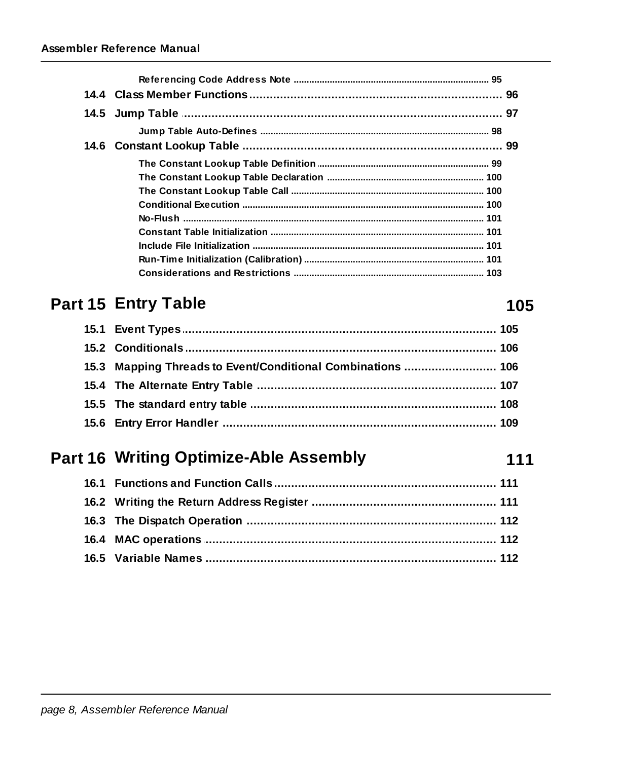## Part 15 Entry Table

| 15.3 Mapping Threads to Event/Conditional Combinations  106 |  |
|-------------------------------------------------------------|--|
|                                                             |  |
|                                                             |  |
|                                                             |  |

## Part 16 Writing Optimize-Able Assembly

#### 105

111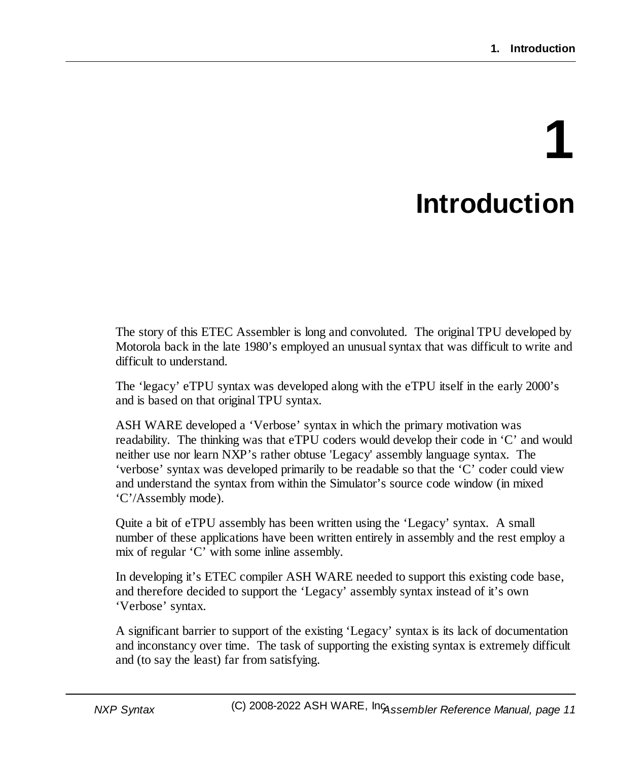# **1 Introduction**

<span id="page-10-0"></span>The story of this ETEC Assembler is long and convoluted. The original TPU developed by Motorola back in the late 1980's employed an unusualsyntax that was difficult to write and difficult to understand.

The 'legacy' eTPU syntax was developed along with the eTPU itself in the early 2000's and is based on that original TPU syntax.

ASH WARE developed a 'Verbose' syntax in which the primary motivation was readability. The thinking was that eTPU coders would develop their code in 'C' and would neither use nor learn NXP's rather obtuse 'Legacy' assembly language syntax. The 'verbose' syntax was developed primarily to be readable so that the 'C' coder could view and understand the syntax from within the Simulator's source code window (in mixed 'C'/Assembly mode).

Quite a bit of eTPU assembly has been written using the 'Legacy' syntax. A small number of these applications have been written entirely in assembly and the rest employ a mix of regular 'C' with some inline assembly.

In developing it's ETEC compiler ASH WARE needed to support this existing code base, and therefore decided to support the 'Legacy' assembly syntax instead of it's own 'Verbose' syntax.

A significant barrier to support of the existing 'Legacy' syntax is its lack of documentation and inconstancy over time. The task of supporting the existing syntax is extremely difficult and (to say the least) far from satisfying.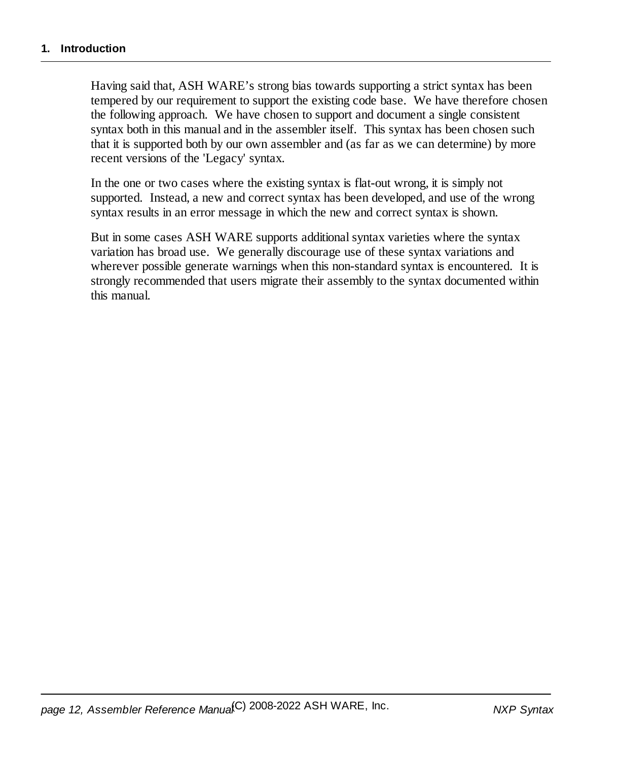Having said that, ASH WARE's strong bias towards supporting a strict syntax has been tempered by our requirement to support the existing code base. We have therefore chosen the following approach. We have chosen to support and document a single consistent syntax both in this manual and in the assembler itself. This syntax has been chosen such that it is supported both by our own assembler and (as far as we can determine) by more recent versions of the 'Legacy' syntax.

In the one or two cases where the existing syntax is flat-out wrong, it is simply not supported. Instead, a new and correct syntax has been developed, and use of the wrong syntax results in an error message in which the new and correct syntax is shown.

But in some cases ASH WARE supports additionalsyntax varieties where the syntax variation has broad use. We generally discourage use of these syntax variations and wherever possible generate warnings when this non-standard syntax is encountered. It is strongly recommended that users migrate their assembly to the syntax documented within this manual.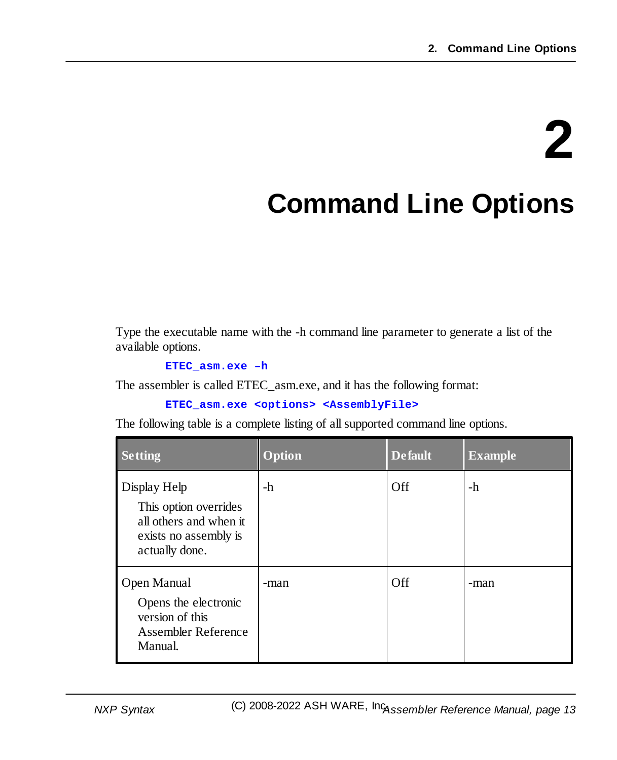# **2**

# <span id="page-12-0"></span>**Command Line Options**

Type the executable name with the -h command line parameter to generate a list of the available options.

**ETEC\_asm.exe –h**

The assembler is called ETEC\_asm.exe, and it has the following format:

```
ETEC_asm.exe <options> <AssemblyFile>
```
The following table is a complete listing of allsupported command line options.

| <b>Setting</b>                                                                                             | <b>Option</b> | <b>Default</b> | <b>Example</b> |
|------------------------------------------------------------------------------------------------------------|---------------|----------------|----------------|
| Display Help<br>This option overrides<br>all others and when it<br>exists no assembly is<br>actually done. | -h            | Off            | -h             |
| Open Manual<br>Opens the electronic<br>version of this<br>Assembler Reference<br>Manual.                   | -man          | Off            | -man           |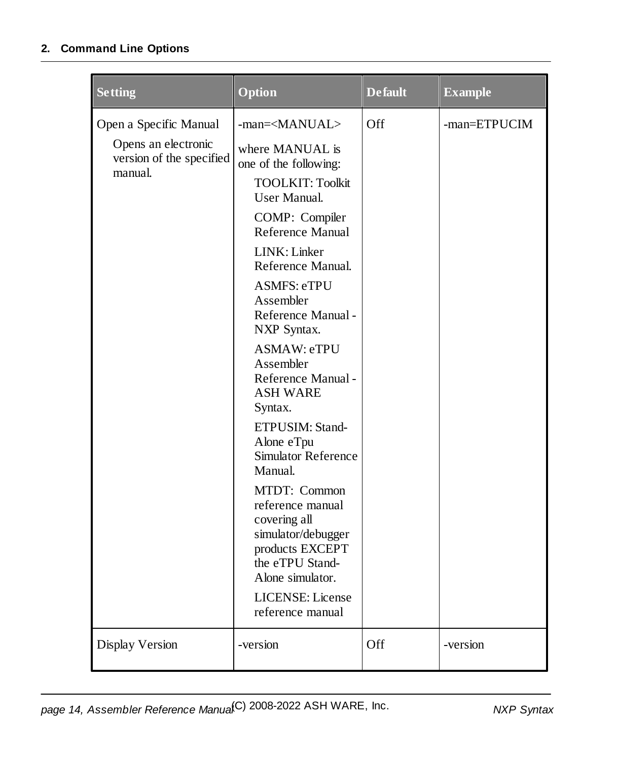| <b>Setting</b>                                                                       | Option                                                                                                                                                                                                                                                                                                                                                                                                                                                                                                                                                                                                                                              | <b>Default</b> | <b>Example</b> |
|--------------------------------------------------------------------------------------|-----------------------------------------------------------------------------------------------------------------------------------------------------------------------------------------------------------------------------------------------------------------------------------------------------------------------------------------------------------------------------------------------------------------------------------------------------------------------------------------------------------------------------------------------------------------------------------------------------------------------------------------------------|----------------|----------------|
| Open a Specific Manual<br>Opens an electronic<br>version of the specified<br>manual. | -man= <manual><br/>where MANUAL is<br/>one of the following:<br/><b>TOOLKIT: Toolkit</b><br/><b>User Manual.</b><br/>COMP: Compiler<br/>Reference Manual<br/>LINK: Linker<br/>Reference Manual.<br/><b>ASMFS: eTPU</b><br/>Assembler<br/>Reference Manual -<br/>NXP Syntax.<br/><b>ASMAW: eTPU</b><br/>Assembler<br/>Reference Manual -<br/><b>ASH WARE</b><br/>Syntax.<br/>ETPUSIM: Stand-<br/>Alone eTpu<br/><b>Simulator Reference</b><br/>Manual.<br/>MTDT: Common<br/>reference manual<br/>covering all<br/>simulator/debugger<br/>products EXCEPT<br/>the eTPU Stand-<br/>Alone simulator.<br/>LICENSE: License<br/>reference manual</manual> | Off            | -man=ETPUCIM   |
| Display Version                                                                      | -version                                                                                                                                                                                                                                                                                                                                                                                                                                                                                                                                                                                                                                            | Off            | -version       |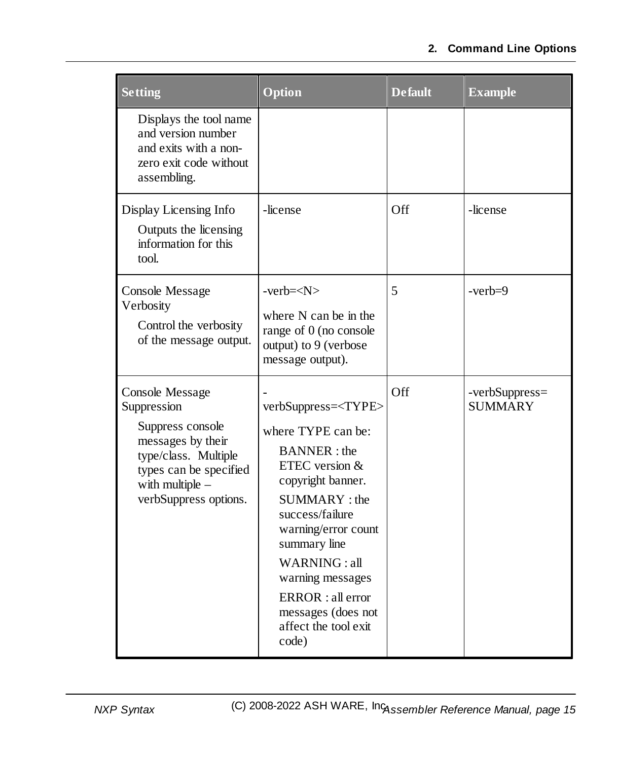| <b>Setting</b>                                                                                                                                                                 | Option                                                                                                                                                                                                                                                                                                                     | <b>Default</b> | <b>Example</b>                   |
|--------------------------------------------------------------------------------------------------------------------------------------------------------------------------------|----------------------------------------------------------------------------------------------------------------------------------------------------------------------------------------------------------------------------------------------------------------------------------------------------------------------------|----------------|----------------------------------|
| Displays the tool name<br>and version number<br>and exits with a non-<br>zero exit code without<br>assembling.                                                                 |                                                                                                                                                                                                                                                                                                                            |                |                                  |
| Display Licensing Info<br>Outputs the licensing<br>information for this<br>tool.                                                                                               | -license                                                                                                                                                                                                                                                                                                                   | Off            | -license                         |
| <b>Console Message</b><br>Verbosity<br>Control the verbosity<br>of the message output.                                                                                         | $-verb=$<br>where N can be in the<br>range of 0 (no console<br>output) to 9 (verbose<br>message output).                                                                                                                                                                                                                   | 5              | $-verb=9$                        |
| <b>Console Message</b><br>Suppression<br>Suppress console<br>messages by their<br>type/class. Multiple<br>types can be specified<br>with multiple $-$<br>verbSuppress options. | verbSuppress= <type><br/>where TYPE can be:<br/><b>BANNER</b>: the<br/>ETEC version &amp;<br/>copyright banner.<br/>SUMMARY: the<br/>success/failure<br/>warning/error count<br/>summary line<br/>WARNING: all<br/>warning messages<br/>ERROR : all error<br/>messages (does not<br/>affect the tool exit<br/>code)</type> | Off            | -verbSuppress=<br><b>SUMMARY</b> |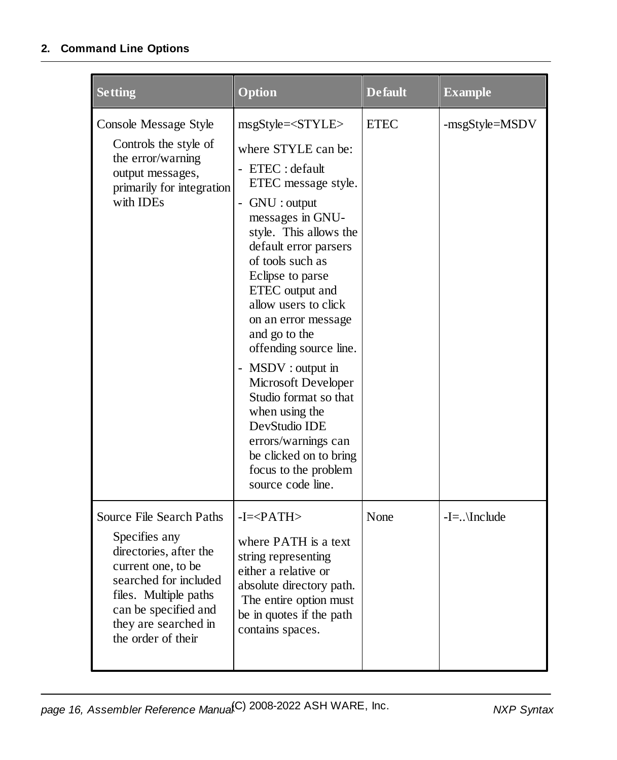| <b>Setting</b>                                                                                                                    | <b>Option</b>             | <b>Default</b> | <b>Example</b> |
|-----------------------------------------------------------------------------------------------------------------------------------|---------------------------|----------------|----------------|
| Console Message Style<br>Controls the style of<br>the error/warning<br>output messages,<br>primarily for integration<br>with IDEs | msgStyle= <style></style> |                |                |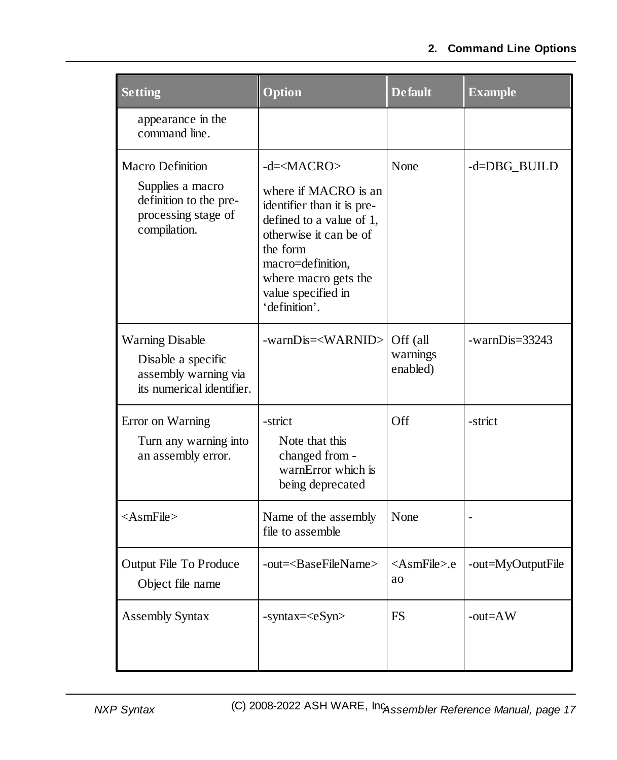| <b>Setting</b>                                                                                               | Option                                                                                                                                                                                                                         | <b>Default</b>                   | <b>Example</b>    |
|--------------------------------------------------------------------------------------------------------------|--------------------------------------------------------------------------------------------------------------------------------------------------------------------------------------------------------------------------------|----------------------------------|-------------------|
| appearance in the<br>command line.                                                                           |                                                                                                                                                                                                                                |                                  |                   |
| <b>Macro Definition</b><br>Supplies a macro<br>definition to the pre-<br>processing stage of<br>compilation. | $-d=\times$ MACRO><br>where if MACRO is an<br>identifier than it is pre-<br>defined to a value of 1,<br>otherwise it can be of<br>the form<br>macro=definition,<br>where macro gets the<br>value specified in<br>'definition'. | None                             | -d=DBG_BUILD      |
| <b>Warning Disable</b><br>Disable a specific<br>assembly warning via<br>its numerical identifier.            | -warnDis= <warnid></warnid>                                                                                                                                                                                                    | Off (all<br>warnings<br>enabled) | $-warnDis=33243$  |
| Error on Warning<br>Turn any warning into<br>an assembly error.                                              | -strict<br>Note that this<br>changed from -<br>warnError which is<br>being deprecated                                                                                                                                          | Off                              | -strict           |
| $<$ AsmFile>                                                                                                 | Name of the assembly<br>file to assemble                                                                                                                                                                                       | None                             |                   |
| <b>Output File To Produce</b><br>Object file name                                                            | -out= <basefilename></basefilename>                                                                                                                                                                                            | <asmfile>.e<br/>ao</asmfile>     | -out=MyOutputFile |
| <b>Assembly Syntax</b>                                                                                       | $-syntax = $                                                                                                                                                                                                                   | <b>FS</b>                        | $-out=AW$         |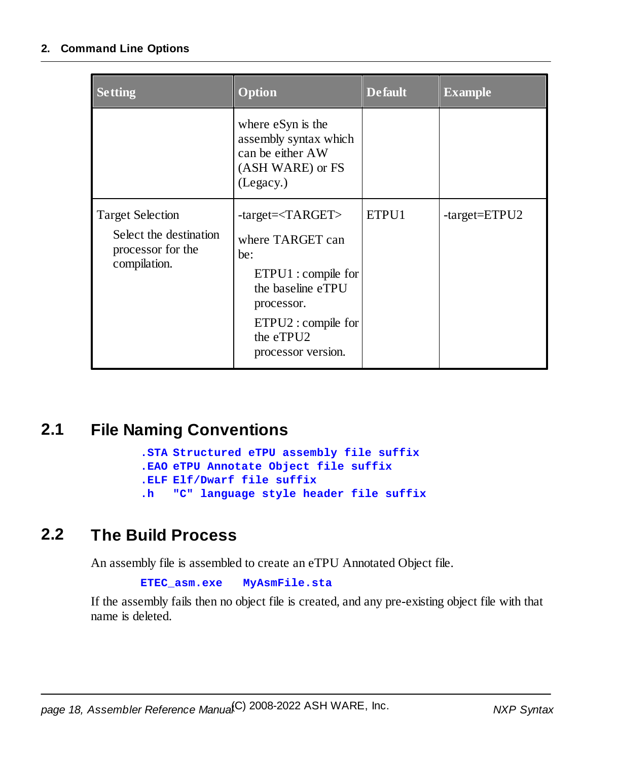| <b>Setting</b>                                                                         | <b>Option</b>                                                                                                                                                                                 | <b>Default</b> | <b>Example</b>    |
|----------------------------------------------------------------------------------------|-----------------------------------------------------------------------------------------------------------------------------------------------------------------------------------------------|----------------|-------------------|
|                                                                                        | where eSyn is the<br>assembly syntax which<br>can be either AW<br>(ASH WARE) or FS<br>(Legacy.)                                                                                               |                |                   |
| <b>Target Selection</b><br>Select the destination<br>processor for the<br>compilation. | -target= <target><br/>where TARGET can<br/>be:<br/>ETPU1 : compile for<br/>the baseline eTPU<br/>processor.<br/><math>ETPU2:</math> compile for<br/>the eTPU2<br/>processor version.</target> | ETPU1          | $-target = ETPU2$ |

#### <span id="page-17-0"></span>**2.1 File Naming Conventions**

**.STA Structured eTPU assembly file suffix .EAO eTPU Annotate Object file suffix .ELF Elf/Dwarf file suffix .h "C" language style header file suffix**

#### <span id="page-17-1"></span>**2.2 The Build Process**

An assembly file is assembled to create an eTPU Annotated Object file.

```
ETEC_asm.exe MyAsmFile.sta
```
If the assembly fails then no object file is created, and any pre-existing object file with that name is deleted.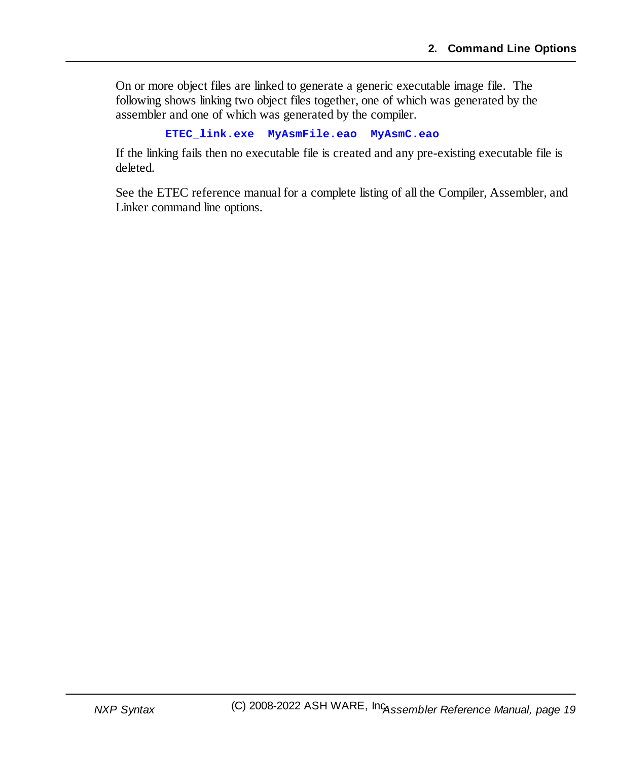On or more object files are linked to generate a generic executable image file. The following shows linking two object files together, one of which was generated by the assembler and one of which was generated by the compiler.

```
ETEC_link.exe MyAsmFile.eao MyAsmC.eao
```
If the linking fails then no executable file is created and any pre-existing executable file is deleted.

See the ETEC reference manual for a complete listing of all the Compiler, Assembler, and Linker command line options.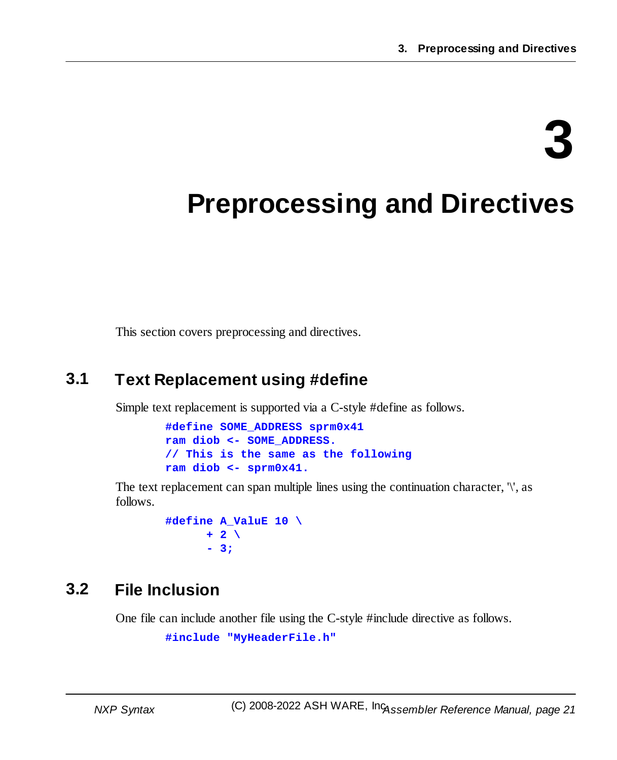# **3**

# <span id="page-20-0"></span>**Preprocessing and Directives**

This section covers preprocessing and directives.

### <span id="page-20-1"></span>**3.1 Text Replacement using #define**

Simple text replacement is supported via a C-style #define as follows.

**#define SOME\_ADDRESS sprm0x41 ram diob <- SOME\_ADDRESS. // This is the same as the following ram diob <- sprm0x41.**

The text replacement can span multiple lines using the continuation character,  $\langle \cdot \rangle$ , as follows.

```
#define A_ValuE 10 \
      + 2 \
      - 3;
```
### <span id="page-20-2"></span>**3.2 File Inclusion**

One file can include another file using the C-style #include directive as follows.

```
#include "MyHeaderFile.h"
```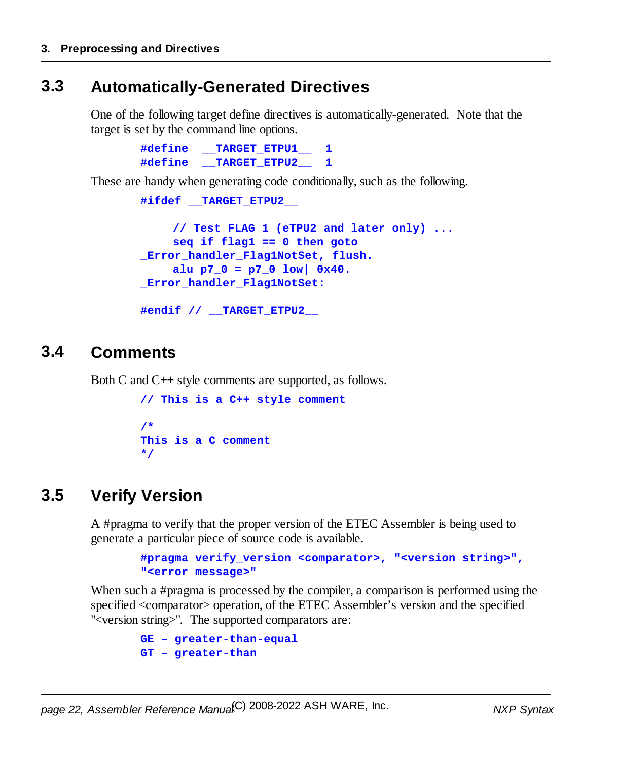#### <span id="page-21-0"></span>**3.3 Automatically-Generated Directives**

One of the following target define directives is automatically-generated. Note that the target is set by the command line options.

```
#define __TARGET_ETPU1__ 1
#define __TARGET_ETPU2__ 1
```
These are handy when generating code conditionally, such as the following.

```
#ifdef __TARGET_ETPU2__
     // Test FLAG 1 (eTPU2 and later only) ...
     seq if flag1 == 0 then goto
_Error_handler_Flag1NotSet, flush.
     alu p7_0 = p7_0 low| 0x40.
_Error_handler_Flag1NotSet:
```

```
#endif // __TARGET_ETPU2__
```
#### <span id="page-21-1"></span>**3.4 Comments**

Both C and C++ style comments are supported, as follows.

```
// This is a C++ style comment
/*
This is a C comment
*/
```
#### <span id="page-21-2"></span>**3.5 Verify Version**

A #pragma to verify that the proper version of the ETEC Assembler is being used to generate a particular piece of source code is available.

```
#pragma verify_version <comparator>, "<version string>",
"<error message>"
```
When such a #pragma is processed by the compiler, a comparison is performed using the specified <comparator> operation, of the ETEC Assembler's version and the specified "<version string>". The supported comparators are:

```
GE – greater-than-equal
GT – greater-than
```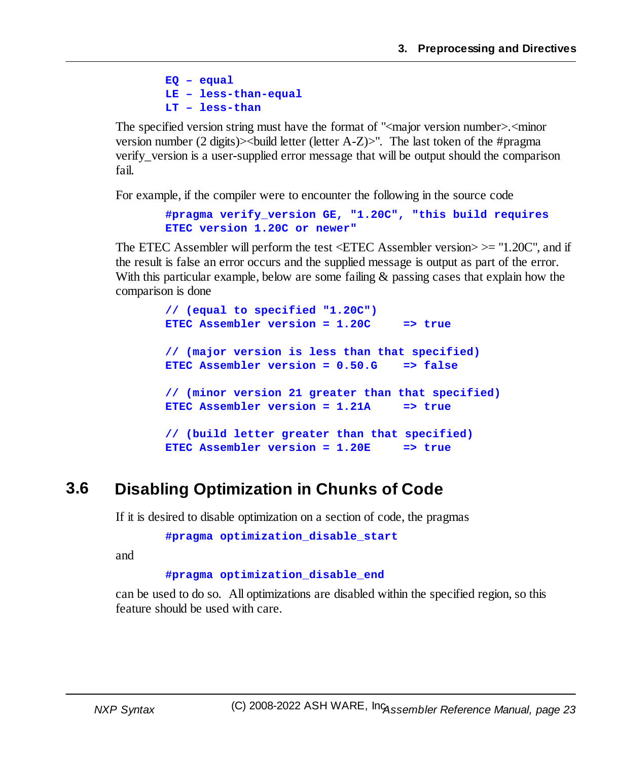**EQ – equal LE – less-than-equal LT – less-than**

The specified version string must have the format of " $\leq$  major version number $\geq$ .  $\leq$  minor version number (2 digits) $>$ build letter (letter A-Z) $>$ ". The last token of the #pragma verify\_version is a user-supplied error message that will be output should the comparison fail.

For example, if the compiler were to encounter the following in the source code

**#pragma verify\_version GE, "1.20C", "this build requires ETEC version 1.20C or newer"**

The ETEC Assembler will perform the test  $\leq$  ETEC Assembler version $\geq$  = "1.20C", and if the result is false an error occurs and the supplied message is output as part of the error. With this particular example, below are some failing & passing cases that explain how the comparison is done

```
// (equal to specified "1.20C")
ETEC Assembler version = 1.20C => true
// (major version is less than that specified)
ETEC Assembler version = 0.50.G => false
// (minor version 21 greater than that specified)
ETEC Assembler version = 1.21A => true
// (build letter greater than that specified)
ETEC Assembler version = 1.20E => true
```
#### <span id="page-22-0"></span>**3.6 Disabling Optimization in Chunks of Code**

If it is desired to disable optimization on a section of code, the pragmas

**#pragma optimization\_disable\_start**

and

**#pragma optimization\_disable\_end**

can be used to do so. All optimizations are disabled within the specified region, so this feature should be used with care.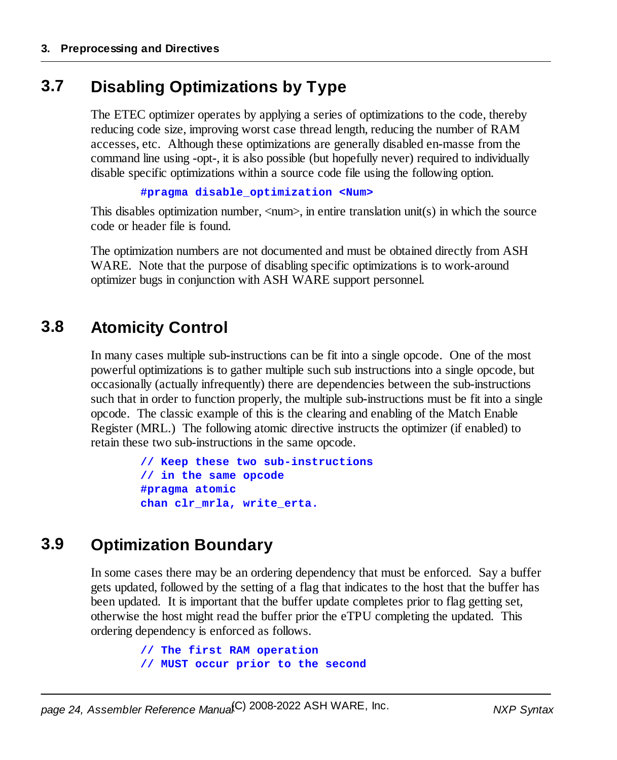#### <span id="page-23-0"></span>**3.7 Disabling Optimizations by Type**

The ETEC optimizer operates by applying a series of optimizations to the code, thereby reducing code size, improving worst case thread length, reducing the number of RAM accesses, etc. Although these optimizations are generally disabled en-masse from the command line using -opt-, it is also possible (but hopefully never) required to individually disable specific optimizations within a source code file using the following option.

```
#pragma disable_optimization <Num>
```
This disables optimization number,  $\langle$ num $\rangle$ , in entire translation unit(s) in which the source code or header file is found.

The optimization numbers are not documented and must be obtained directly from ASH WARE. Note that the purpose of disabling specific optimizations is to work-around optimizer bugs in conjunction with ASH WARE support personnel.

#### <span id="page-23-1"></span>**3.8 Atomicity Control**

In many cases multiple sub-instructions can be fit into a single opcode. One of the most powerful optimizations is to gather multiple such sub instructions into a single opcode, but occasionally (actually infrequently) there are dependencies between the sub-instructions such that in order to function properly, the multiple sub-instructions must be fit into a single opcode. The classic example of this is the clearing and enabling of the Match Enable Register (MRL.) The following atomic directive instructs the optimizer (if enabled) to retain these two sub-instructions in the same opcode.

```
// Keep these two sub-instructions
// in the same opcode
#pragma atomic
chan clr_mrla, write_erta.
```
#### <span id="page-23-2"></span>**3.9 Optimization Boundary**

In some cases there may be an ordering dependency that must be enforced. Say a buffer gets updated, followed by the setting of a flag that indicates to the host that the buffer has been updated. It is important that the buffer update completes prior to flag getting set, otherwise the host might read the buffer prior the eTPU completing the updated. This ordering dependency is enforced as follows.

```
// The first RAM operation
// MUST occur prior to the second
```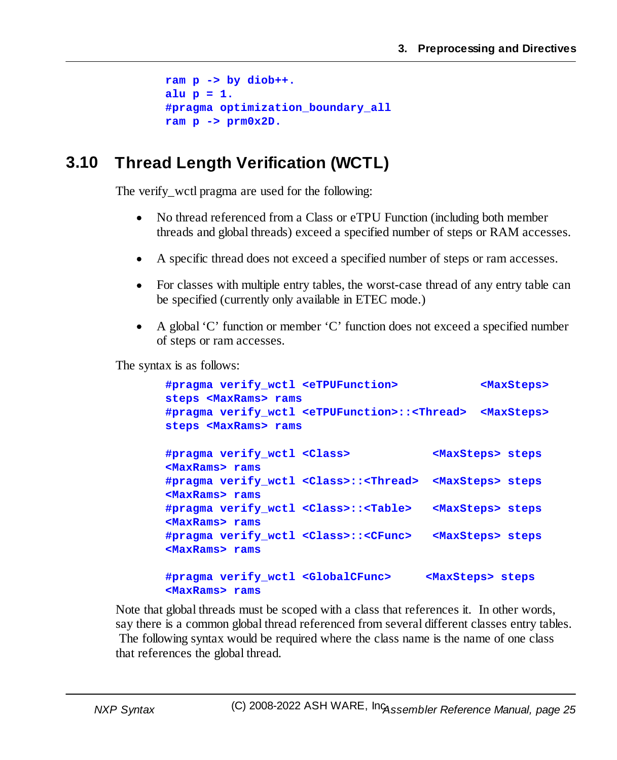```
ram p -> by diob++.
alu p = 1.
#pragma optimization_boundary_all
ram p -> prm0x2D.
```
#### <span id="page-24-0"></span>**3.10 Thread Length Verification (WCTL)**

The verify\_wctl pragma are used for the following:

- $\bullet$  No thread referenced from a Class or eTPU Function (including both member threads and global threads) exceed a specified number of steps or RAM accesses.
- ·A specific thread does not exceed a specified number of steps or ram accesses.
- · For classes with multiple entry tables, the worst-case thread of any entry table can be specified (currently only available in ETEC mode.)
- · A global 'C' function or member 'C' function does not exceed a specified number of steps or ram accesses.

The syntax is as follows:

| #pragma verify wctl <etpufunction><br/>steps <maxrams> rams</maxrams></etpufunction>                    | <maxsteps></maxsteps>       |
|---------------------------------------------------------------------------------------------------------|-----------------------------|
| #pragma verify wctl <etpufunction>::<thread><br/>steps <maxrams> rams</maxrams></thread></etpufunction> | <maxsteps></maxsteps>       |
| #pragma verify wctl <class><br/><maxrams> rams</maxrams></class>                                        | <maxsteps> steps</maxsteps> |
| #pragma verify wctl <class>::<thread><br/><maxrams> rams</maxrams></thread></class>                     | <maxsteps> steps</maxsteps> |
| #pragma verify wctl <class>::<table><br/><maxrams> rams</maxrams></table></class>                       | <maxsteps> steps</maxsteps> |
| #pragma verify wctl <class>::<cfunc><br/><maxrams> rams</maxrams></cfunc></class>                       | <maxsteps> steps</maxsteps> |
| #pragma verify wctl <globalcfunc><br/><maxrams> rams</maxrams></globalcfunc>                            | <maxsteps> steps</maxsteps> |

Note that global threads must be scoped with a class that references it. In other words, say there is a common global thread referenced from several different classes entry tables. The following syntax would be required where the class name is the name of one class that references the global thread.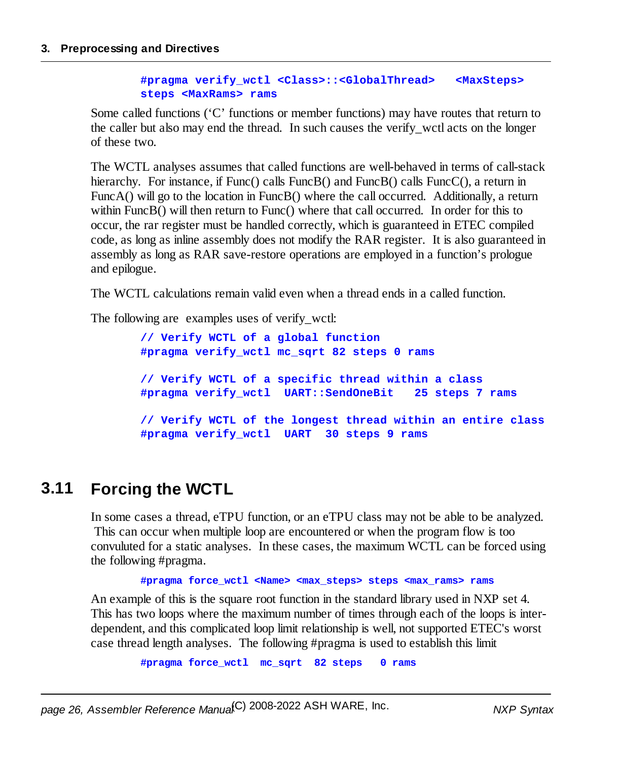#### **#pragma verify\_wctl <Class>::<GlobalThread> <MaxSteps> steps <MaxRams> rams**

Some called functions ('C' functions or member functions) may have routes that return to the caller but also may end the thread. In such causes the verify\_wctl acts on the longer of these two.

The WCTL analyses assumes that called functions are well-behaved in terms of call-stack hierarchy. For instance, if Func() calls FuncB() and FuncB() calls FuncC(), a return in FuncA() will go to the location in FuncB() where the call occurred. Additionally, a return within FuncB() will then return to Func() where that call occurred. In order for this to occur, the rar register must be handled correctly, which is guaranteed in ETEC compiled code, as long as inline assembly does not modify the RAR register. It is also guaranteed in assembly as long as RAR save-restore operations are employed in a function's prologue and epilogue.

The WCTL calculations remain valid even when a thread ends in a called function.

The following are examples uses of verify\_wctl:

**// Verify WCTL of a global function #pragma verify\_wctl mc\_sqrt 82 steps 0 rams // Verify WCTL of a specific thread within a class #pragma verify\_wctl UART::SendOneBit 25 steps 7 rams // Verify WCTL of the longest thread within an entire class #pragma verify\_wctl UART 30 steps 9 rams**

#### <span id="page-25-0"></span>**3.11 Forcing the WCTL**

In some cases a thread, eTPU function, or an eTPU class may not be able to be analyzed. This can occur when multiple loop are encountered or when the program flow is too convuluted for a static analyses. In these cases, the maximum WCTL can be forced using the following #pragma.

**#pragma force\_wctl <Name> <max\_steps> steps <max\_rams> rams**

An example of this is the square root function in the standard library used in NXP set 4. This has two loops where the maximum number of times through each of the loops is interdependent, and this complicated loop limit relationship is well, not supported ETEC's worst case thread length analyses. The following #pragma is used to establish this limit

**#pragma force\_wctl mc\_sqrt 82 steps 0 rams**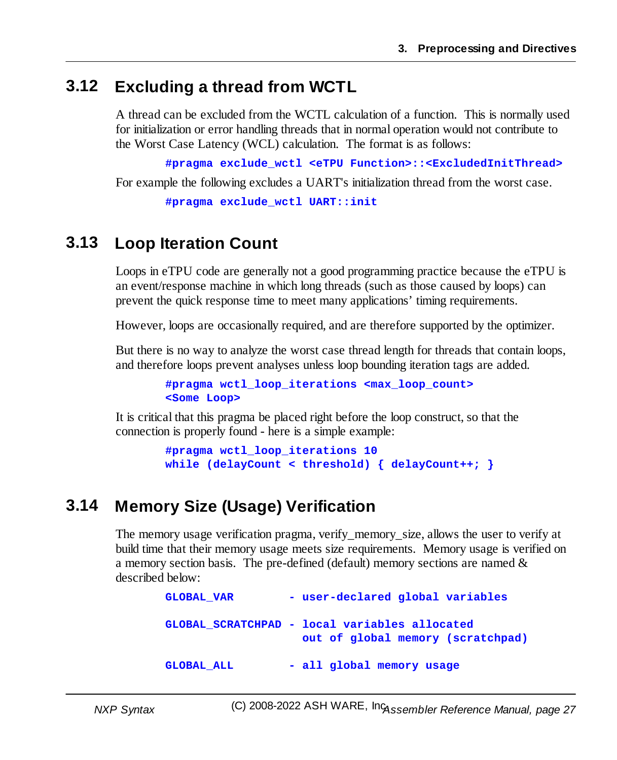#### <span id="page-26-0"></span>**3.12 Excluding a thread from WCTL**

A thread can be excluded from the WCTL calculation of a function. This is normally used for initialization or error handling threads that in normal operation would not contribute to the Worst Case Latency (WCL) calculation. The format is as follows:

**#pragma exclude\_wctl <eTPU Function>::<ExcludedInitThread>**

For example the following excludes a UART's initialization thread from the worst case.

**#pragma exclude\_wctl UART::init**

#### <span id="page-26-1"></span>**3.13 Loop Iteration Count**

Loops in eTPU code are generally not a good programming practice because the eTPU is an event/response machine in which long threads (such as those caused by loops) can prevent the quick response time to meet many applications' timing requirements.

However, loops are occasionally required, and are therefore supported by the optimizer.

But there is no way to analyze the worst case thread length for threads that contain loops, and therefore loops prevent analyses unless loop bounding iteration tags are added.

```
#pragma wctl_loop_iterations <max_loop_count>
<Some Loop>
```
It is critical that this pragma be placed right before the loop construct, so that the connection is properly found - here is a simple example:

```
#pragma wctl_loop_iterations 10
while (delayCount < threshold) { delayCount++; }
```
#### <span id="page-26-2"></span>**3.14 Memory Size (Usage) Verification**

The memory usage verification pragma, verify\_memory\_size, allows the user to verify at build time that their memory usage meets size requirements. Memory usage is verified on a memory section basis. The pre-defined (default) memory sections are named & described below:

```
GLOBAL_VAR - user-declared global variables
GLOBAL_SCRATCHPAD - local variables allocated
                  out of global memory (scratchpad)
GLOBAL_ALL - all global memory usage
```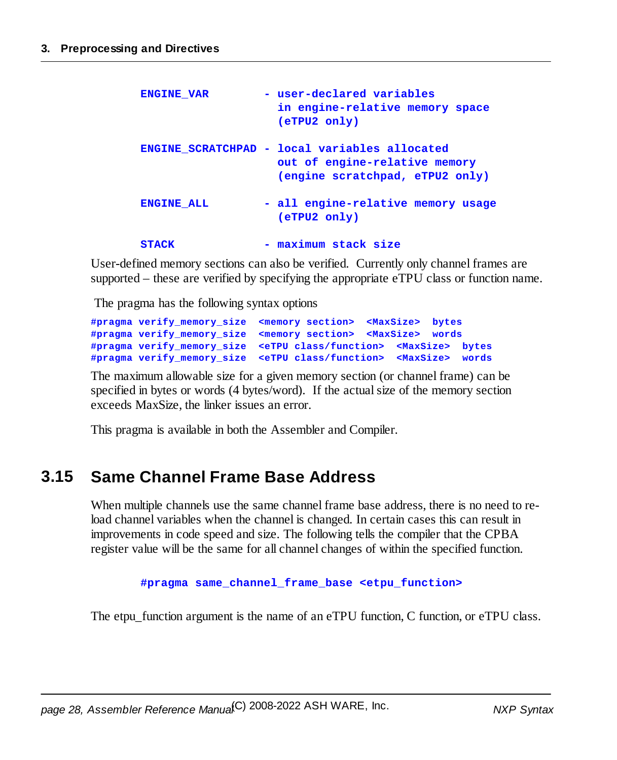| <b>ENGINE VAR</b> | - user-declared variables<br>in engine-relative memory space<br>(eTPU2 only)                                      |
|-------------------|-------------------------------------------------------------------------------------------------------------------|
|                   | ENGINE SCRATCHPAD - local variables allocated<br>out of engine-relative memory<br>(engine scratchpad, eTPU2 only) |
| <b>ENGINE ALL</b> | - all engine-relative memory usage<br>(eTPU2 only)                                                                |
| <b>STACK</b>      | - maximum stack size                                                                                              |

User-defined memory sections can also be verified. Currently only channel frames are supported – these are verified by specifying the appropriate eTPU class or function name.

The pragma has the following syntax options

```
#pragma verify_memory_size <memory section> <MaxSize> bytes
#pragma verify_memory_size <memory section> <MaxSize> words
#pragma verify_memory_size <eTPU class/function> <MaxSize> bytes
#pragma verify_memory_size <eTPU class/function> <MaxSize> words
```
The maximum allowable size for a given memory section (or channel frame) can be specified in bytes or words (4 bytes/word). If the actual size of the memory section exceeds MaxSize, the linker issues an error.

This pragma is available in both the Assembler and Compiler.

#### <span id="page-27-0"></span>**3.15 Same Channel Frame Base Address**

When multiple channels use the same channel frame base address, there is no need to reload channel variables when the channel is changed. In certain cases this can result in improvements in code speed and size. The following tells the compiler that the CPBA register value will be the same for all channel changes of within the specified function.

**#pragma same\_channel\_frame\_base <etpu\_function>**

The etpu function argument is the name of an eTPU function, C function, or eTPU class.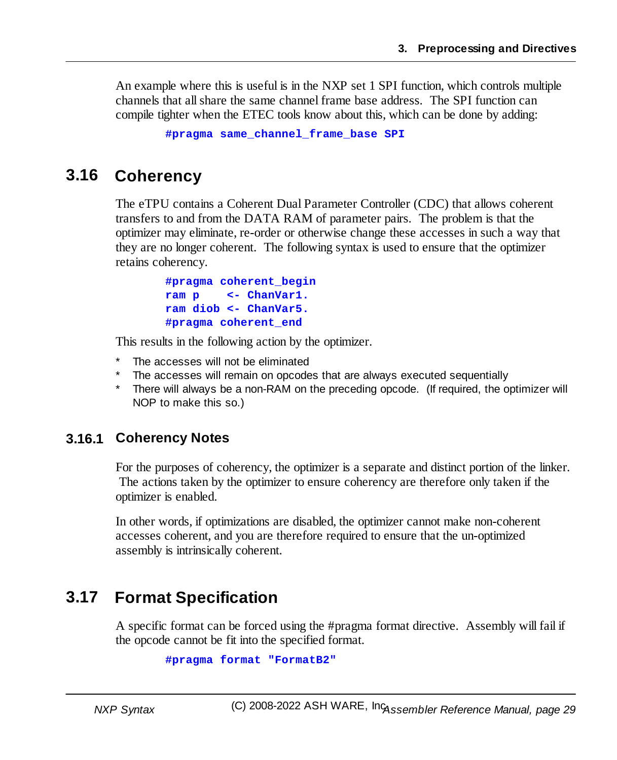An example where this is useful is in the NXP set 1 SPI function, which controls multiple channels that allshare the same channel frame base address. The SPI function can compile tighter when the ETEC tools know about this, which can be done by adding:

```
#pragma same_channel_frame_base SPI
```
#### <span id="page-28-0"></span>**3.16 Coherency**

The eTPU contains a Coherent Dual Parameter Controller (CDC) that allows coherent transfers to and from the DATA RAM of parameter pairs. The problem is that the optimizer may eliminate, re-order or otherwise change these accesses in such a way that they are no longer coherent. The following syntax is used to ensure that the optimizer retains coherency.

```
#pragma coherent_begin
ram p <- ChanVar1.
ram diob <- ChanVar5.
#pragma coherent_end
```
This results in the following action by the optimizer.

- The accesses will not be eliminated
- The accesses will remain on opcodes that are always executed sequentially
- \* There will always be a non-RAM on the preceding opcode. (If required, the optimizer will NOP to make this so.)

#### <span id="page-28-1"></span>**3.16.1 Coherency Notes**

For the purposes of coherency, the optimizer is a separate and distinct portion of the linker. The actions taken by the optimizer to ensure coherency are therefore only taken if the optimizer is enabled.

In other words, if optimizations are disabled, the optimizer cannot make non-coherent accesses coherent, and you are therefore required to ensure that the un-optimized assembly is intrinsically coherent.

#### <span id="page-28-2"></span>**3.17 Format Specification**

A specific format can be forced using the #pragma format directive. Assembly will fail if the opcode cannot be fit into the specified format.

```
#pragma format "FormatB2"
```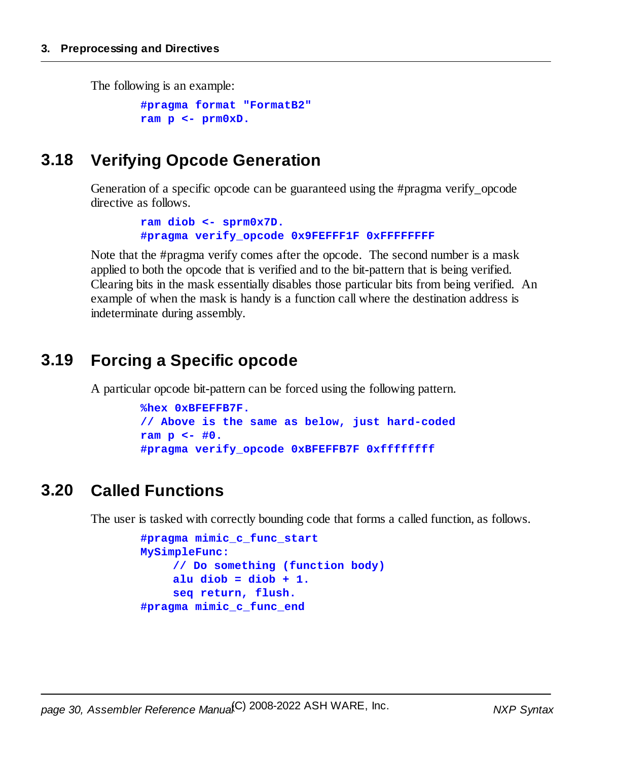The following is an example:

```
#pragma format "FormatB2"
ram p <- prm0xD.
```
#### <span id="page-29-0"></span>**3.18 Verifying Opcode Generation**

Generation of a specific opcode can be guaranteed using the #pragma verify\_opcode directive as follows.

> **ram diob <- sprm0x7D. #pragma verify\_opcode 0x9FEFFF1F 0xFFFFFFFF**

Note that the #pragma verify comes after the opcode. The second number is a mask applied to both the opcode that is verified and to the bit-pattern that is being verified. Clearing bits in the mask essentially disables those particular bits from being verified. An example of when the mask is handy is a function call where the destination address is indeterminate during assembly.

#### <span id="page-29-1"></span>**3.19 Forcing a Specific opcode**

A particular opcode bit-pattern can be forced using the following pattern.

```
%hex 0xBFEFFB7F.
// Above is the same as below, just hard-coded
ram p <- #0.
#pragma verify_opcode 0xBFEFFB7F 0xffffffff
```
#### <span id="page-29-2"></span>**3.20 Called Functions**

The user is tasked with correctly bounding code that forms a called function, as follows.

```
#pragma mimic_c_func_start
MySimpleFunc:
    // Do something (function body)
    alu diob = diob + 1.
    seq return, flush.
#pragma mimic_c_func_end
```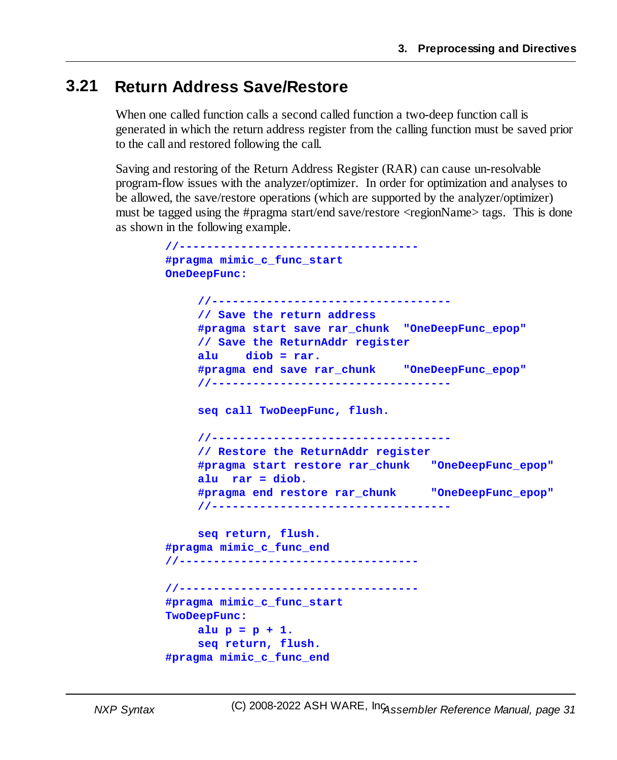#### <span id="page-30-0"></span>**3.21 Return Address Save/Restore**

When one called function calls a second called function a two-deep function call is generated in which the return address register from the calling function must be saved prior to the call and restored following the call.

Saving and restoring of the Return Address Register (RAR) can cause un-resolvable program-flow issues with the analyzer/optimizer. In order for optimization and analyses to be allowed, the save/restore operations (which are supported by the analyzer/optimizer) must be tagged using the #pragma start/end save/restore <regionName> tags. This is done as shown in the following example.

```
//-----------------------------------
#pragma mimic_c_func_start
OneDeepFunc:
    //-----------------------------------
    // Save the return address
    #pragma start save rar_chunk "OneDeepFunc_epop"
    // Save the ReturnAddr register
    alu diob = rar.
    #pragma end save rar_chunk "OneDeepFunc_epop"
    //-----------------------------------
    seq call TwoDeepFunc, flush.
    //-----------------------------------
    // Restore the ReturnAddr register
    #pragma start restore rar_chunk "OneDeepFunc_epop"
    alu rar = diob.
    #pragma end restore rar_chunk "OneDeepFunc_epop"
    //-----------------------------------
    seq return, flush.
#pragma mimic_c_func_end
//-----------------------------------
//-----------------------------------
#pragma mimic_c_func_start
TwoDeepFunc:
    alu p = p + 1.
    seq return, flush.
#pragma mimic_c_func_end
```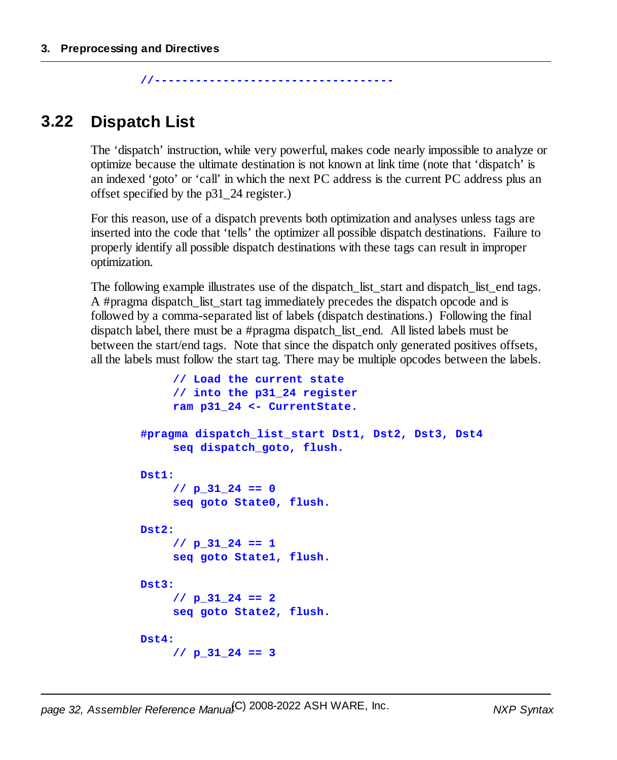**//-----------------------------------**

#### <span id="page-31-0"></span>**3.22 Dispatch List**

The 'dispatch' instruction, while very powerful, makes code nearly impossible to analyze or optimize because the ultimate destination is not known at link time (note that 'dispatch' is an indexed 'goto' or 'call' in which the next PC address is the current PC address plus an offset specified by the p31\_24 register.)

For this reason, use of a dispatch prevents both optimization and analyses unless tags are inserted into the code that 'tells' the optimizer all possible dispatch destinations. Failure to properly identify all possible dispatch destinations with these tags can result in improper optimization.

The following example illustrates use of the dispatch list start and dispatch list end tags. A #pragma dispatch list start tag immediately precedes the dispatch opcode and is followed by a comma-separated list of labels (dispatch destinations.) Following the final dispatch label, there must be a #pragma dispatch\_list\_end. All listed labels must be between the start/end tags. Note that since the dispatch only generated positives offsets, all the labels must follow the start tag. There may be multiple opcodes between the labels.

```
// Load the current state
     // into the p31_24 register
    ram p31_24 <- CurrentState.
#pragma dispatch_list_start Dst1, Dst2, Dst3, Dst4
     seq dispatch_goto, flush.
Dst1:
     // p_31_24 == 0
    seq goto State0, flush.
Dst2:
    // p_31_24 == 1
     seq goto State1, flush.
Dst3:
     // p_31_24 == 2
     seq goto State2, flush.
Dst4:
    // p_31_24 == 3
```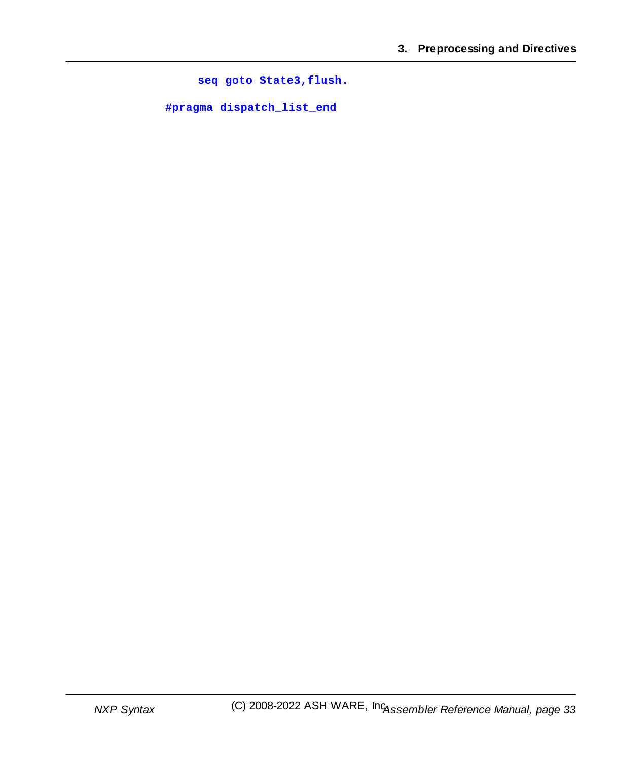**seq goto State3,flush.**

**#pragma dispatch\_list\_end**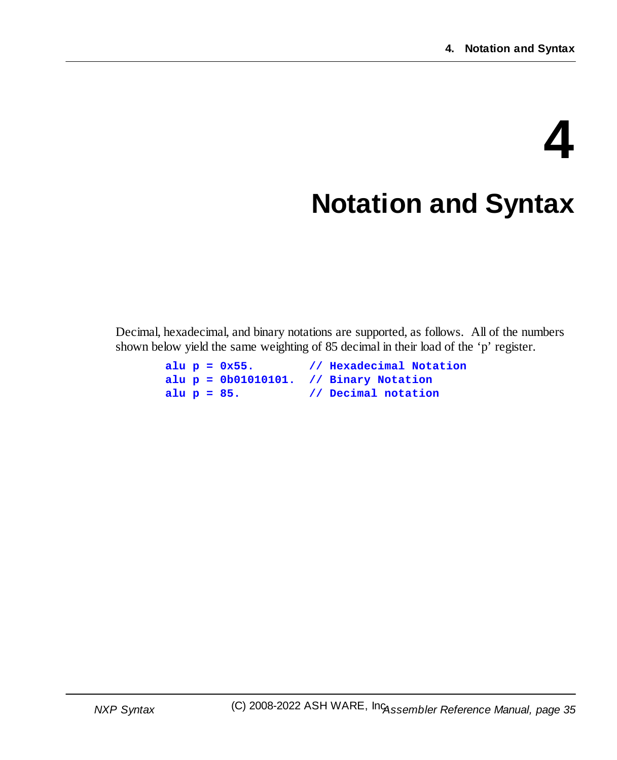# <span id="page-34-0"></span>**4 Notation and Syntax**

Decimal, hexadecimal, and binary notations are supported, as follows. All of the numbers shown below yield the same weighting of 85 decimal in their load of the 'p' register.

```
alu p = 0x55. // Hexadecimal Notation
alu p = 0b01010101. // Binary Notation
alu p = 85. // Decimal notation
```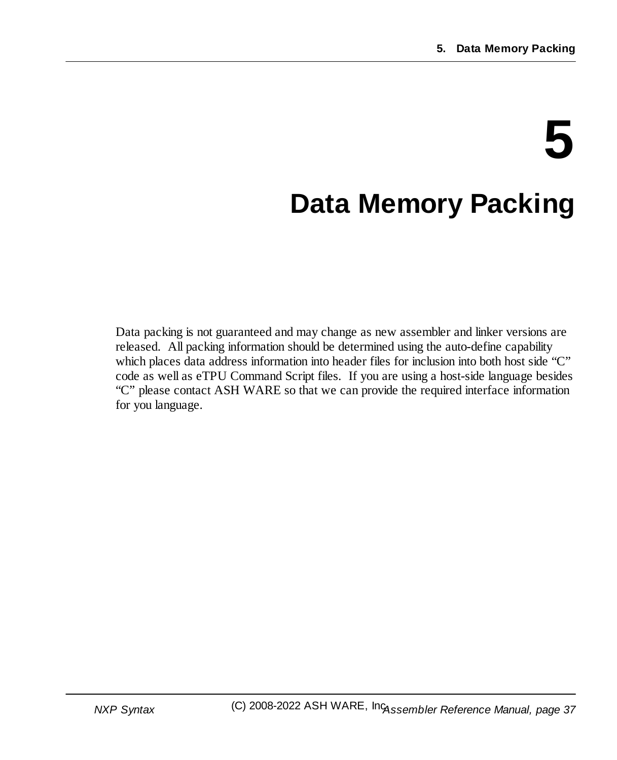# **5**

## **Data Memory Packing**

Data packing is not guaranteed and may change as new assembler and linker versions are released. All packing information should be determined using the auto-define capability which places data address information into header files for inclusion into both host side "C" code as well as eTPU Command Script files. If you are using a host-side language besides "C" please contact ASH WARE so that we can provide the required interface information for you language.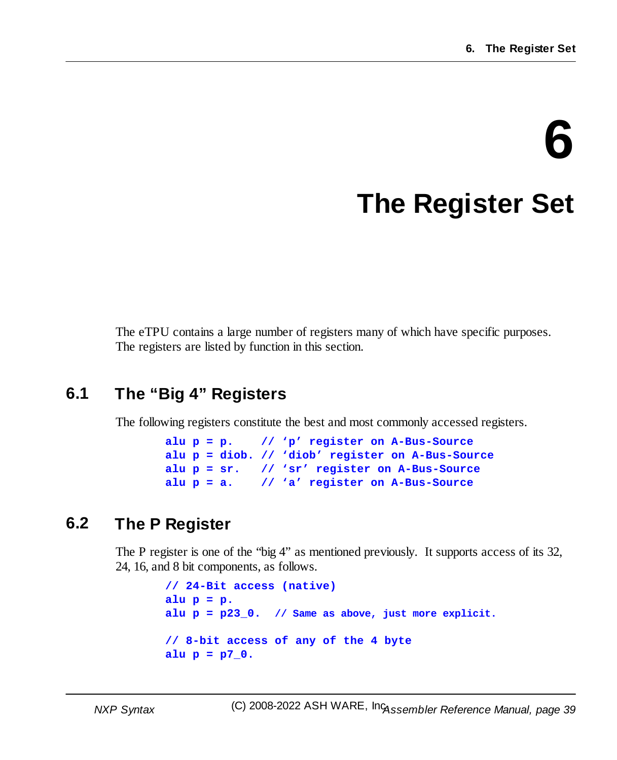# **6 The Register Set**

The eTPU contains a large number of registers many of which have specific purposes. The registers are listed by function in this section.

### **6.1 The "Big 4" Registers**

The following registers constitute the best and most commonly accessed registers.

```
alu p = p. // 'p' register on A-Bus-Source
alu p = diob. // 'diob' register on A-Bus-Source
alu p = sr. // 'sr' register on A-Bus-Source
alu p = a. // 'a' register on A-Bus-Source
```
### **6.2 The P Register**

The P register is one of the "big 4" as mentioned previously. It supports access of its 32, 24, 16, and 8 bit components, as follows.

```
// 24-Bit access (native)
alu p = p.
alu p = p23_0. // Same as above, just more explicit.
// 8-bit access of any of the 4 byte
alu p = p7_0.
```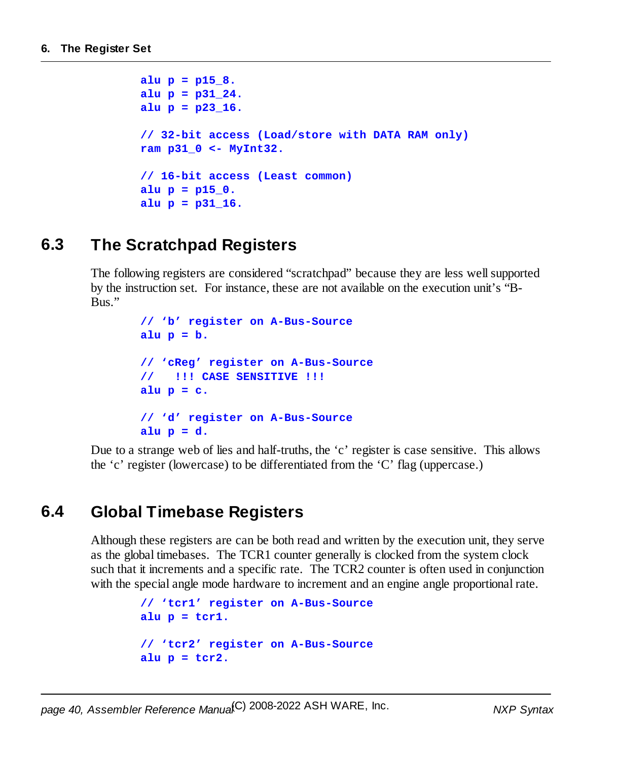```
alu p = p15_8.
alu p = p31_24.
alu p = p23_16.
// 32-bit access (Load/store with DATA RAM only)
ram p31_0 <- MyInt32.
// 16-bit access (Least common)
alu p = p15_0.
alu p = p31_16.
```
### **6.3 The Scratchpad Registers**

The following registers are considered "scratchpad" because they are less wellsupported by the instruction set. For instance, these are not available on the execution unit's "B-Bus."

```
// 'b' register on A-Bus-Source
alu p = b.
// 'cReg' register on A-Bus-Source
// !!! CASE SENSITIVE !!!
alu p = c.
// 'd' register on A-Bus-Source
alu p = d.
```
Due to a strange web of lies and half-truths, the 'c' register is case sensitive. This allows the 'c' register (lowercase) to be differentiated from the 'C' flag (uppercase.)

### **6.4 Global Timebase Registers**

Although these registers are can be both read and written by the execution unit, they serve as the global timebases. The TCR1 counter generally is clocked from the system clock such that it increments and a specific rate. The TCR2 counter is often used in conjunction with the special angle mode hardware to increment and an engine angle proportional rate.

```
// 'tcr1' register on A-Bus-Source
alu p = tcr1.
// 'tcr2' register on A-Bus-Source
alu p = tcr2.
```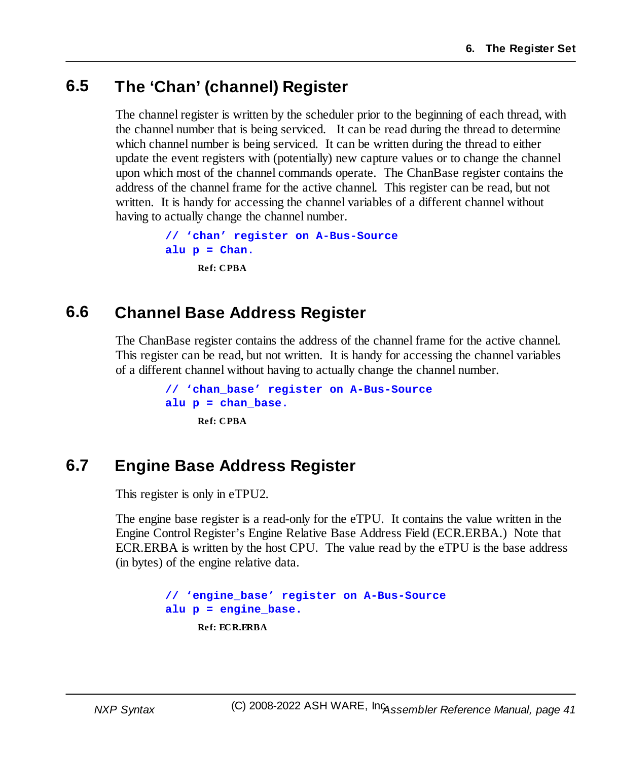### **6.5 The 'Chan' (channel) Register**

The channel register is written by the scheduler prior to the beginning of each thread, with the channel number that is being serviced. It can be read during the thread to determine which channel number is being serviced. It can be written during the thread to either update the event registers with (potentially) new capture values or to change the channel upon which most of the channel commands operate. The ChanBase register contains the address of the channel frame for the active channel. This register can be read, but not written. It is handy for accessing the channel variables of a different channel without having to actually change the channel number.

```
// 'chan' register on A-Bus-Source
alu p = Chan.
     Ref: CPBA
```
### **6.6 Channel Base Address Register**

The ChanBase register contains the address of the channel frame for the active channel. This register can be read, but not written. It is handy for accessing the channel variables of a different channel without having to actually change the channel number.

```
// 'chan_base' register on A-Bus-Source
alu p = chan_base.
     Ref: CPBA
```
### **6.7 Engine Base Address Register**

This register is only in eTPU2.

The engine base register is a read-only for the eTPU. It contains the value written in the Engine Control Register's Engine Relative Base Address Field (ECR.ERBA.) Note that ECR.ERBA is written by the host CPU. The value read by the eTPU is the base address (in bytes) of the engine relative data.

```
// 'engine_base' register on A-Bus-Source
alu p = engine_base.
    Ref: ECR.ERBA
```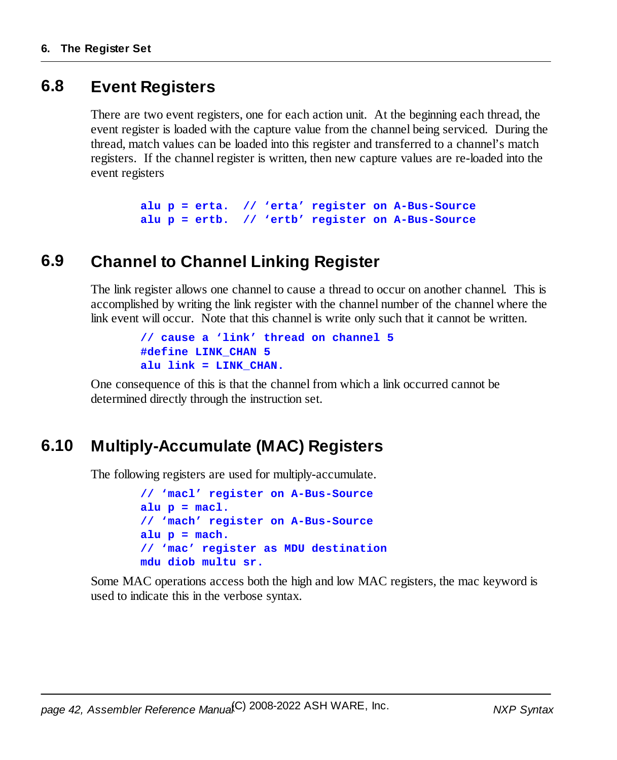### **6.8 Event Registers**

There are two event registers, one for each action unit. At the beginning each thread, the event register is loaded with the capture value from the channel being serviced. During the thread, match values can be loaded into this register and transferred to a channel's match registers. If the channel register is written, then new capture values are re-loaded into the event registers

```
alu p = erta. // 'erta' register on A-Bus-Source
alu p = ertb. // 'ertb' register on A-Bus-Source
```
### **6.9 Channel to Channel Linking Register**

The link register allows one channel to cause a thread to occur on another channel. This is accomplished by writing the link register with the channel number of the channel where the link event will occur. Note that this channel is write only such that it cannot be written.

```
// cause a 'link' thread on channel 5
#define LINK_CHAN 5
alu link = LINK_CHAN.
```
One consequence of this is that the channel from which a link occurred cannot be determined directly through the instruction set.

### **6.10 Multiply-Accumulate (MAC) Registers**

The following registers are used for multiply-accumulate.

```
// 'macl' register on A-Bus-Source
alu p = macl.
// 'mach' register on A-Bus-Source
alu p = mach.
// 'mac' register as MDU destination
mdu diob multu sr.
```
Some MAC operations access both the high and low MAC registers, the mac keyword is used to indicate this in the verbose syntax.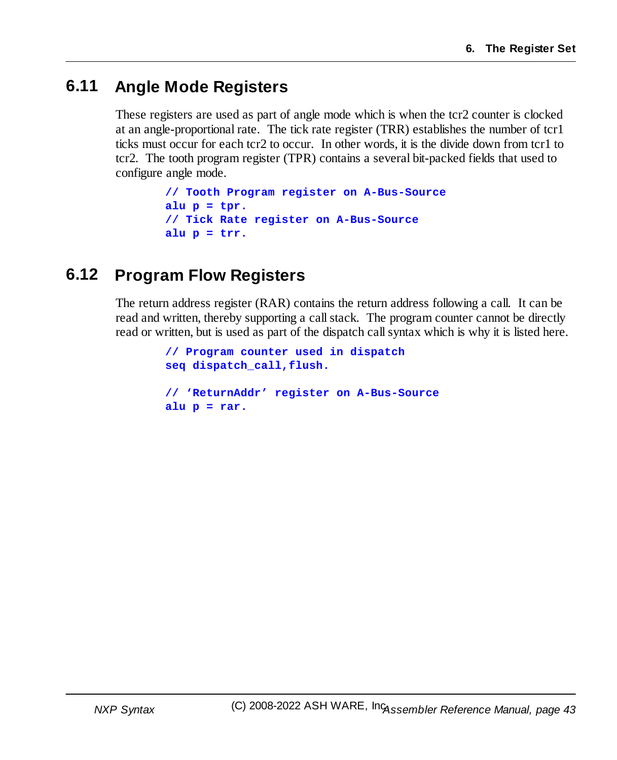### **6.11 Angle Mode Registers**

These registers are used as part of angle mode which is when the tcr2 counter is clocked at an angle-proportional rate. The tick rate register (TRR) establishes the number of tcr1 ticks must occur for each tcr2 to occur. In other words, it is the divide down from tcr1 to tcr2. The tooth program register (TPR) contains a several bit-packed fields that used to configure angle mode.

```
// Tooth Program register on A-Bus-Source
alu p = tpr.
// Tick Rate register on A-Bus-Source
alu p = trr.
```
### **6.12 Program Flow Registers**

The return address register (RAR) contains the return address following a call. It can be read and written, thereby supporting a callstack. The program counter cannot be directly read or written, but is used as part of the dispatch callsyntax which is why it is listed here.

```
// Program counter used in dispatch
seq dispatch_call,flush.
// 'ReturnAddr' register on A-Bus-Source
alu p = rar.
```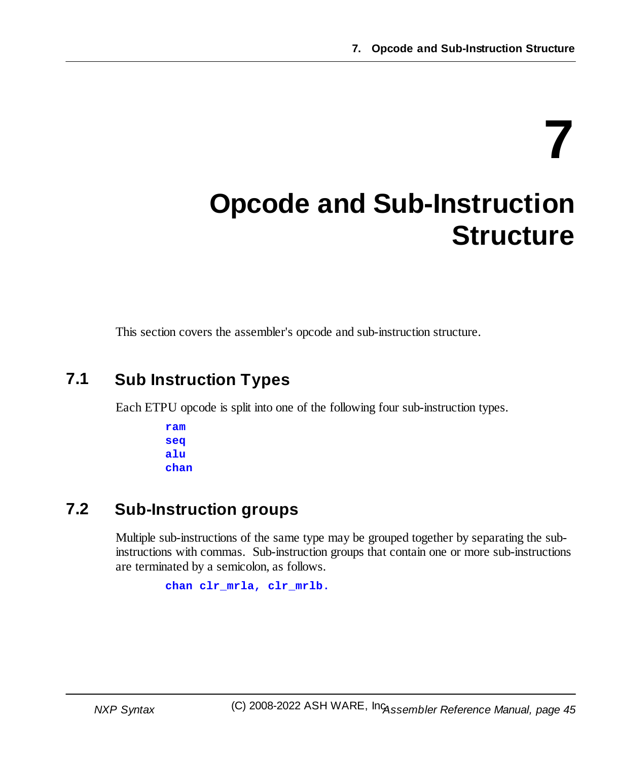**7**

## **Opcode and Sub-Instruction Structure**

This section covers the assembler's opcode and sub-instruction structure.

### **7.1 Sub Instruction Types**

Each ETPU opcode is split into one of the following four sub-instruction types.

**ram seq alu chan**

### **7.2 Sub-Instruction groups**

Multiple sub-instructions of the same type may be grouped together by separating the subinstructions with commas. Sub-instruction groups that contain one or more sub-instructions are terminated by a semicolon, as follows.

**chan clr\_mrla, clr\_mrlb.**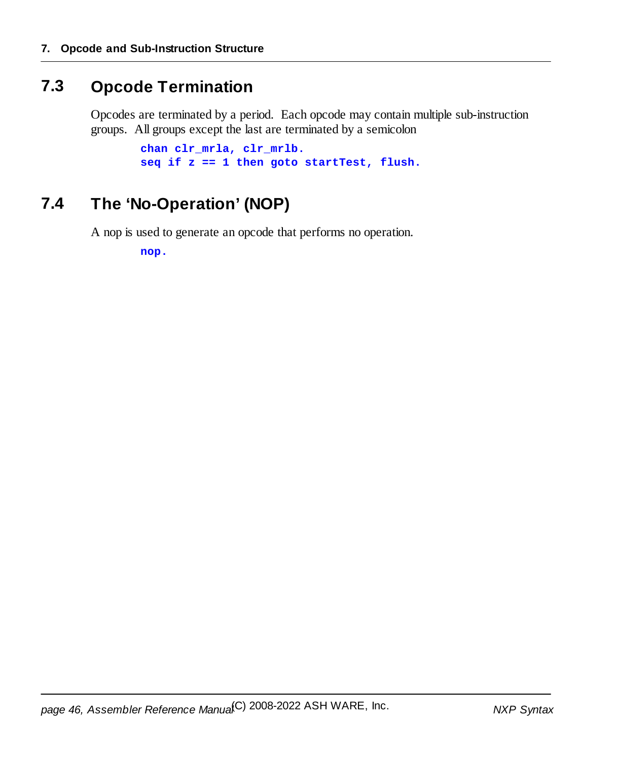### **7.3 Opcode Termination**

Opcodes are terminated by a period. Each opcode may contain multiple sub-instruction groups. All groups except the last are terminated by a semicolon

```
chan clr_mrla, clr_mrlb.
seq if z == 1 then goto startTest, flush.
```
### **7.4 The 'No-Operation' (NOP)**

A nop is used to generate an opcode that performs no operation.

**nop.**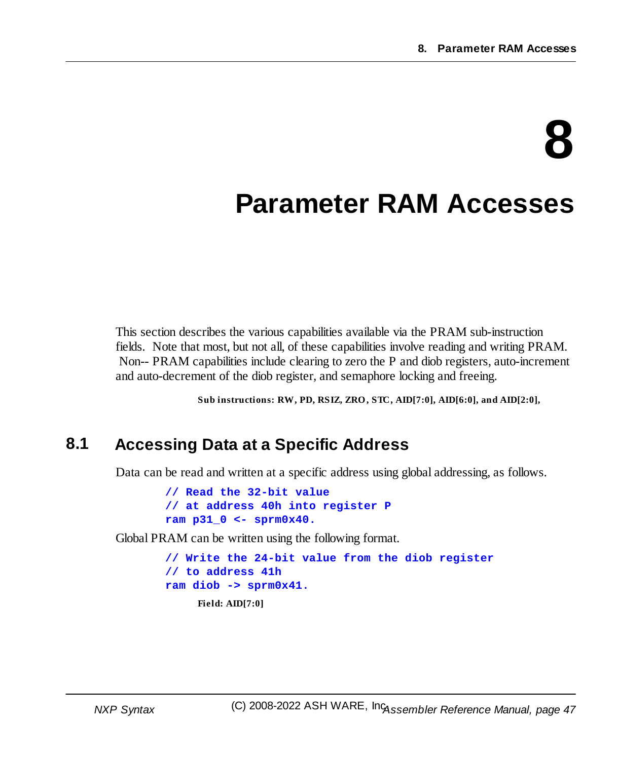# **8**

## **Parameter RAM Accesses**

This section describes the various capabilities available via the PRAM sub-instruction fields. Note that most, but not all, of these capabilities involve reading and writing PRAM. Non-- PRAM capabilities include clearing to zero the P and diob registers, auto-increment and auto-decrement of the diob register, and semaphore locking and freeing.

**Sub instructions: RW, PD, RSIZ, ZRO, STC, AID[7:0], AID[6:0], and AID[2:0],**

### **8.1 Accessing Data at a Specific Address**

Data can be read and written at a specific address using global addressing, as follows.

**// Read the 32-bit value // at address 40h into register P ram p31\_0 <- sprm0x40.**

Global PRAM can be written using the following format.

```
// Write the 24-bit value from the diob register
// to address 41h
ram diob -> sprm0x41.
     Field: AID[7:0]
```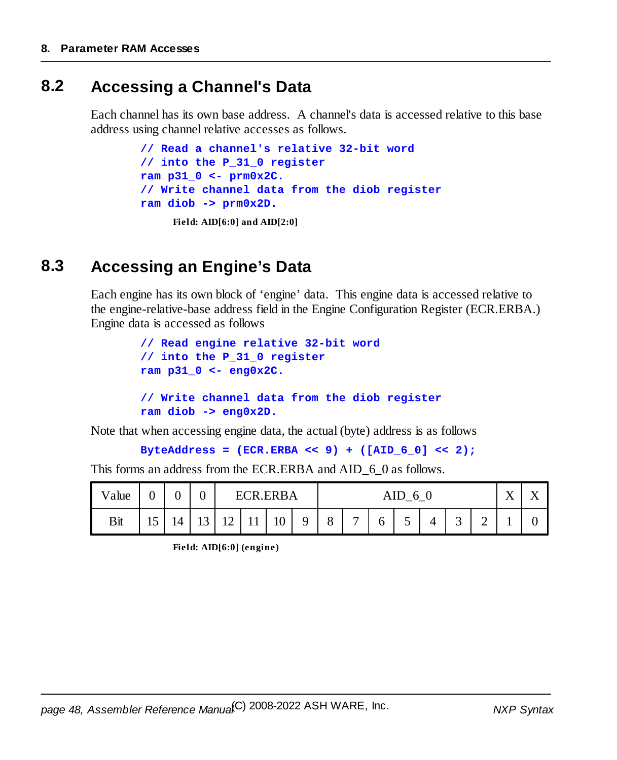### **8.2 Accessing a Channel's Data**

Each channel has its own base address. A channel's data is accessed relative to this base address using channel relative accesses as follows.

```
// Read a channel's relative 32-bit word
// into the P_31_0 register
ram p31_0 <- prm0x2C.
// Write channel data from the diob register
ram diob -> prm0x2D.
     Field: AID[6:0] and AID[2:0]
```
### **8.3 Accessing an Engine's Data**

Each engine has its own block of 'engine' data. This engine data is accessed relative to the engine-relative-base address field in the Engine Configuration Register (ECR.ERBA.) Engine data is accessed as follows

```
// Read engine relative 32-bit word
// into the P_31_0 register
ram p31_0 <- eng0x2C.
// Write channel data from the diob register
ram diob -> eng0x2D.
```
Note that when accessing engine data, the actual (byte) address is as follows

```
ByteAddress = (ECR.ERBA << 9) + ([AID_6_0] << 2);
```
This forms an address from the ECR.ERBA and AID\_6\_0 as follows.

| Value | ⌒<br>U | U  | $\rm 0$ |    | F(<br>. P | .ERBA |   | AID<br>6 |              |   |                               |   | $\mathbf{v}$<br>$\Lambda$ | $\mathbf -$ |  |  |
|-------|--------|----|---------|----|-----------|-------|---|----------|--------------|---|-------------------------------|---|---------------------------|-------------|--|--|
| Bit   | ⊥J     | 14 | 13      | 12 | 11        | 10    | Q | 8        | $\mathbf{r}$ | 6 | $\overline{\phantom{0}}$<br>ັ | 4 | $\sim$<br>ັ               | ⌒<br>∽      |  |  |

**Field: AID[6:0] (engine)**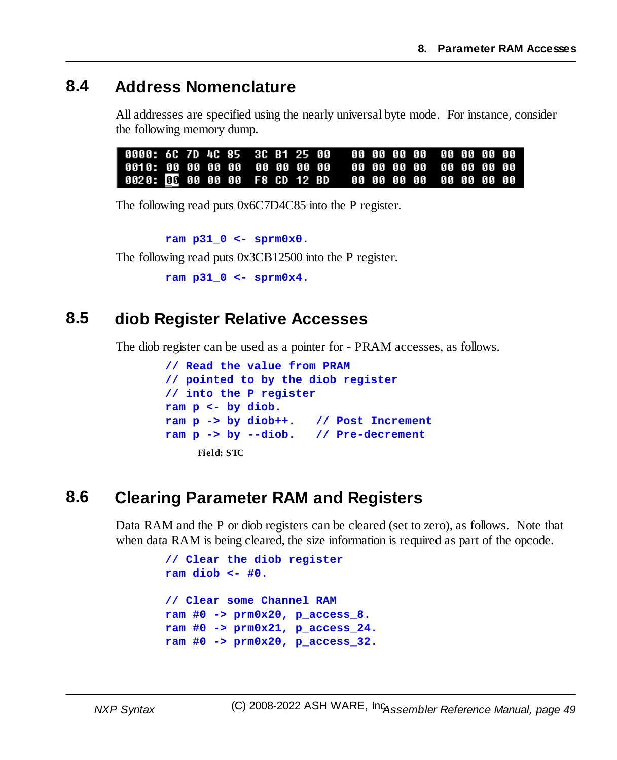### **8.4 Address Nomenclature**

All addresses are specified using the nearly universal byte mode. For instance, consider the following memory dump.

| 0000: 6C 7D 4C 85 3C B1 25 00 - 00 00 00 00 00 00 00 00 |  |  |  |  |  |  |  |  |  |
|---------------------------------------------------------|--|--|--|--|--|--|--|--|--|
|                                                         |  |  |  |  |  |  |  |  |  |
| 0020: GE 00 00 00 F8 CD 12 BD 00 00 00 00 00 00 00 00   |  |  |  |  |  |  |  |  |  |

The following read puts 0x6C7D4C85 into the P register.

**ram p31\_0 <- sprm0x0.**

The following read puts 0x3CB12500 into the P register.

```
ram p31_0 <- sprm0x4.
```
### **8.5 diob Register Relative Accesses**

The diob register can be used as a pointer for - PRAM accesses, as follows.

```
// Read the value from PRAM
// pointed to by the diob register
// into the P register
ram p <- by diob.
ram p -> by diob++. // Post Increment
ram p -> by --diob. // Pre-decrement
    Field: STC
```
### **8.6 Clearing Parameter RAM and Registers**

Data RAM and the P or diob registers can be cleared (set to zero), as follows. Note that when data RAM is being cleared, the size information is required as part of the opcode.

```
// Clear the diob register
ram diob <- #0.
// Clear some Channel RAM
ram #0 -> prm0x20, p_access_8.
ram #0 -> prm0x21, p_access_24.
ram #0 -> prm0x20, p_access_32.
```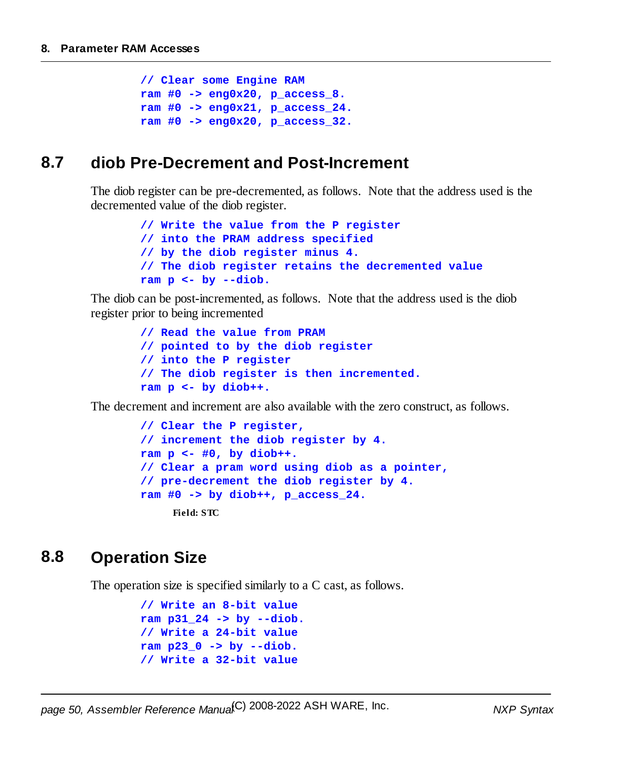```
// Clear some Engine RAM
ram #0 -> eng0x20, p_access_8.
ram #0 -> eng0x21, p_access_24.
ram #0 -> eng0x20, p_access_32.
```
### **8.7 diob Pre-Decrement and Post-Increment**

The diob register can be pre-decremented, as follows. Note that the address used is the decremented value of the diob register.

```
// Write the value from the P register
// into the PRAM address specified
// by the diob register minus 4.
// The diob register retains the decremented value
ram p <- by --diob.
```
The diob can be post-incremented, as follows. Note that the address used is the diob register prior to being incremented

```
// Read the value from PRAM
// pointed to by the diob register
// into the P register
// The diob register is then incremented.
ram p <- by diob++.
```
The decrement and increment are also available with the zero construct, as follows.

```
// Clear the P register,
// increment the diob register by 4.
ram p <- #0, by diob++.
// Clear a pram word using diob as a pointer,
// pre-decrement the diob register by 4.
ram #0 -> by diob++, p_access_24.
    Field: STC
```
### **8.8 Operation Size**

The operation size is specified similarly to a C cast, as follows.

```
// Write an 8-bit value
ram p31_24 -> by --diob.
// Write a 24-bit value
ram p23_0 -> by --diob.
// Write a 32-bit value
```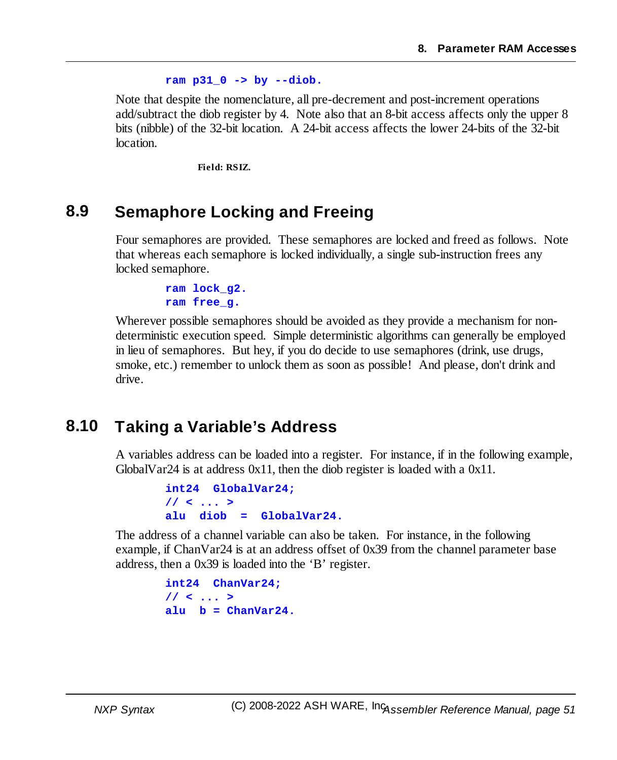### **ram p31\_0 -> by --diob.**

Note that despite the nomenclature, all pre-decrement and post-increment operations add/subtract the diob register by 4. Note also that an 8-bit access affects only the upper 8 bits (nibble) of the 32-bit location. A 24-bit access affects the lower 24-bits of the 32-bit location.

**Field: RSIZ.**

### **8.9 Semaphore Locking and Freeing**

Four semaphores are provided. These semaphores are locked and freed as follows. Note that whereas each semaphore is locked individually, a single sub-instruction frees any locked semaphore.

> **ram lock\_g2. ram free\_g.**

Wherever possible semaphores should be avoided as they provide a mechanism for nondeterministic execution speed. Simple deterministic algorithms can generally be employed in lieu of semaphores. But hey, if you do decide to use semaphores (drink, use drugs, smoke, etc.) remember to unlock them as soon as possible! And please, don't drink and drive.

### **8.10 Taking a Variable's Address**

A variables address can be loaded into a register. For instance, if in the following example, GlobalVar24 is at address 0x11, then the diob register is loaded with a 0x11.

```
int24 GlobalVar24;
// < ... >
alu diob = GlobalVar24.
```
The address of a channel variable can also be taken. For instance, in the following example, if ChanVar24 is at an address offset of 0x39 from the channel parameter base address, then a 0x39 is loaded into the 'B' register.

> **int24 ChanVar24; // < ... >**  $\mathbf{a}$ lu  $\mathbf{b} = \text{ChanVar24}.$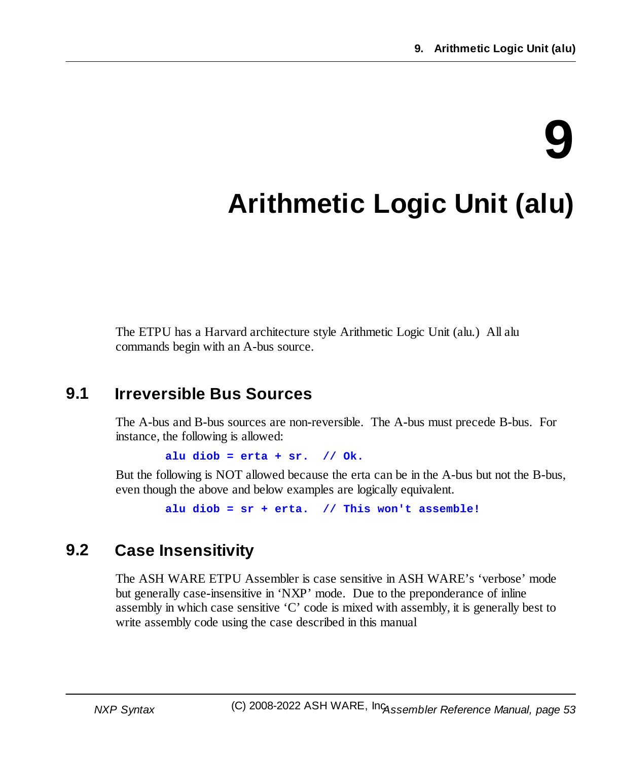# **9**

## **Arithmetic Logic Unit (alu)**

The ETPU has a Harvard architecture style Arithmetic Logic Unit (alu.) All alu commands begin with an A-bus source.

### **9.1 Irreversible Bus Sources**

The A-bus and B-bus sources are non-reversible. The A-bus must precede B-bus. For instance, the following is allowed:

**alu diob = erta + sr. // Ok.**

But the following is NOT allowed because the erta can be in the A-bus but not the B-bus, even though the above and below examples are logically equivalent.

**alu diob = sr + erta. // This won't assemble!**

### **9.2 Case Insensitivity**

The ASH WARE ETPU Assembler is case sensitive in ASH WARE's 'verbose' mode but generally case-insensitive in 'NXP' mode. Due to the preponderance of inline assembly in which case sensitive 'C' code is mixed with assembly, it is generally best to write assembly code using the case described in this manual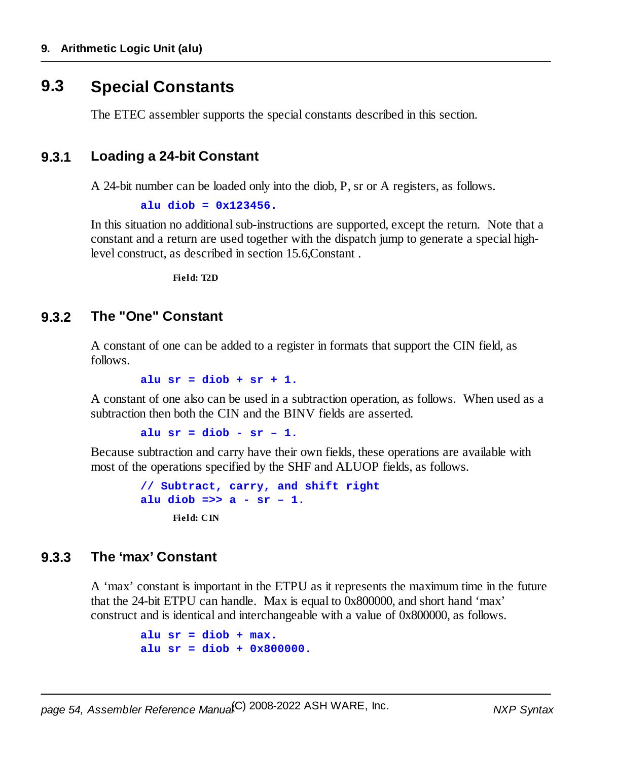### **9.3 Special Constants**

The ETEC assembler supports the special constants described in this section.

### **9.3.1 Loading a 24-bit Constant**

A 24-bit number can be loaded only into the diob, P, sr or A registers, as follows.

```
alu diob = 0x123456.
```
In this situation no additional sub-instructions are supported, except the return. Note that a constant and a return are used together with the dispatch jump to generate a special highlevel construct, as described in section 15.6,Constant .

**Field: T2D**

### **9.3.2 The "One" Constant**

A constant of one can be added to a register in formats that support the CIN field, as follows.

**alu sr = diob + sr + 1.**

A constant of one also can be used in a subtraction operation, as follows. When used as a subtraction then both the CIN and the BINV fields are asserted.

**alu sr = diob - sr – 1.**

Because subtraction and carry have their own fields, these operations are available with most of the operations specified by the SHF and ALUOP fields, as follows.

```
// Subtract, carry, and shift right
alu diob =>> a - sr – 1.
     Field: CIN
```
### **9.3.3 The 'max' Constant**

A 'max' constant is important in the ETPU as it represents the maximum time in the future that the 24-bit ETPU can handle. Max is equal to 0x800000, and short hand 'max' construct and is identical and interchangeable with a value of 0x800000, as follows.

```
alu sr = diob + max.
alu sr = diob + 0x800000.
```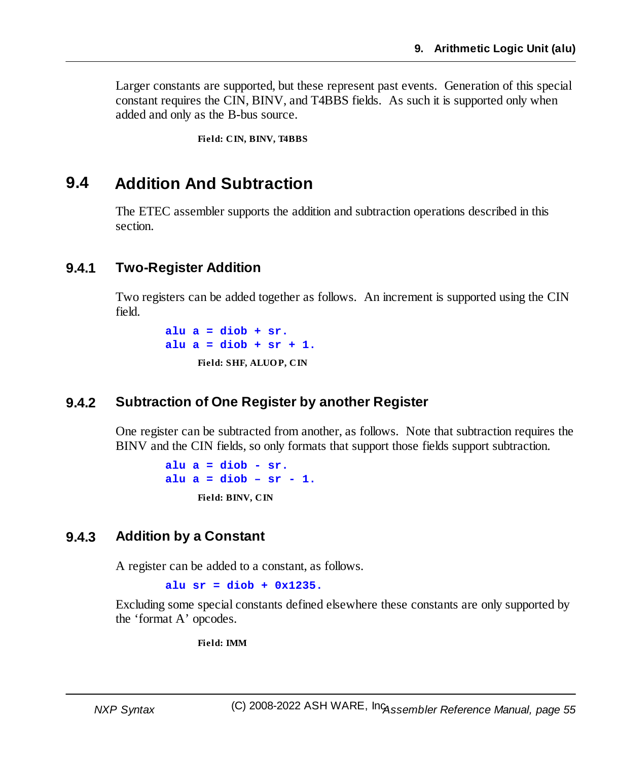Larger constants are supported, but these represent past events. Generation of this special constant requires the CIN, BINV, and T4BBS fields. As such it is supported only when added and only as the B-bus source.

**Field: CIN, BINV, T4BBS**

### **9.4 Addition And Subtraction**

The ETEC assembler supports the addition and subtraction operations described in this section.

### **9.4.1 Two-Register Addition**

Two registers can be added together as follows. An increment is supported using the CIN field.

> **alu a = diob + sr. alu a = diob + sr + 1. Field: SHF, ALUOP, CIN**

### **9.4.2 Subtraction of One Register by another Register**

One register can be subtracted from another, as follows. Note that subtraction requires the BINV and the CIN fields, so only formats that support those fields support subtraction.

> **alu a = diob - sr. alu a = diob – sr - 1. Field: BINV, CIN**

### **9.4.3 Addition by a Constant**

A register can be added to a constant, as follows.

**alu sr = diob + 0x1235.**

Excluding some special constants defined elsewhere these constants are only supported by the 'format A' opcodes.

**Field: IMM**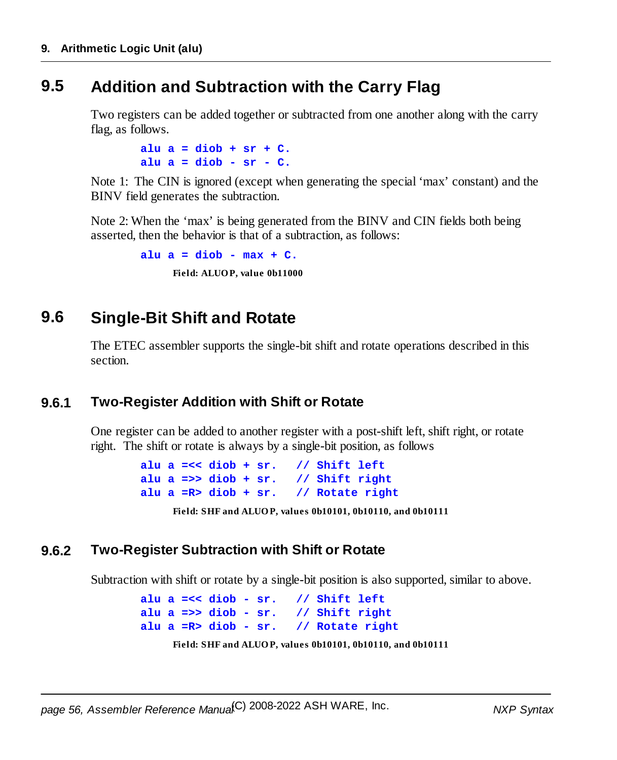### **9.5 Addition and Subtraction with the Carry Flag**

Two registers can be added together or subtracted from one another along with the carry flag, as follows.

> **alu a = diob + sr + C. alu a = diob - sr - C.**

Note 1: The CIN is ignored (except when generating the special 'max' constant) and the BINV field generates the subtraction.

Note 2: When the 'max' is being generated from the BINV and CIN fields both being asserted, then the behavior is that of a subtraction, as follows:

> **alu a = diob - max + C. Field: ALUOP, value 0b11000**

### **9.6 Single-Bit Shift and Rotate**

The ETEC assembler supports the single-bit shift and rotate operations described in this section.

### **9.6.1 Two-Register Addition with Shift or Rotate**

One register can be added to another register with a post-shift left, shift right, or rotate right. The shift or rotate is always by a single-bit position, as follows

```
alu a =<< diob + sr. // Shift left
alu a =>> diob + sr. // Shift right
alu a =R> diob + sr. // Rotate right
     Field: SHF and ALUOP, values 0b10101, 0b10110, and 0b10111
```
### **9.6.2 Two-Register Subtraction with Shift or Rotate**

Subtraction with shift or rotate by a single-bit position is also supported, similar to above.

```
alu a =<< diob - sr. // Shift left
alu a =>> diob - sr. // Shift right
alu a =R> diob - sr. // Rotate right
     Field: SHF and ALUOP, values 0b10101, 0b10110, and 0b10111
```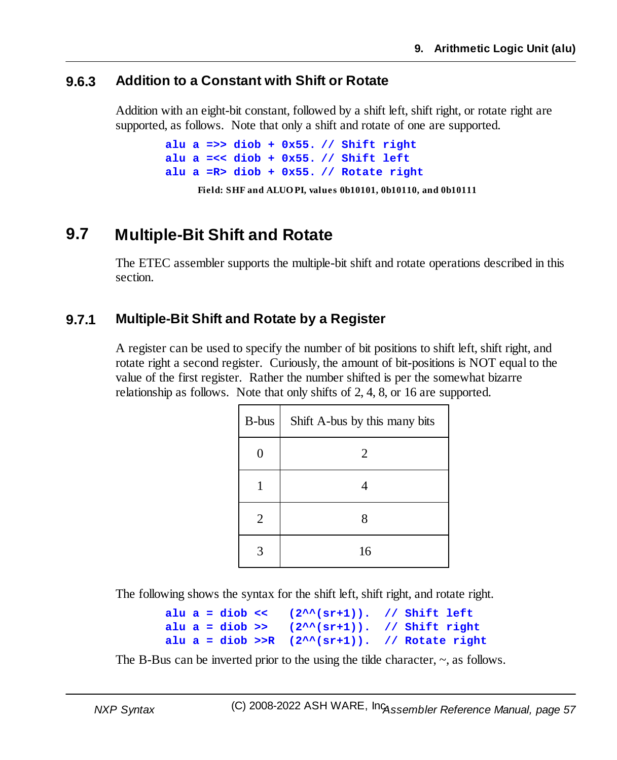### **9.6.3 Addition to a Constant with Shift or Rotate**

Addition with an eight-bit constant, followed by a shift left, shift right, or rotate right are supported, as follows. Note that only a shift and rotate of one are supported.

```
alu a =>> diob + 0x55. // Shift right
alu a =<< diob + 0x55. // Shift left
alu a =R> diob + 0x55. // Rotate right
     Field: SHF and ALUOPI, values 0b10101, 0b10110, and 0b10111
```
### **9.7 Multiple-Bit Shift and Rotate**

The ETEC assembler supports the multiple-bit shift and rotate operations described in this section.

### **9.7.1 Multiple-Bit Shift and Rotate by a Register**

A register can be used to specify the number of bit positions to shift left, shift right, and rotate right a second register. Curiously, the amount of bit-positions is NOT equal to the value of the first register. Rather the number shifted is per the somewhat bizarre relationship as follows. Note that only shifts of 2, 4, 8, or 16 are supported.

| B-bus          | Shift A-bus by this many bits |
|----------------|-------------------------------|
| 0              | 2                             |
|                |                               |
| $\overline{2}$ | 8                             |
|                | 16                            |

The following shows the syntax for the shift left, shift right, and rotate right.

**alu a = diob << (2^^(sr+1)). // Shift left alu a = diob >> (2^^(sr+1)). // Shift right alu a = diob >>R (2^^(sr+1)). // Rotate right**

The B-Bus can be inverted prior to the using the tilde character,  $\sim$ , as follows.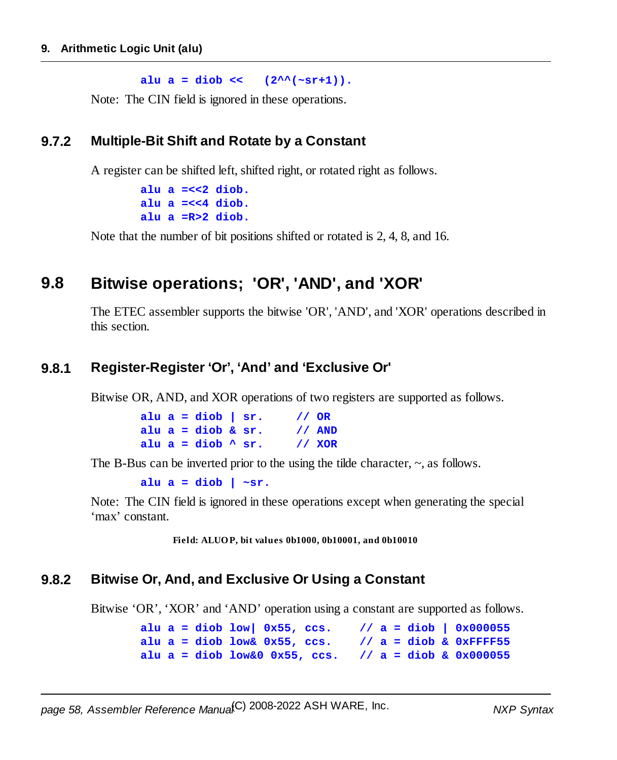$allu a = diob << (2^{\lambda\lambda}(\sim sr+1)).$ 

Note: The CIN field is ignored in these operations.

### **9.7.2 Multiple-Bit Shift and Rotate by a Constant**

A register can be shifted left, shifted right, or rotated right as follows.

```
alu a =<<2 diob.
alu a =<<4 diob.
alu a =R>2 diob.
```
Note that the number of bit positions shifted or rotated is 2, 4, 8, and 16.

### **9.8 Bitwise operations; 'OR', 'AND', and 'XOR'**

The ETEC assembler supports the bitwise 'OR', 'AND', and 'XOR' operations described in this section.

### **9.8.1 Register-Register 'Or', 'And' and 'Exclusive Or'**

Bitwise OR, AND, and XOR operations of two registers are supported as follows.

| alu $a = diob \mid sr.$  | // OR |          |
|--------------------------|-------|----------|
| alu $a =$ diob & $sr$ .  |       | $1/$ AND |
| alu a = diob $\land$ sr. |       | 11 XOR   |

The B-Bus can be inverted prior to the using the tilde character,  $\sim$ , as follows.

**alu a = diob | ~sr.**

Note: The CIN field is ignored in these operations except when generating the special 'max' constant.

**Field: ALUOP, bit values 0b1000, 0b10001, and 0b10010**

### **9.8.2 Bitwise Or, And, and Exclusive Or Using a Constant**

Bitwise 'OR', 'XOR' and 'AND' operation using a constant are supported as follows.

**alu a = diob low| 0x55, ccs. // a = diob | 0x000055 alu a = diob low& 0x55, ccs. // a = diob & 0xFFFF55 alu a = diob low&0 0x55, ccs. // a = diob & 0x000055**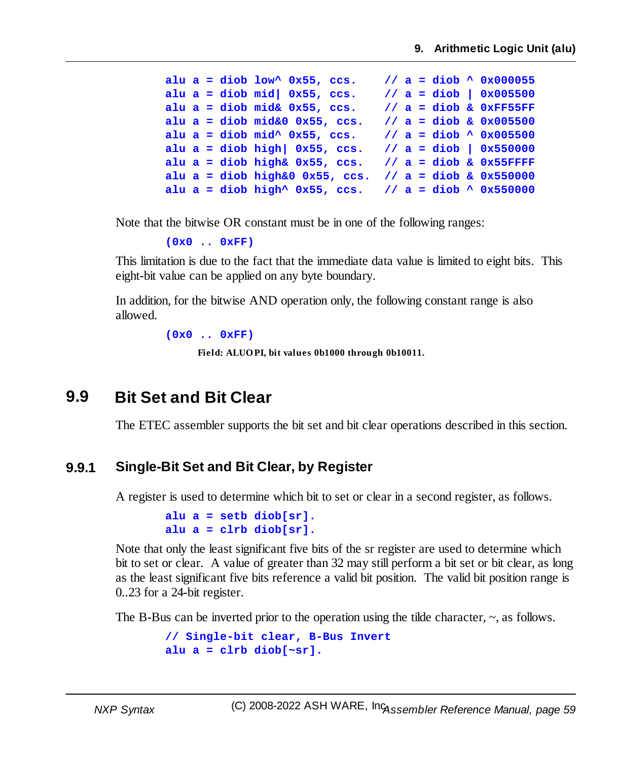```
alu a = diob low^ 0x55, ccs. // a = diob ^ 0x000055
alu a = diob mid| 0x55, ccs. // a = diob | 0x005500
alu a = diob mid& 0x55, ccs. // a = diob & 0xFF55FF
alu a = diob mid&0 0x55, ccs. // a = diob & 0x005500
alu a = diob mid^ 0x55, ccs. // a = diob ^ 0x005500
alu a = diob high| 0x55, ccs. // a = diob | 0x550000
alu a = diob high& 0x55, ccs. // a = diob & 0x55FFFF
alu a = diob high&0 0x55, ccs. // a = diob & 0x550000
alu a = diob high^ 0x55, ccs. // a = diob ^ 0x550000
```
Note that the bitwise OR constant must be in one of the following ranges:

```
(0x0 .. 0xFF)
```
This limitation is due to the fact that the immediate data value is limited to eight bits. This eight-bit value can be applied on any byte boundary.

In addition, for the bitwise AND operation only, the following constant range is also allowed.

**(0x0 .. 0xFF)**

**Field: ALUOPI, bit values 0b1000 through 0b10011.**

### **9.9 Bit Set and Bit Clear**

The ETEC assembler supports the bit set and bit clear operations described in this section.

### **9.9.1 Single-Bit Set and Bit Clear, by Register**

A register is used to determine which bit to set or clear in a second register, as follows.

```
alu a = setb diob[sr].
alu a = clrb diob[sr].
```
Note that only the least significant five bits of the sr register are used to determine which bit to set or clear. A value of greater than 32 may still perform a bit set or bit clear, as long as the least significant five bits reference a valid bit position. The valid bit position range is 0..23 for a 24-bit register.

The B-Bus can be inverted prior to the operation using the tilde character,  $\sim$ , as follows.

```
// Single-bit clear, B-Bus Invert
alu a = clrb diob[~sr].
```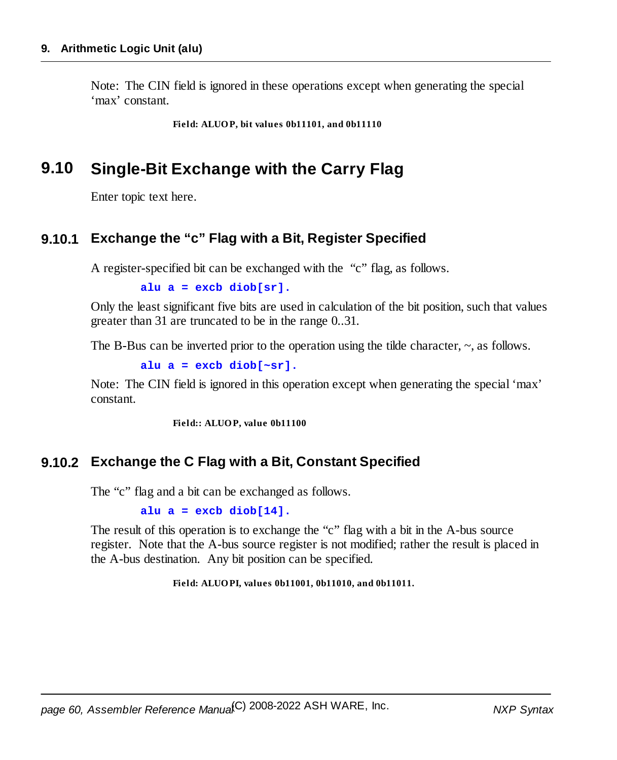Note: The CIN field is ignored in these operations except when generating the special 'max' constant.

**Field: ALUOP, bit values 0b11101, and 0b11110**

### **9.10 Single-Bit Exchange with the Carry Flag**

Enter topic text here.

### **9.10.1 Exchange the "c" Flag with a Bit, Register Specified**

A register-specified bit can be exchanged with the "c" flag, as follows.

**alu a = excb diob[sr].**

Only the least significant five bits are used in calculation of the bit position, such that values greater than 31 are truncated to be in the range 0..31.

The B-Bus can be inverted prior to the operation using the tilde character,  $\sim$ , as follows.

**alu a = excb diob[~sr].**

Note: The CIN field is ignored in this operation except when generating the special 'max' constant.

**Field:: ALUOP, value 0b11100**

### **9.10.2 Exchange the C Flag with a Bit, Constant Specified**

The "c" flag and a bit can be exchanged as follows.

**alu a = excb diob[14].**

The result of this operation is to exchange the "c" flag with a bit in the A-bus source register. Note that the A-bus source register is not modified; rather the result is placed in the A-bus destination. Any bit position can be specified.

**Field: ALUOPI, values 0b11001, 0b11010, and 0b11011.**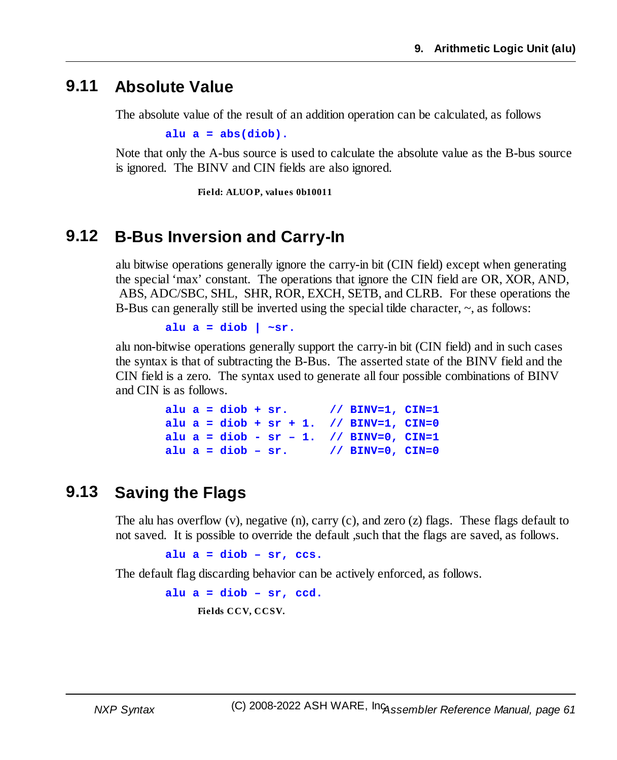### **9.11 Absolute Value**

The absolute value of the result of an addition operation can be calculated, as follows

**alu a = abs(diob).**

Note that only the A-bus source is used to calculate the absolute value as the B-bus source is ignored. The BINV and CIN fields are also ignored.

**Field: ALUOP, values 0b10011**

### **9.12 B-Bus Inversion and Carry-In**

alu bitwise operations generally ignore the carry-in bit (CIN field) except when generating the special 'max' constant. The operations that ignore the CIN field are OR, XOR, AND, ABS, ADC/SBC, SHL, SHR, ROR, EXCH, SETB, and CLRB. For these operations the B-Bus can generally still be inverted using the special tilde character,  $\sim$ , as follows:

**alu a = diob | ~sr.**

alu non-bitwise operations generally support the carry-in bit (CIN field) and in such cases the syntax is that of subtracting the B-Bus. The asserted state of the BINV field and the CIN field is a zero. The syntax used to generate all four possible combinations of BINV and CIN is as follows.

> **alu a = diob + sr. // BINV=1, CIN=1 alu a = diob + sr + 1. // BINV=1, CIN=0 alu a = diob - sr – 1. // BINV=0, CIN=1 alu a = diob – sr. // BINV=0, CIN=0**

### **9.13 Saving the Flags**

The alu has overflow (v), negative (n), carry (c), and zero (z) flags. These flags default to not saved. It is possible to override the default ,such that the flags are saved, as follows.

**alu a = diob – sr, ccs.**

The default flag discarding behavior can be actively enforced, as follows.

**alu a = diob – sr, ccd. Fields CCV, CCSV.**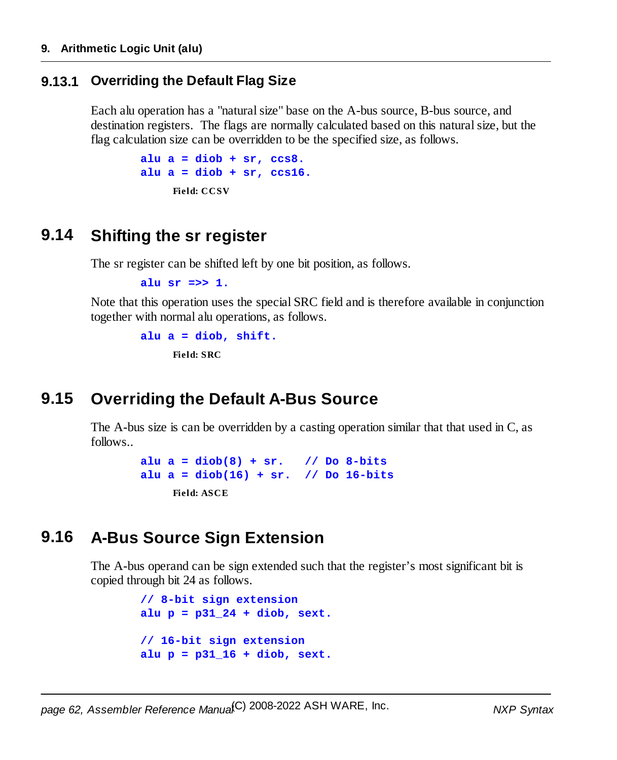### **9.13.1 Overriding the Default Flag Size**

Each alu operation has a "natural size" base on the A-bus source, B-bus source, and destination registers. The flags are normally calculated based on this naturalsize, but the flag calculation size can be overridden to be the specified size, as follows.

```
alu a = diob + sr, ccs8.
alu a = diob + sr, ccs16.
     Field: CCSV
```
### **9.14 Shifting the sr register**

The sr register can be shifted left by one bit position, as follows.

```
alu sr =>> 1.
```
Note that this operation uses the special SRC field and is therefore available in conjunction together with normal alu operations, as follows.

```
alu a = diob, shift.
     Field: SRC
```
### **9.15 Overriding the Default A-Bus Source**

The A-bus size is can be overridden by a casting operation similar that that used in C, as follows..

```
alu a = diob(8) + sr. // Do 8-bits
alu a = diob(16) + sr. // Do 16-bits
    Field: ASCE
```
### **9.16 A-Bus Source Sign Extension**

The A-bus operand can be sign extended such that the register's most significant bit is copied through bit 24 as follows.

```
// 8-bit sign extension
alu p = p31_24 + diob, sext.
// 16-bit sign extension
alu p = p31_16 + diob, sext.
```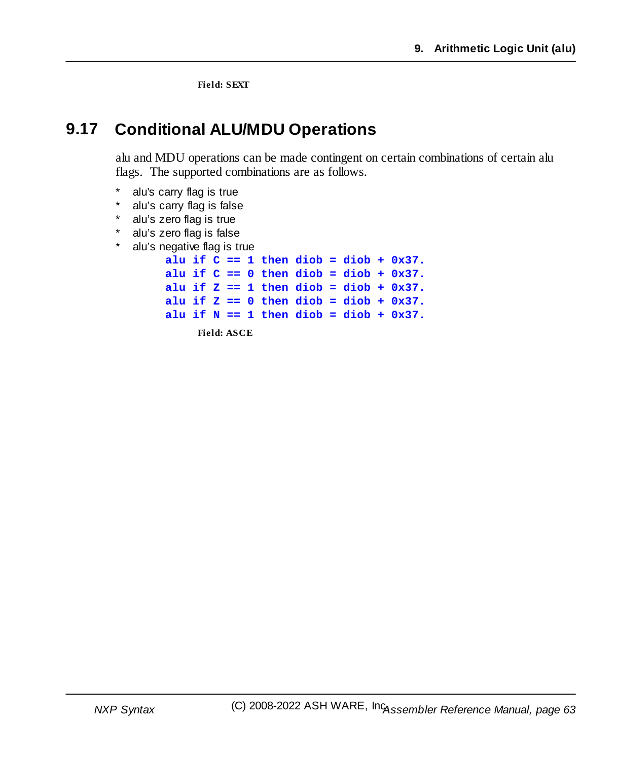**Field: SEXT**

### **9.17 Conditional ALU/MDU Operations**

alu and MDU operations can be made contingent on certain combinations of certain alu flags. The supported combinations are as follows.

- alu's carry flag is true
- alu's carry flag is false
- alu's zero flag is true
- alu's zero flag is false
- alu's negative flag is true

```
alu if C == 1 then diob = diob + 0x37.
alu if C == 0 then diob = diob + 0x37.
alu if Z == 1 then diob = diob + 0x37.
alu if Z == 0 then diob = diob + 0x37.
alu if N == 1 then diob = diob + 0x37.
    Field: ASCE
```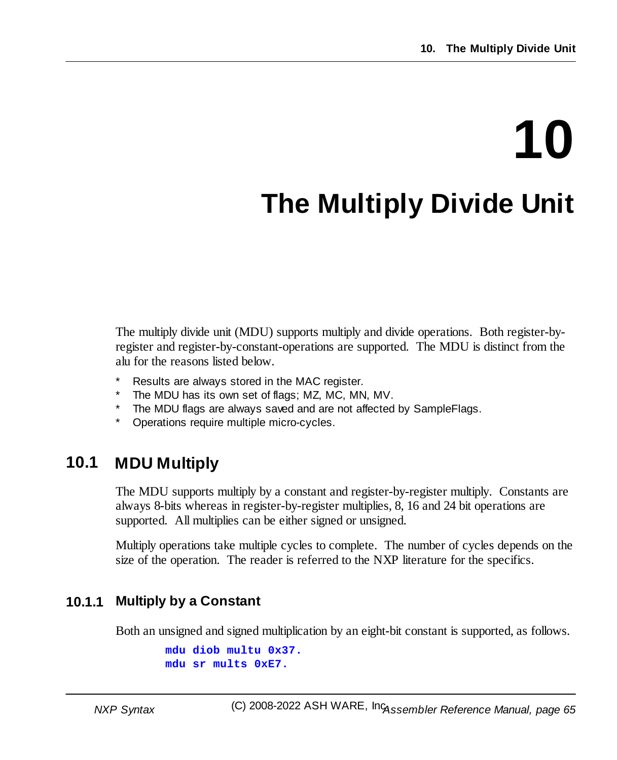# **10**

## **The Multiply Divide Unit**

The multiply divide unit (MDU) supports multiply and divide operations. Both register-byregister and register-by-constant-operations are supported. The MDU is distinct from the alu for the reasons listed below.

- Results are always stored in the MAC register.
- The MDU has its own set of flags; MZ, MC, MN, MV.
- The MDU flags are always saved and are not affected by SampleFlags.
- Operations require multiple micro-cycles.

### **10.1 MDU Multiply**

The MDU supports multiply by a constant and register-by-register multiply. Constants are always 8-bits whereas in register-by-register multiplies, 8, 16 and 24 bit operations are supported. All multiplies can be either signed or unsigned.

Multiply operations take multiple cycles to complete. The number of cycles depends on the size of the operation. The reader is referred to the NXP literature for the specifics.

### **10.1.1 Multiply by a Constant**

Both an unsigned and signed multiplication by an eight-bit constant is supported, as follows.

```
mdu diob multu 0x37.
mdu sr mults 0xE7.
```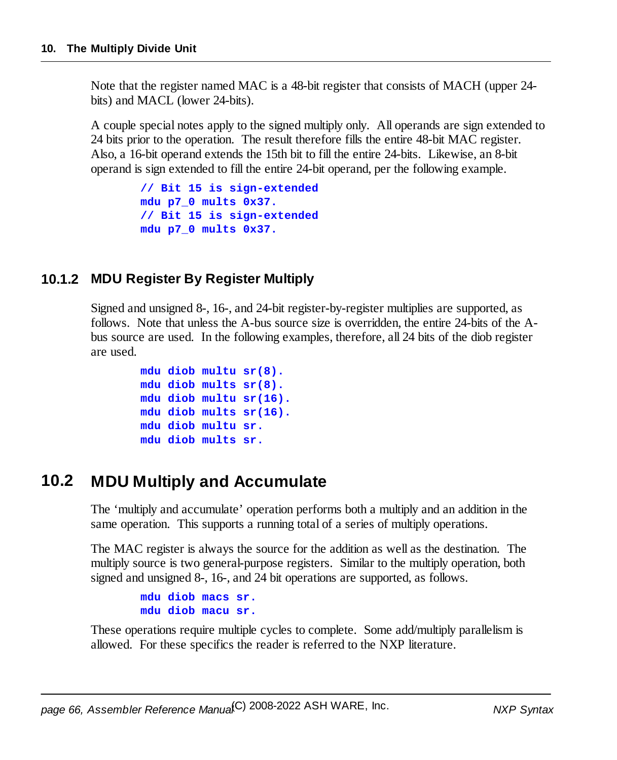Note that the register named MAC is a 48-bit register that consists of MACH (upper 24 bits) and MACL (lower 24-bits).

A couple special notes apply to the signed multiply only. All operands are sign extended to 24 bits prior to the operation. The result therefore fills the entire 48-bit MAC register. Also, a 16-bit operand extends the 15th bit to fill the entire 24-bits. Likewise, an 8-bit operand is sign extended to fill the entire 24-bit operand, per the following example.

```
// Bit 15 is sign-extended
mdu p7_0 mults 0x37.
// Bit 15 is sign-extended
mdu p7_0 mults 0x37.
```
### **10.1.2 MDU Register By Register Multiply**

Signed and unsigned 8-, 16-, and 24-bit register-by-register multiplies are supported, as follows. Note that unless the A-bus source size is overridden, the entire 24-bits of the Abus source are used. In the following examples, therefore, all 24 bits of the diob register are used.

```
mdu diob multu sr(8).
mdu diob mults sr(8).
mdu diob multu sr(16).
mdu diob mults sr(16).
mdu diob multu sr.
mdu diob mults sr.
```
### **10.2 MDU Multiply and Accumulate**

The 'multiply and accumulate' operation performs both a multiply and an addition in the same operation. This supports a running total of a series of multiply operations.

The MAC register is always the source for the addition as well as the destination. The multiply source is two general-purpose registers. Similar to the multiply operation, both signed and unsigned 8-, 16-, and 24 bit operations are supported, as follows.

> **mdu diob macs sr. mdu diob macu sr.**

These operations require multiple cycles to complete. Some add/multiply parallelism is allowed. For these specifics the reader is referred to the NXP literature.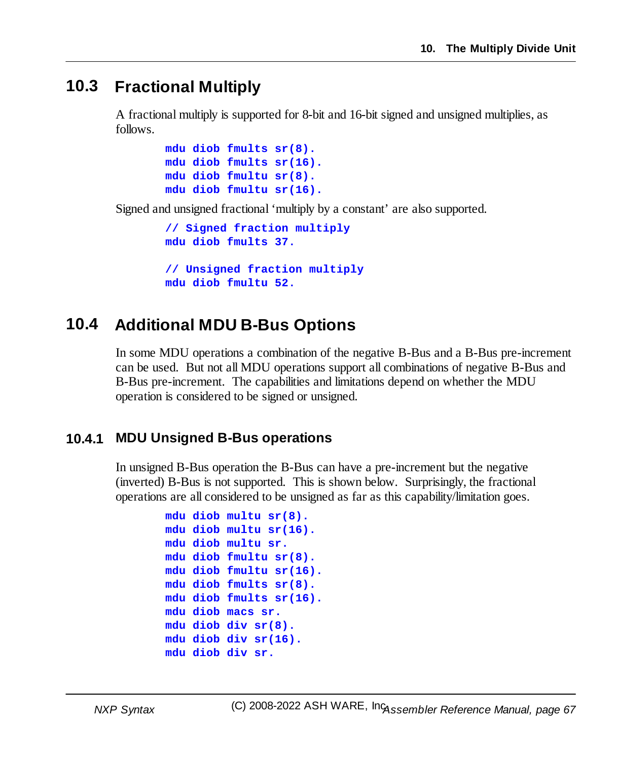### **10.3 Fractional Multiply**

A fractional multiply is supported for 8-bit and 16-bit signed and unsigned multiplies, as follows.

```
mdu diob fmults sr(8).
mdu diob fmults sr(16).
mdu diob fmultu sr(8).
mdu diob fmultu sr(16).
```
Signed and unsigned fractional 'multiply by a constant' are also supported.

```
// Signed fraction multiply
mdu diob fmults 37.
// Unsigned fraction multiply
```
### **mdu diob fmultu 52.**

### **10.4 Additional MDU B-Bus Options**

In some MDU operations a combination of the negative B-Bus and a B-Bus pre-increment can be used. But not all MDU operations support all combinations of negative B-Bus and B-Bus pre-increment. The capabilities and limitations depend on whether the MDU operation is considered to be signed or unsigned.

### **10.4.1 MDU Unsigned B-Bus operations**

In unsigned B-Bus operation the B-Bus can have a pre-increment but the negative (inverted) B-Bus is not supported. This is shown below. Surprisingly, the fractional operations are all considered to be unsigned as far as this capability/limitation goes.

```
mdu diob multu sr(8).
mdu diob multu sr(16).
mdu diob multu sr.
mdu diob fmultu sr(8).
mdu diob fmultu sr(16).
mdu diob fmults sr(8).
mdu diob fmults sr(16).
mdu diob macs sr.
mdu diob div sr(8).
mdu diob div sr(16).
mdu diob div sr.
```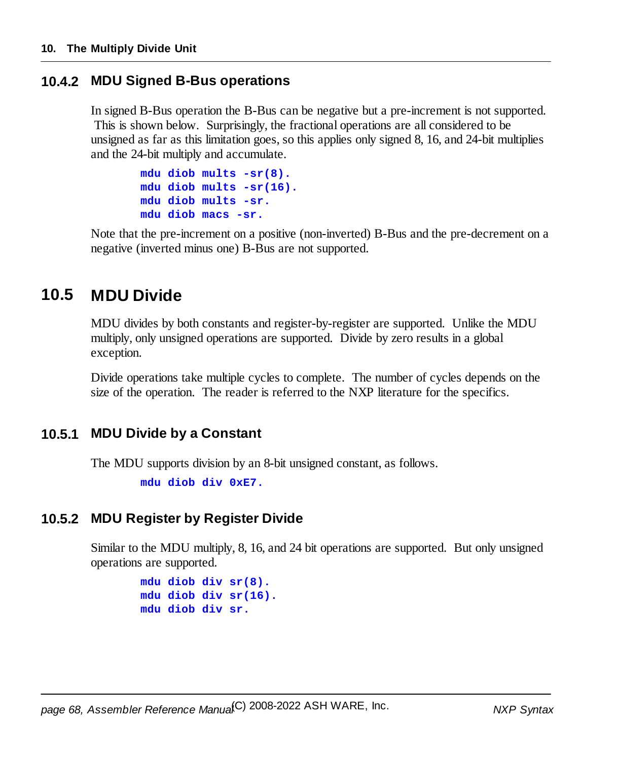### **10.4.2 MDU Signed B-Bus operations**

In signed B-Bus operation the B-Bus can be negative but a pre-increment is not supported. This is shown below. Surprisingly, the fractional operations are all considered to be unsigned as far as this limitation goes, so this applies only signed 8, 16, and 24-bit multiplies and the 24-bit multiply and accumulate.

```
mdu diob mults -sr(8).
mdu diob mults -sr(16).
mdu diob mults -sr.
mdu diob macs -sr.
```
Note that the pre-increment on a positive (non-inverted) B-Bus and the pre-decrement on a negative (inverted minus one) B-Bus are not supported.

### **10.5 MDU Divide**

MDU divides by both constants and register-by-register are supported. Unlike the MDU multiply, only unsigned operations are supported. Divide by zero results in a global exception.

Divide operations take multiple cycles to complete. The number of cycles depends on the size of the operation. The reader is referred to the NXP literature for the specifics.

### **10.5.1 MDU Divide by a Constant**

The MDU supports division by an 8-bit unsigned constant, as follows.

**mdu diob div 0xE7.**

### **10.5.2 MDU Register by Register Divide**

Similar to the MDU multiply, 8, 16, and 24 bit operations are supported. But only unsigned operations are supported.

```
mdu diob div sr(8).
mdu diob div sr(16).
mdu diob div sr.
```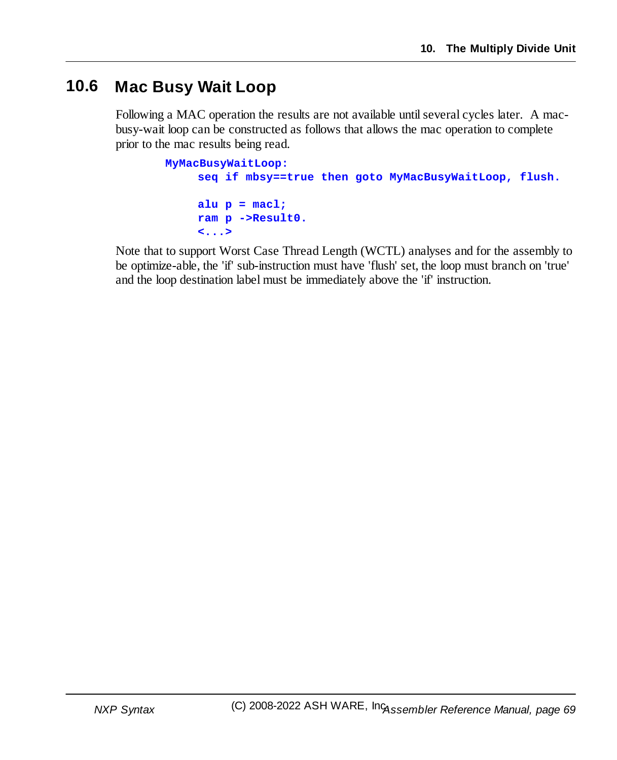### **10.6 Mac Busy Wait Loop**

Following a MAC operation the results are not available until several cycles later. A macbusy-wait loop can be constructed as follows that allows the mac operation to complete prior to the mac results being read.

```
MyMacBusyWaitLoop:
     seq if mbsy==true then goto MyMacBusyWaitLoop, flush.
     alu p = macl;
     ram p ->Result0.
     <...>
```
Note that to support Worst Case Thread Length (WCTL) analyses and for the assembly to be optimize-able, the 'if' sub-instruction must have 'flush' set, the loop must branch on 'true' and the loop destination label must be immediately above the 'if' instruction.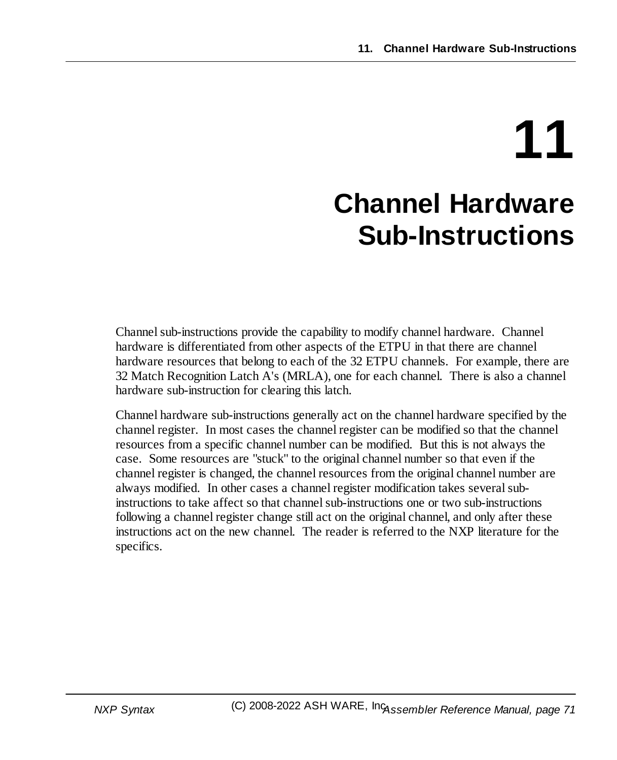# **11 Channel Hardware Sub-Instructions**

Channel sub-instructions provide the capability to modify channel hardware. Channel hardware is differentiated from other aspects of the ETPU in that there are channel hardware resources that belong to each of the 32 ETPU channels. For example, there are 32 Match Recognition Latch A's (MRLA), one for each channel. There is also a channel hardware sub-instruction for clearing this latch.

Channel hardware sub-instructions generally act on the channel hardware specified by the channel register. In most cases the channel register can be modified so that the channel resources from a specific channel number can be modified. But this is not always the case. Some resources are "stuck" to the original channel number so that even if the channel register is changed, the channel resources from the original channel number are always modified. In other cases a channel register modification takes several subinstructions to take affect so that channel sub-instructions one or two sub-instructions following a channel register change still act on the original channel, and only after these instructions act on the new channel. The reader is referred to the NXP literature for the specifics.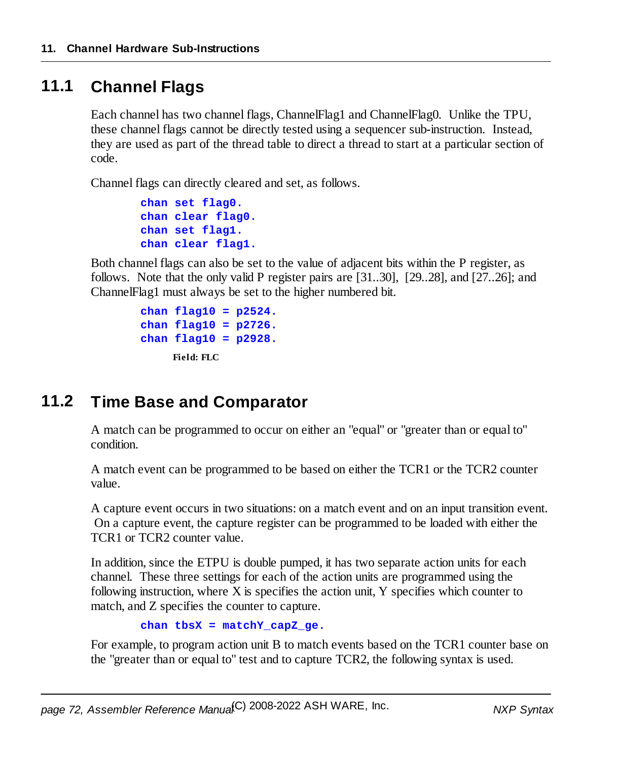### **11.1 Channel Flags**

Each channel has two channel flags, ChannelFlag1 and ChannelFlag0. Unlike the TPU, these channel flags cannot be directly tested using a sequencer sub-instruction. Instead, they are used as part of the thread table to direct a thread to start at a particular section of code.

Channel flags can directly cleared and set, as follows.

```
chan set flag0.
chan clear flag0.
chan set flag1.
chan clear flag1.
```
Both channel flags can also be set to the value of adjacent bits within the P register, as follows. Note that the only valid P register pairs are [31..30], [29..28], and [27..26]; and ChannelFlag1 must always be set to the higher numbered bit.

```
chan flag10 = p2524.
chan flag10 = p2726.
chan flag10 = p2928.
     Field: FLC
```
### **11.2 Time Base and Comparator**

A match can be programmed to occur on either an "equal" or "greater than or equal to" condition.

A match event can be programmed to be based on either the TCR1 or the TCR2 counter value.

A capture event occurs in two situations: on a match event and on an input transition event. On a capture event, the capture register can be programmed to be loaded with either the TCR1 or TCR2 counter value.

In addition, since the ETPU is double pumped, it has two separate action units for each channel. These three settings for each of the action units are programmed using the following instruction, where X is specifies the action unit, Y specifies which counter to match, and Z specifies the counter to capture.

**chan tbsX = matchY\_capZ\_ge.**

For example, to program action unit B to match events based on the TCR1 counter base on the "greater than or equal to" test and to capture TCR2, the following syntax is used.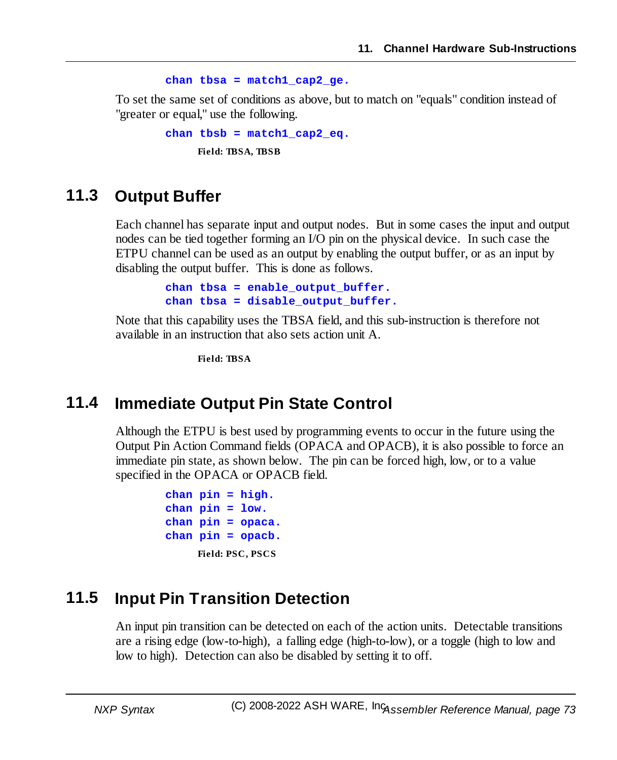```
chan tbsa = match1_cap2_ge.
```
To set the same set of conditions as above, but to match on "equals" condition instead of "greater or equal," use the following.

```
chan tbsb = match1_cap2_eq.
     Field: TBSA, TBSB
```
## **11.3 Output Buffer**

Each channel has separate input and output nodes. But in some cases the input and output nodes can be tied together forming an I/O pin on the physical device. In such case the ETPU channel can be used as an output by enabling the output buffer, or as an input by disabling the output buffer. This is done as follows.

```
chan tbsa = enable_output_buffer.
chan tbsa = disable_output_buffer.
```
Note that this capability uses the TBSA field, and this sub-instruction is therefore not available in an instruction that also sets action unit A.

**Field: TBSA**

## **11.4 Immediate Output Pin State Control**

Although the ETPU is best used by programming events to occur in the future using the Output Pin Action Command fields (OPACA and OPACB), it is also possible to force an immediate pin state, as shown below. The pin can be forced high, low, or to a value specified in the OPACA or OPACB field.

```
chan pin = high.
chan pin = low.
chan pin = opaca.
chan pin = opacb.
     Field: PSC, PSCS
```
## **11.5 Input Pin Transition Detection**

An input pin transition can be detected on each of the action units. Detectable transitions are a rising edge (low-to-high), a falling edge (high-to-low), or a toggle (high to low and low to high). Detection can also be disabled by setting it to off.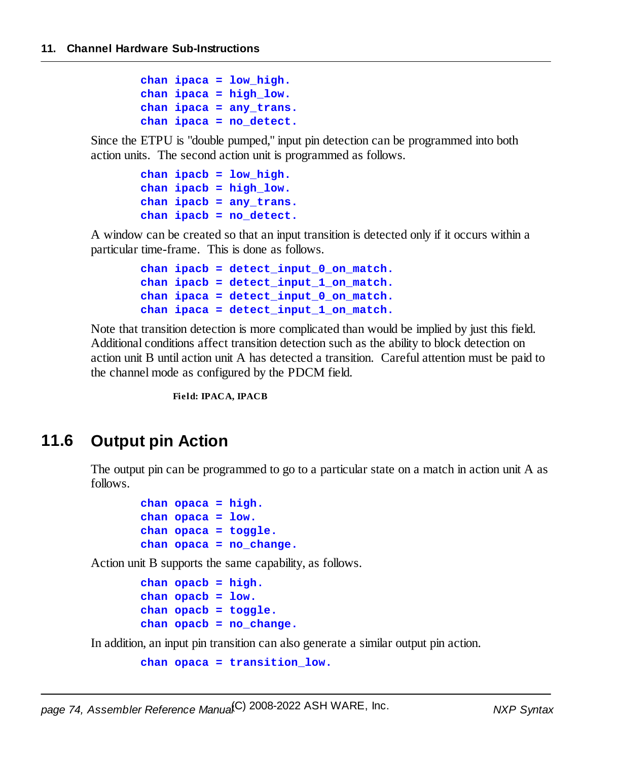```
chan ipaca = low_high.
chan ipaca = high_low.
chan ipaca = any_trans.
chan ipaca = no_detect.
```
Since the ETPU is "double pumped," input pin detection can be programmed into both action units. The second action unit is programmed as follows.

```
chan ipacb = low_high.
chan ipacb = high_low.
chan ipacb = any_trans.
chan ipacb = no_detect.
```
A window can be created so that an input transition is detected only if it occurs within a particular time-frame. This is done as follows.

```
chan ipacb = detect_input_0_on_match.
chan ipacb = detect_input_1_on_match.
chan ipaca = detect_input_0_on_match.
chan ipaca = detect_input_1_on_match.
```
Note that transition detection is more complicated than would be implied by just this field. Additional conditions affect transition detection such as the ability to block detection on action unit B until action unit A has detected a transition. Careful attention must be paid to the channel mode as configured by the PDCM field.

**Field: IPACA, IPACB**

## **11.6 Output pin Action**

The output pin can be programmed to go to a particular state on a match in action unit A as follows.

```
chan opaca = high.
chan opaca = low.
chan opaca = toggle.
chan opaca = no_change.
```
Action unit B supports the same capability, as follows.

```
chan opacb = high.
chan opacb = low.
chan opacb = toggle.
chan opacb = no_change.
```
In addition, an input pin transition can also generate a similar output pin action.

```
chan opaca = transition_low.
```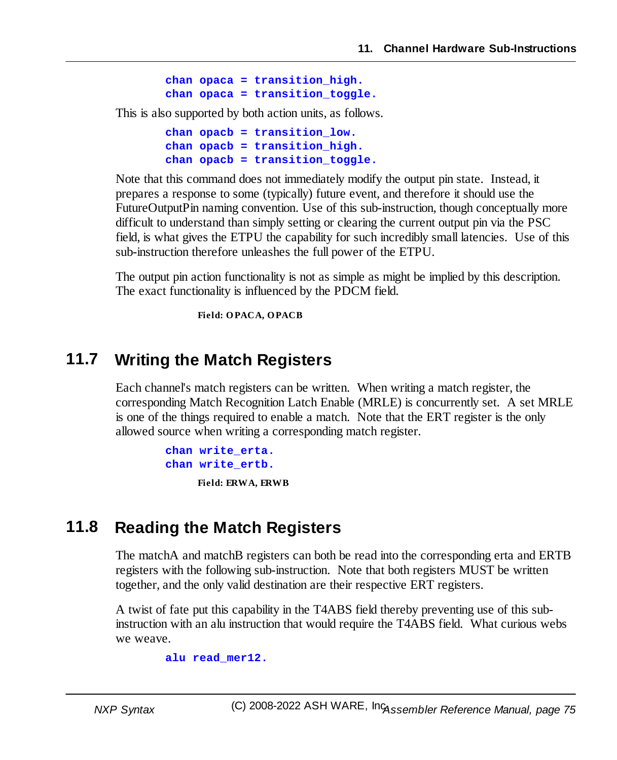```
chan opaca = transition_high.
chan opaca = transition_toggle.
```
This is also supported by both action units, as follows.

```
chan opacb = transition_low.
chan opacb = transition_high.
chan opacb = transition_toggle.
```
Note that this command does not immediately modify the output pin state. Instead, it prepares a response to some (typically) future event, and therefore it should use the FutureOutputPin naming convention. Use of this sub-instruction, though conceptually more difficult to understand than simply setting or clearing the current output pin via the PSC field, is what gives the ETPU the capability for such incredibly small latencies. Use of this sub-instruction therefore unleashes the full power of the ETPU.

The output pin action functionality is not as simple as might be implied by this description. The exact functionality is influenced by the PDCM field.

**Field: OPACA, OPACB**

## **11.7 Writing the Match Registers**

Each channel's match registers can be written. When writing a match register, the corresponding Match Recognition Latch Enable (MRLE) is concurrently set. A set MRLE is one of the things required to enable a match. Note that the ERT register is the only allowed source when writing a corresponding match register.

> **chan write\_erta. chan write\_ertb. Field: ERWA, ERWB**

## **11.8 Reading the Match Registers**

The matchA and matchB registers can both be read into the corresponding erta and ERTB registers with the following sub-instruction. Note that both registers MUST be written together, and the only valid destination are their respective ERT registers.

A twist of fate put this capability in the T4ABS field thereby preventing use of this subinstruction with an alu instruction that would require the T4ABS field. What curious webs we weave.

**alu read\_mer12.**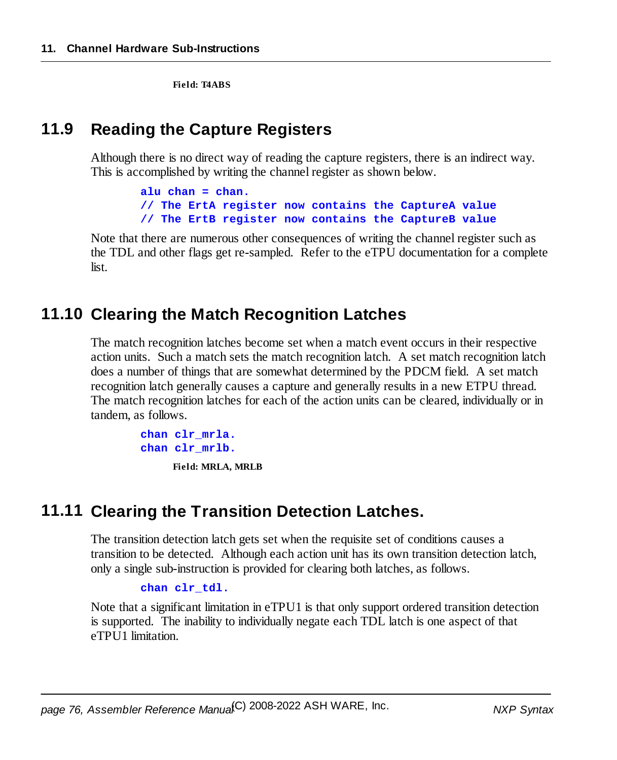**Field: T4ABS**

## **11.9 Reading the Capture Registers**

Although there is no direct way of reading the capture registers, there is an indirect way. This is accomplished by writing the channel register as shown below.

```
alu chan = chan.
// The ErtA register now contains the CaptureA value
// The ErtB register now contains the CaptureB value
```
Note that there are numerous other consequences of writing the channel register such as the TDL and other flags get re-sampled. Refer to the eTPU documentation for a complete list.

## **11.10 Clearing the Match Recognition Latches**

The match recognition latches become set when a match event occurs in their respective action units. Such a match sets the match recognition latch. A set match recognition latch does a number of things that are somewhat determined by the PDCM field. A set match recognition latch generally causes a capture and generally results in a new ETPU thread. The match recognition latches for each of the action units can be cleared, individually or in tandem, as follows.

```
chan clr_mrla.
chan clr_mrlb.
```
**Field: MRLA, MRLB**

## **11.11 Clearing the Transition Detection Latches.**

The transition detection latch gets set when the requisite set of conditions causes a transition to be detected. Although each action unit has its own transition detection latch, only a single sub-instruction is provided for clearing both latches, as follows.

#### **chan clr\_tdl.**

Note that a significant limitation in eTPU1 is that only support ordered transition detection is supported. The inability to individually negate each TDL latch is one aspect of that eTPU1 limitation.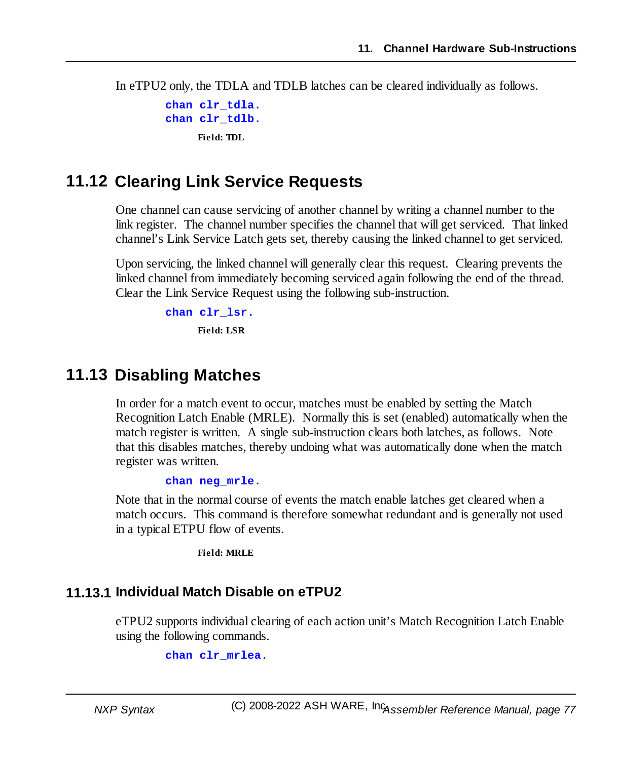In eTPU2 only, the TDLA and TDLB latches can be cleared individually as follows.

```
chan clr_tdla.
chan clr_tdlb.
     Field: TDL
```
## **11.12 Clearing Link Service Requests**

One channel can cause servicing of another channel by writing a channel number to the link register. The channel number specifies the channel that will get serviced. That linked channel's Link Service Latch gets set, thereby causing the linked channel to get serviced.

Upon servicing, the linked channel will generally clear this request. Clearing prevents the linked channel from immediately becoming serviced again following the end of the thread. Clear the Link Service Request using the following sub-instruction.

```
chan clr_lsr.
     Field: LSR
```
## **11.13 Disabling Matches**

In order for a match event to occur, matches must be enabled by setting the Match Recognition Latch Enable (MRLE). Normally this is set (enabled) automatically when the match register is written. A single sub-instruction clears both latches, as follows. Note that this disables matches, thereby undoing what was automatically done when the match register was written.

**chan neg\_mrle.**

Note that in the normal course of events the match enable latches get cleared when a match occurs. This command is therefore somewhat redundant and is generally not used in a typical ETPU flow of events.

**Field: MRLE**

### **11.13.1 Individual Match Disable on eTPU2**

eTPU2 supports individual clearing of each action unit's Match Recognition Latch Enable using the following commands.

**chan clr\_mrlea.**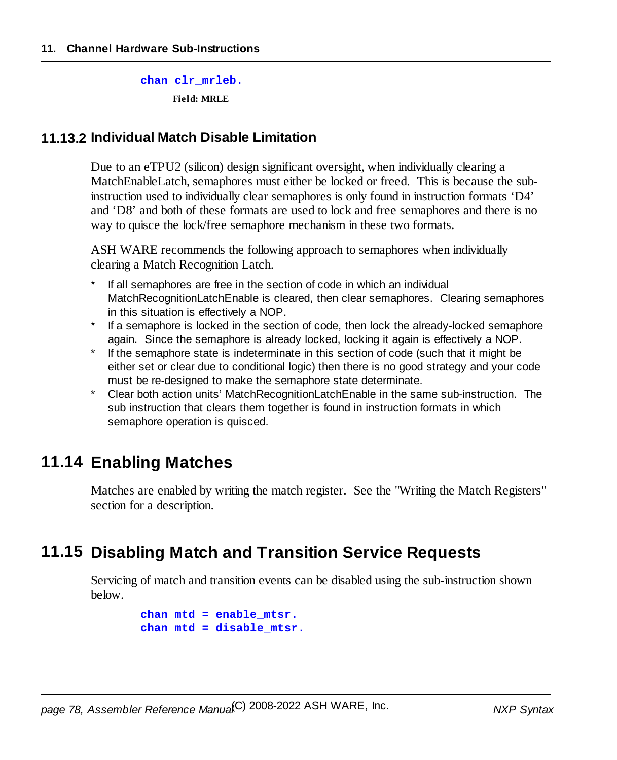**chan clr\_mrleb. Field: MRLE**

### **11.13.2 Individual Match Disable Limitation**

Due to an eTPU2 (silicon) design significant oversight, when individually clearing a MatchEnableLatch, semaphores must either be locked or freed. This is because the subinstruction used to individually clear semaphores is only found in instruction formats 'D4' and 'D8' and both of these formats are used to lock and free semaphores and there is no way to quisce the lock/free semaphore mechanism in these two formats.

ASH WARE recommends the following approach to semaphores when individually clearing a Match Recognition Latch.

- If all semaphores are free in the section of code in which an individual MatchRecognitionLatchEnable is cleared, then clear semaphores. Clearing semaphores in this situation is effectively a NOP.
- \* If a semaphore is locked in the section of code, then lock the already-locked semaphore again. Since the semaphore is already locked, locking it again is effectively a NOP.
- \* If the semaphore state is indeterminate in this section of code (such that it might be either set or clear due to conditional logic) then there is no good strategy and your code must be re-designed to make the semaphore state determinate.
- \* Clear both action units' MatchRecognitionLatchEnable in the same sub-instruction. The sub instruction that clears them together is found in instruction formats in which semaphore operation is quisced.

## **11.14 Enabling Matches**

Matches are enabled by writing the match register. See the "Writing the Match Registers" section for a description.

## **11.15 Disabling Match and Transition Service Requests**

Servicing of match and transition events can be disabled using the sub-instruction shown below.

```
chan mtd = enable_mtsr.
chan mtd = disable_mtsr.
```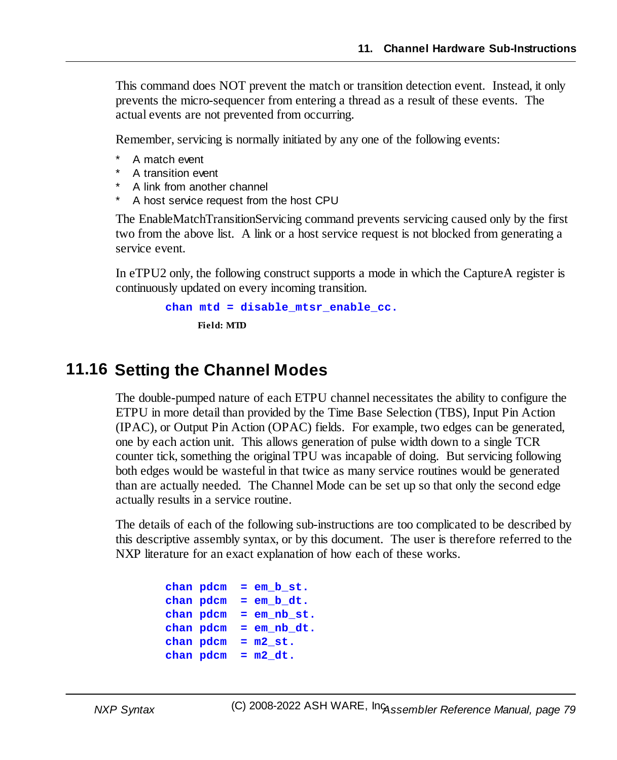This command does NOT prevent the match or transition detection event. Instead, it only prevents the micro-sequencer from entering a thread as a result of these events. The actual events are not prevented from occurring.

Remember, servicing is normally initiated by any one of the following events:

- A match event
- A transition event
- A link from another channel
- A host service request from the host CPU

The EnableMatchTransitionServicing command prevents servicing caused only by the first two from the above list. A link or a host service request is not blocked from generating a service event.

In eTPU2 only, the following construct supports a mode in which the CaptureA register is continuously updated on every incoming transition.

```
chan mtd = disable_mtsr_enable_cc.
     Field: MTD
```
## **11.16 Setting the Channel Modes**

The double-pumped nature of each ETPU channel necessitates the ability to configure the ETPU in more detail than provided by the Time Base Selection (TBS), Input Pin Action (IPAC), or Output Pin Action (OPAC) fields. For example, two edges can be generated, one by each action unit. This allows generation of pulse width down to a single TCR counter tick, something the original TPU was incapable of doing. But servicing following both edges would be wasteful in that twice as many service routines would be generated than are actually needed. The Channel Mode can be set up so that only the second edge actually results in a service routine.

The details of each of the following sub-instructions are too complicated to be described by this descriptive assembly syntax, or by this document. The user is therefore referred to the NXP literature for an exact explanation of how each of these works.

```
chan pdcm = em_b_st.
chan pdcm = em_b_dt.
chan pdcm = em_nb_st.
chan pdcm = em_nb_dt.
chan pdcm = m2_st.
chan pdcm = m2_dt.
```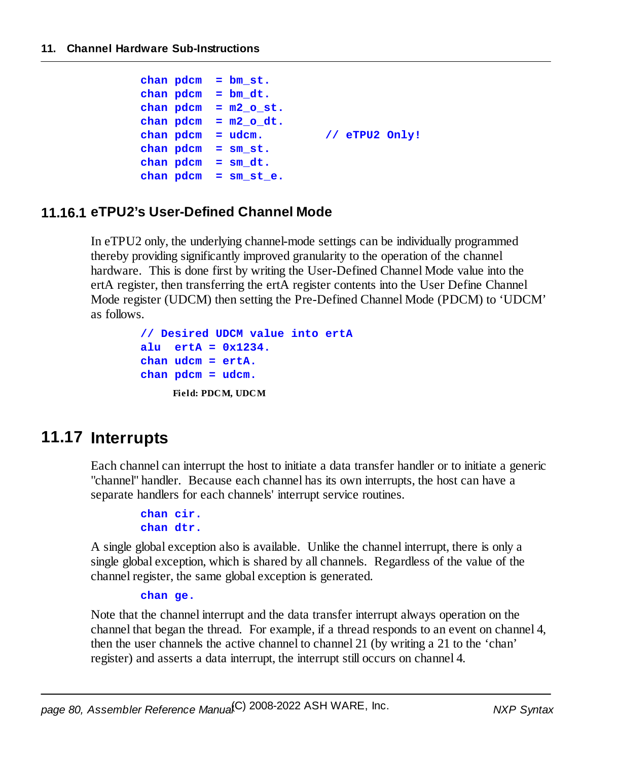```
chan pdcm = bm_st.
chan pdcm = bm_dt.
chain pdom = m2 o st.chan pdcm = m2_o_dt.
chan pdcm = udcm. // eTPU2 Only!
chan pdcm = sm_st.
chan pdcm = sm_dt.
chan pdcm = sm_st_e.
```
### **11.16.1 eTPU2's User-Defined Channel Mode**

In eTPU2 only, the underlying channel-mode settings can be individually programmed thereby providing significantly improved granularity to the operation of the channel hardware. This is done first by writing the User-Defined Channel Mode value into the ertA register, then transferring the ertA register contents into the User Define Channel Mode register (UDCM) then setting the Pre-Defined Channel Mode (PDCM) to 'UDCM' as follows.

```
// Desired UDCM value into ertA
alu ertA = 0x1234.
chan udcm = ertA.
chan pdcm = udcm.
    Field: PDCM, UDCM
```
## **11.17 Interrupts**

Each channel can interrupt the host to initiate a data transfer handler or to initiate a generic "channel" handler. Because each channel has its own interrupts, the host can have a separate handlers for each channels' interrupt service routines.

```
chan cir.
chan dtr.
```
A single global exception also is available. Unlike the channel interrupt, there is only a single global exception, which is shared by all channels. Regardless of the value of the channel register, the same global exception is generated.

#### **chan ge.**

Note that the channel interrupt and the data transfer interrupt always operation on the channel that began the thread. For example, if a thread responds to an event on channel 4, then the user channels the active channel to channel 21 (by writing a 21 to the 'chan' register) and asserts a data interrupt, the interrupt still occurs on channel 4.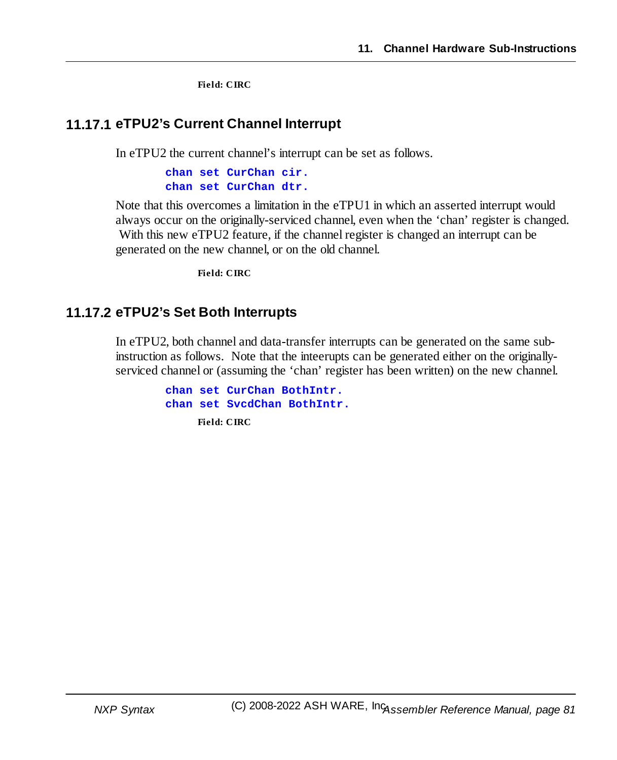**Field: CIRC**

### **11.17.1 eTPU2's Current Channel Interrupt**

In eTPU2 the current channel's interrupt can be set as follows.

**chan set CurChan cir. chan set CurChan dtr.**

Note that this overcomes a limitation in the eTPU1 in which an asserted interrupt would always occur on the originally-serviced channel, even when the 'chan' register is changed. With this new eTPU2 feature, if the channel register is changed an interrupt can be generated on the new channel, or on the old channel.

**Field: CIRC**

### **11.17.2 eTPU2's Set Both Interrupts**

In eTPU2, both channel and data-transfer interrupts can be generated on the same subinstruction as follows. Note that the inteerupts can be generated either on the originallyserviced channel or (assuming the 'chan' register has been written) on the new channel.

```
chan set CurChan BothIntr.
chan set SvcdChan BothIntr.
     Field: CIRC
```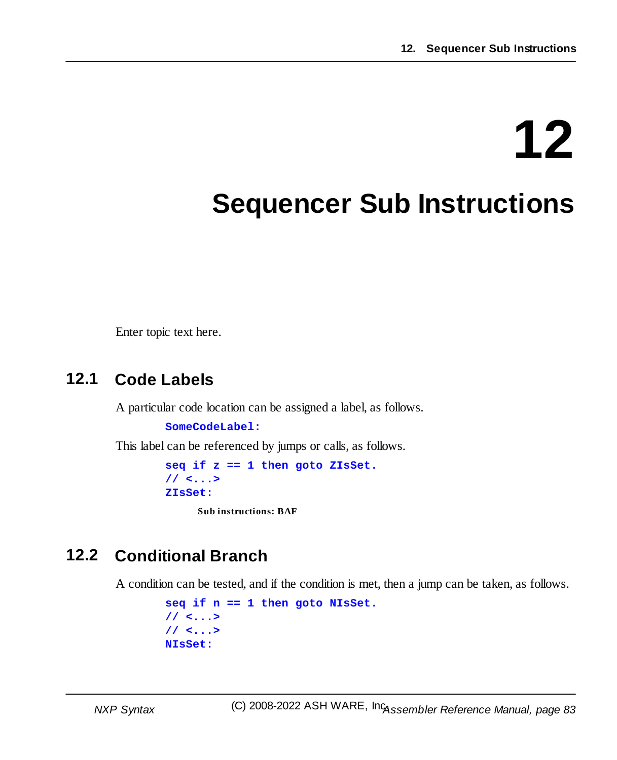# **12**

## **Sequencer Sub Instructions**

Enter topic text here.

## **12.1 Code Labels**

A particular code location can be assigned a label, as follows.

**SomeCodeLabel:**

This label can be referenced by jumps or calls, as follows.

**seq if z == 1 then goto ZIsSet. // <...> ZIsSet:**

**Sub instructions: BAF**

## **12.2 Conditional Branch**

A condition can be tested, and if the condition is met, then a jump can be taken, as follows.

```
seq if n == 1 then goto NIsSet.
// <...>
// <...>
NIsSet:
```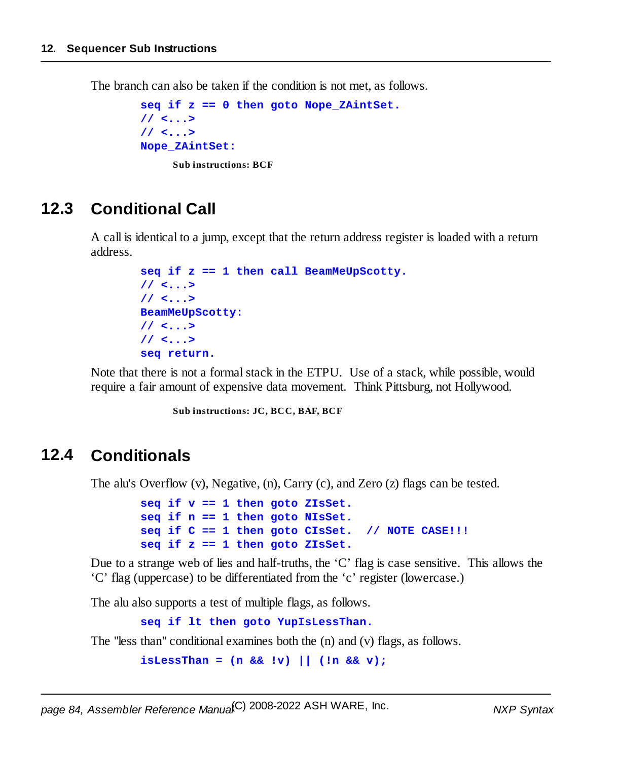The branch can also be taken if the condition is not met, as follows.

```
seq if z == 0 then goto Nope_ZAintSet.
// <...>
// <...>
Nope_ZAintSet:
     Sub instructions: BCF
```
## **12.3 Conditional Call**

A call is identical to a jump, except that the return address register is loaded with a return address.

```
seq if z == 1 then call BeamMeUpScotty.
// <...>
// <...>
BeamMeUpScotty:
// <...>
// <...>
seq return.
```
Note that there is not a formal stack in the ETPU. Use of a stack, while possible, would require a fair amount of expensive data movement. Think Pittsburg, not Hollywood.

**Sub instructions: JC, BCC, BAF, BCF**

## **12.4 Conditionals**

The alu's Overflow (v), Negative, (n), Carry (c), and Zero (z) flags can be tested.

```
seq if v == 1 then goto ZIsSet.
seq if n == 1 then goto NIsSet.
seq if C == 1 then goto CIsSet. // NOTE CASE!!!
seq if z == 1 then goto ZIsSet.
```
Due to a strange web of lies and half-truths, the 'C' flag is case sensitive. This allows the 'C' flag (uppercase) to be differentiated from the 'c' register (lowercase.)

The alu also supports a test of multiple flags, as follows.

**seq if lt then goto YupIsLessThan.**

The "less than" conditional examines both the (n) and (v) flags, as follows.

**isLessThan = (n && !v) || (!n && v);**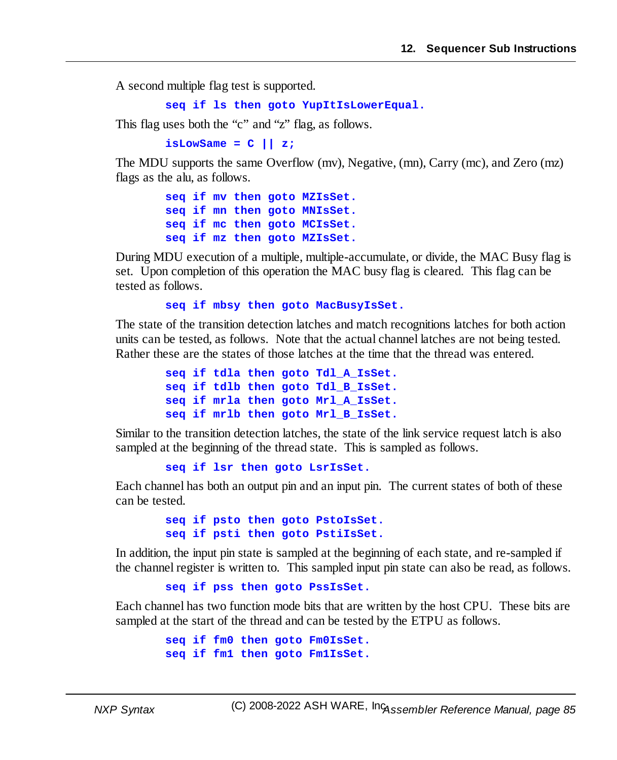A second multiple flag test is supported.

**seq if ls then goto YupItIsLowerEqual.**

This flag uses both the "c" and "z" flag, as follows.

**isLowSame = C || z;**

The MDU supports the same Overflow (mv), Negative, (mn), Carry (mc), and Zero (mz) flags as the alu, as follows.

```
seq if mv then goto MZIsSet.
seq if mn then goto MNIsSet.
seq if mc then goto MCIsSet.
seq if mz then goto MZIsSet.
```
During MDU execution of a multiple, multiple-accumulate, or divide, the MAC Busy flag is set. Upon completion of this operation the MAC busy flag is cleared. This flag can be tested as follows.

**seq if mbsy then goto MacBusyIsSet.**

The state of the transition detection latches and match recognitions latches for both action units can be tested, as follows. Note that the actual channel latches are not being tested. Rather these are the states of those latches at the time that the thread was entered.

```
seq if tdla then goto Tdl_A_IsSet.
seq if tdlb then goto Tdl_B_IsSet.
seq if mrla then goto Mrl_A_IsSet.
seq if mrlb then goto Mrl_B_IsSet.
```
Similar to the transition detection latches, the state of the link service request latch is also sampled at the beginning of the thread state. This is sampled as follows.

**seq if lsr then goto LsrIsSet.**

Each channel has both an output pin and an input pin. The current states of both of these can be tested.

```
seq if psto then goto PstoIsSet.
seq if psti then goto PstiIsSet.
```
In addition, the input pin state is sampled at the beginning of each state, and re-sampled if the channel register is written to. This sampled input pin state can also be read, as follows.

**seq if pss then goto PssIsSet.**

Each channel has two function mode bits that are written by the host CPU. These bits are sampled at the start of the thread and can be tested by the ETPU as follows.

```
seq if fm0 then goto Fm0IsSet.
seq if fm1 then goto Fm1IsSet.
```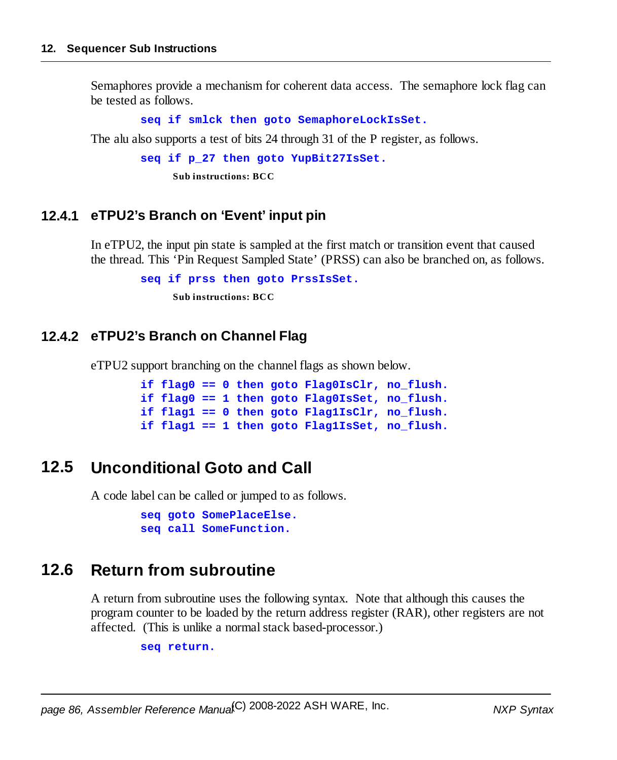Semaphores provide a mechanism for coherent data access. The semaphore lock flag can be tested as follows.

**seq if smlck then goto SemaphoreLockIsSet.**

The alu also supports a test of bits 24 through 31 of the P register, as follows.

```
seq if p_27 then goto YupBit27IsSet.
```
**Sub instructions: BCC**

### **12.4.1 eTPU2's Branch on 'Event' input pin**

In eTPU2, the input pin state is sampled at the first match or transition event that caused the thread. This 'Pin Request Sampled State' (PRSS) can also be branched on, as follows.

**seq if prss then goto PrssIsSet.**

**Sub instructions: BCC**

### **12.4.2 eTPU2's Branch on Channel Flag**

eTPU2 support branching on the channel flags as shown below.

```
if flag0 == 0 then goto Flag0IsClr, no_flush.
if flag0 == 1 then goto Flag0IsSet, no_flush.
if flag1 == 0 then goto Flag1IsClr, no_flush.
if flag1 == 1 then goto Flag1IsSet, no_flush.
```
## **12.5 Unconditional Goto and Call**

A code label can be called or jumped to as follows.

```
seq goto SomePlaceElse.
seq call SomeFunction.
```
## **12.6 Return from subroutine**

A return from subroutine uses the following syntax. Note that although this causes the program counter to be loaded by the return address register (RAR), other registers are not affected. (This is unlike a normal stack based-processor.)

**seq return.**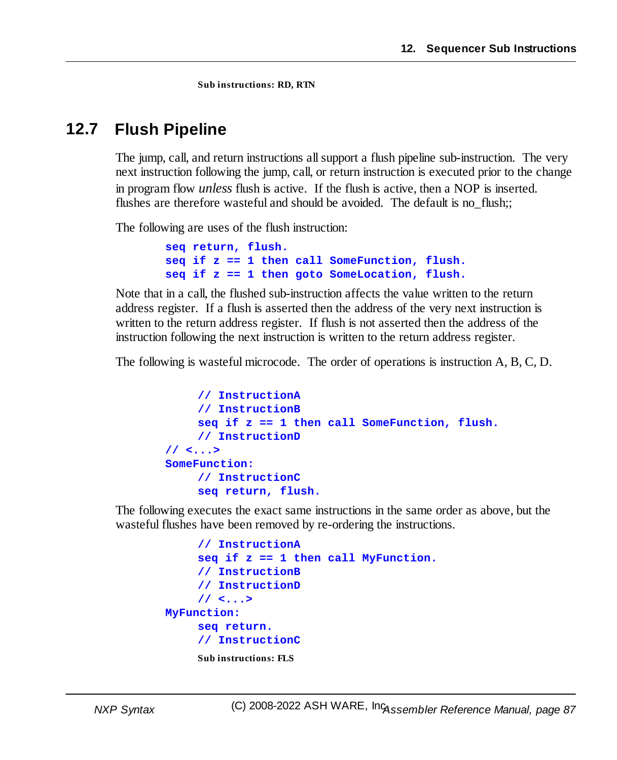**Sub instructions: RD, RTN**

## **12.7 Flush Pipeline**

The jump, call, and return instructions allsupport a flush pipeline sub-instruction. The very next instruction following the jump, call, or return instruction is executed prior to the change in program flow *unless* flush is active. If the flush is active, then a NOP is inserted. flushes are therefore wasteful and should be avoided. The default is no flush;;

The following are uses of the flush instruction:

```
seq return, flush.
seq if z == 1 then call SomeFunction, flush.
seq if z == 1 then goto SomeLocation, flush.
```
Note that in a call, the flushed sub-instruction affects the value written to the return address register. If a flush is asserted then the address of the very next instruction is written to the return address register. If flush is not asserted then the address of the instruction following the next instruction is written to the return address register.

The following is wasteful microcode. The order of operations is instruction A, B, C, D.

```
// InstructionA
    // InstructionB
    seq if z == 1 then call SomeFunction, flush.
    // InstructionD
// <...>
SomeFunction:
    // InstructionC
    seq return, flush.
```
The following executes the exact same instructions in the same order as above, but the wasteful flushes have been removed by re-ordering the instructions.

```
// InstructionA
     seq if z == 1 then call MyFunction.
     // InstructionB
     // InstructionD
     // <...>
MyFunction:
     seq return.
     // InstructionC
     Sub instructions: FLS
```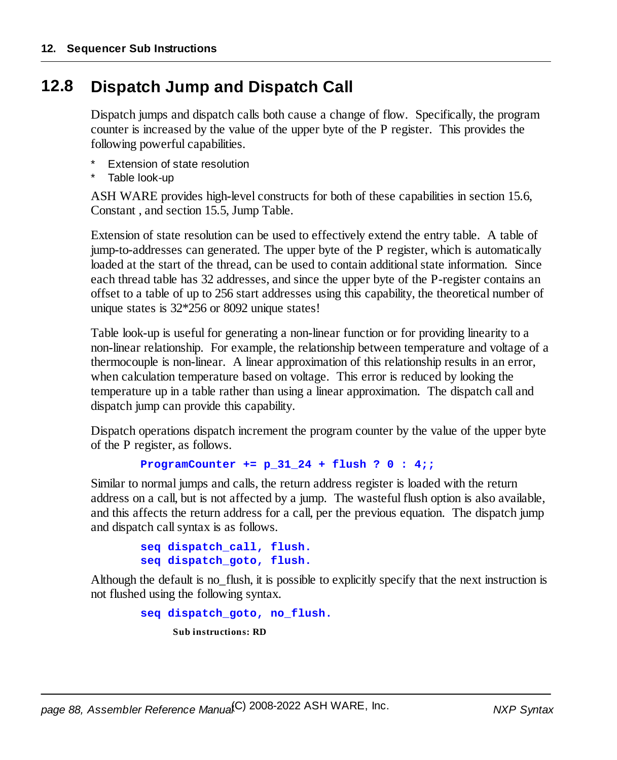## **12.8 Dispatch Jump and Dispatch Call**

Dispatch jumps and dispatch calls both cause a change of flow. Specifically, the program counter is increased by the value of the upper byte of the P register. This provides the following powerful capabilities.

- **Extension of state resolution**
- Table look-up

ASH WARE provides high-level constructs for both of these capabilities in section 15.6, Constant , and section 15.5, Jump Table.

Extension of state resolution can be used to effectively extend the entry table. A table of jump-to-addresses can generated. The upper byte of the P register, which is automatically loaded at the start of the thread, can be used to contain additional state information. Since each thread table has 32 addresses, and since the upper byte of the P-register contains an offset to a table of up to 256 start addresses using this capability, the theoretical number of unique states is 32\*256 or 8092 unique states!

Table look-up is useful for generating a non-linear function or for providing linearity to a non-linear relationship. For example, the relationship between temperature and voltage of a thermocouple is non-linear. A linear approximation of this relationship results in an error, when calculation temperature based on voltage. This error is reduced by looking the temperature up in a table rather than using a linear approximation. The dispatch call and dispatch jump can provide this capability.

Dispatch operations dispatch increment the program counter by the value of the upper byte of the P register, as follows.

```
ProgramCounter += p_31_24 + flush ? 0 : 4;;
```
Similar to normal jumps and calls, the return address register is loaded with the return address on a call, but is not affected by a jump. The wasteful flush option is also available, and this affects the return address for a call, per the previous equation. The dispatch jump and dispatch callsyntax is as follows.

```
seq dispatch_call, flush.
seq dispatch_goto, flush.
```
Although the default is no flush, it is possible to explicitly specify that the next instruction is not flushed using the following syntax.

> **seq dispatch\_goto, no\_flush. Sub instructions: RD**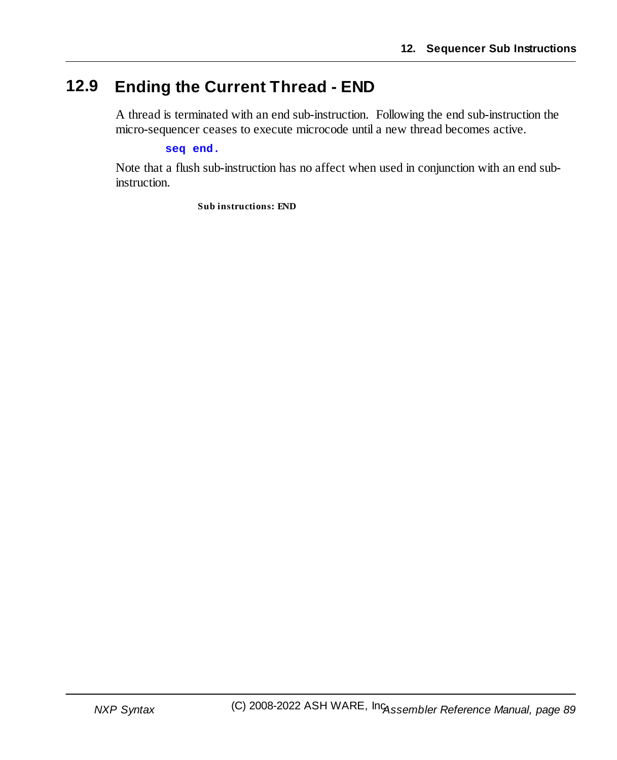## **12.9 Ending the Current Thread - END**

A thread is terminated with an end sub-instruction. Following the end sub-instruction the micro-sequencer ceases to execute microcode until a new thread becomes active.

#### **seq end.**

Note that a flush sub-instruction has no affect when used in conjunction with an end subinstruction.

**Sub instructions: END**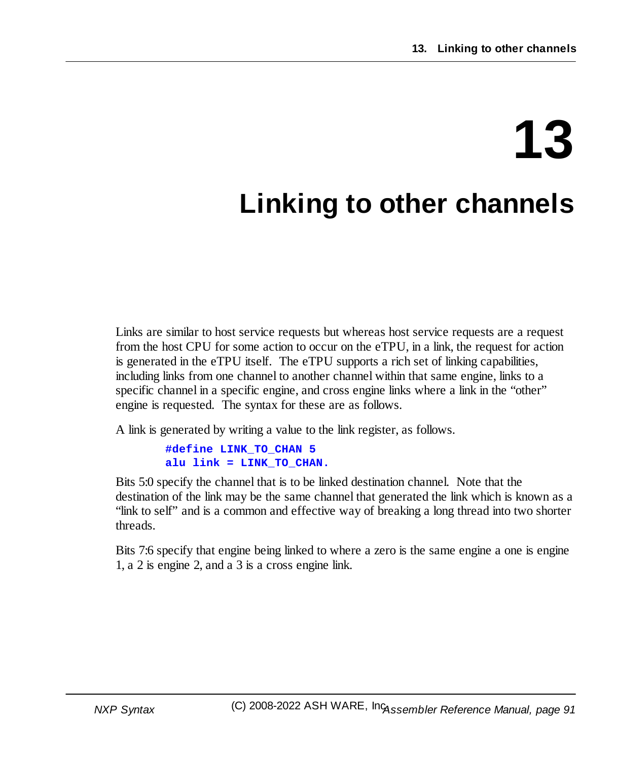# **13**

## **Linking to other channels**

Links are similar to host service requests but whereas host service requests are a request from the host CPU for some action to occur on the eTPU, in a link, the request for action is generated in the eTPU itself. The eTPU supports a rich set of linking capabilities, including links from one channel to another channel within that same engine, links to a specific channel in a specific engine, and cross engine links where a link in the "other" engine is requested. The syntax for these are as follows.

A link is generated by writing a value to the link register, as follows.

**#define LINK\_TO\_CHAN 5 alu link = LINK\_TO\_CHAN.**

Bits 5:0 specify the channel that is to be linked destination channel. Note that the destination of the link may be the same channel that generated the link which is known as a "link to self" and is a common and effective way of breaking a long thread into two shorter threads.

Bits 7:6 specify that engine being linked to where a zero is the same engine a one is engine 1, a 2 is engine 2, and a 3 is a cross engine link.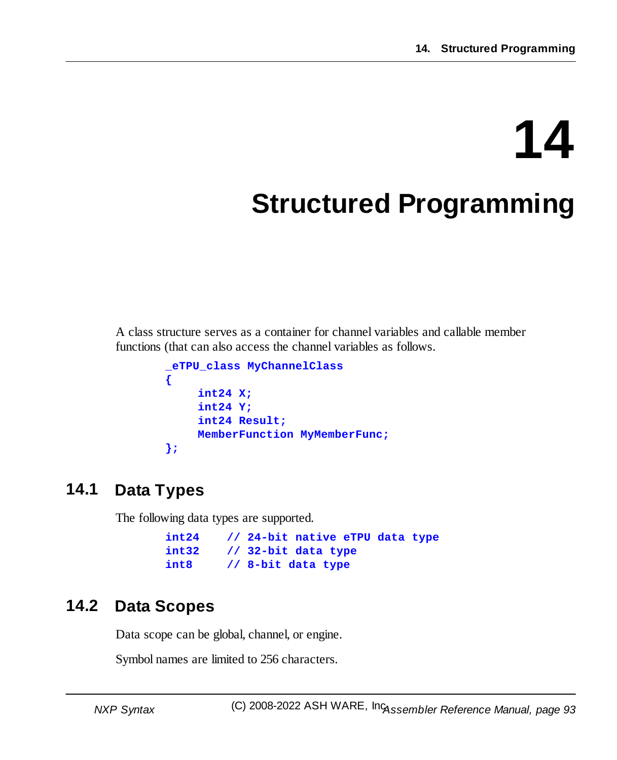# **14**

## **Structured Programming**

A class structure serves as a container for channel variables and callable member functions (that can also access the channel variables as follows.

```
_eTPU_class MyChannelClass
{
    int24 X;
    int24 Y;
    int24 Result;
    MemberFunction MyMemberFunc;
};
```
## **14.1 Data Types**

The following data types are supported.

|       | $int24$ // 24-bit native eTPU data type |
|-------|-----------------------------------------|
| int32 | // 32-bit data type                     |
| int8  | // 8-bit data type                      |

## **14.2 Data Scopes**

Data scope can be global, channel, or engine.

Symbol names are limited to 256 characters.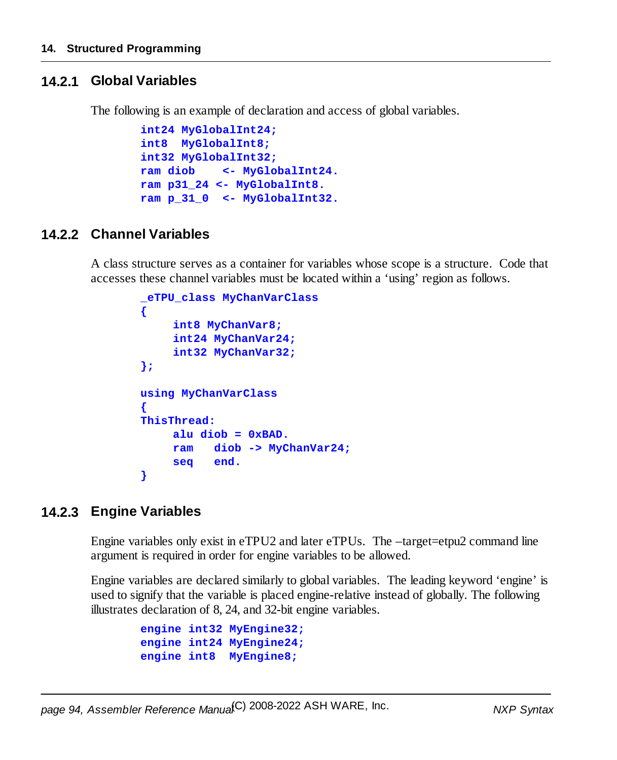### **14.2.1 Global Variables**

The following is an example of declaration and access of global variables.

```
int24 MyGlobalInt24;
int8 MyGlobalInt8;
int32 MyGlobalInt32;
ram diob <- MyGlobalInt24.
ram p31_24 <- MyGlobalInt8.
ram p_31_0 <- MyGlobalInt32.
```
### **14.2.2 Channel Variables**

A class structure serves as a container for variables whose scope is a structure. Code that accesses these channel variables must be located within a 'using' region as follows.

```
_eTPU_class MyChanVarClass
{
     int8 MyChanVar8;
     int24 MyChanVar24;
    int32 MyChanVar32;
};
using MyChanVarClass
{
ThisThread:
    alu diob = 0xBAD.
    ram diob -> MyChanVar24;
    seq end.
}
```
### **14.2.3 Engine Variables**

Engine variables only exist in eTPU2 and later eTPUs. The –target=etpu2 command line argument is required in order for engine variables to be allowed.

Engine variables are declared similarly to global variables. The leading keyword 'engine' is used to signify that the variable is placed engine-relative instead of globally. The following illustrates declaration of 8, 24, and 32-bit engine variables.

```
engine int32 MyEngine32;
engine int24 MyEngine24;
engine int8 MyEngine8;
```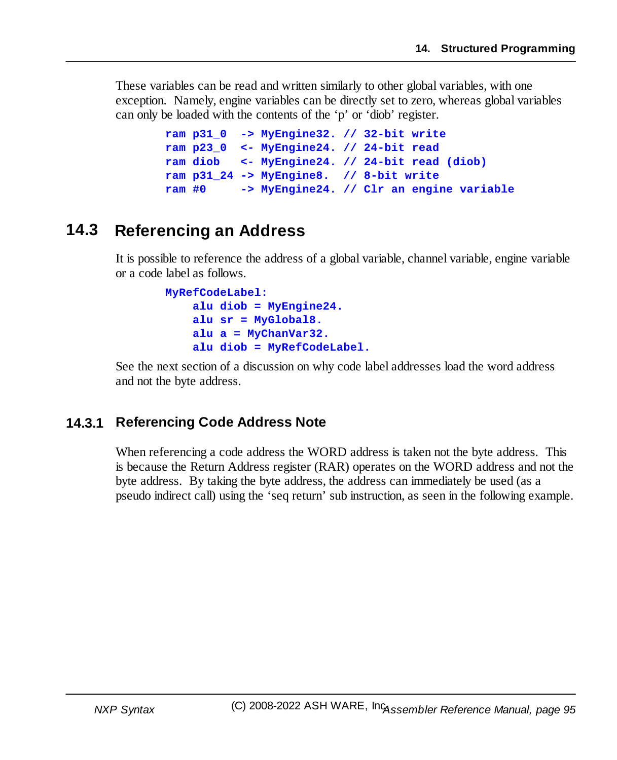These variables can be read and written similarly to other global variables, with one exception. Namely, engine variables can be directly set to zero, whereas global variables can only be loaded with the contents of the 'p' or 'diob' register.

```
ram p31_0 -> MyEngine32. // 32-bit write
ram p23_0 <- MyEngine24. // 24-bit read
ram diob <- MyEngine24. // 24-bit read (diob)
ram p31_24 -> MyEngine8. // 8-bit write
ram #0 -> MyEngine24. // Clr an engine variable
```
## **14.3 Referencing an Address**

It is possible to reference the address of a global variable, channel variable, engine variable or a code label as follows.

```
MyRefCodeLabel:
    alu diob = MyEngine24.
    alu sr = MyGlobal8.
    alu a = MyChanVar32.
    alu diob = MyRefCodeLabel.
```
See the next section of a discussion on why code label addresses load the word address and not the byte address.

### **14.3.1 Referencing Code Address Note**

When referencing a code address the WORD address is taken not the byte address. This is because the Return Address register (RAR) operates on the WORD address and not the byte address. By taking the byte address, the address can immediately be used (as a pseudo indirect call) using the 'seq return' sub instruction, as seen in the following example.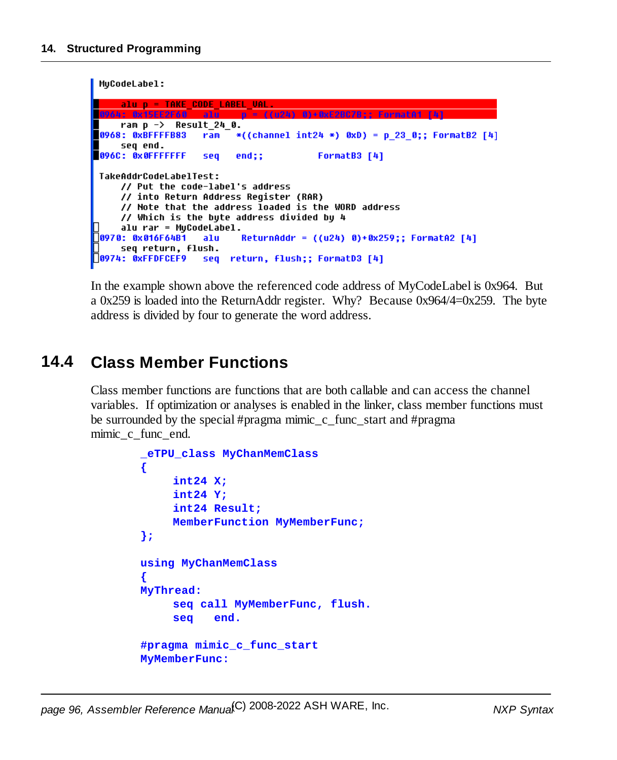```
MuCodeLabel:
     alu p = TAKE CODE LABEL VAL.
    ram p -> Result_24_0.
0968: 0xBFFFFB83
                   ram *((channel int24 *) 0xD) = p 23 0;; FormatB2 [4]
    seq end.
096C: 0x0FFFFFFF
                         end;;
                                        FormatB3 [4]
                   seq
TakeAddrCodeLabelTest:
    // Put the code-label's address
    // into Return Address Register (RAR)
    // Note that the address loaded is the WORD address
    // Which is the byte address divided by 4
     alu rar = MuCodeLabel.
0970: 0x016F64B1
                          ReturnAddr = ((u24) 0)+0x259;; FormatA2 [4]
                   alu
    seq return, flush.
0974: 0xFFDFCEF9 seq return, flush;; FormatD3 [4]
```
In the example shown above the referenced code address of MyCodeLabel is 0x964. But a 0x259 is loaded into the ReturnAddr register. Why? Because 0x964/4=0x259. The byte address is divided by four to generate the word address.

## **14.4 Class Member Functions**

Class member functions are functions that are both callable and can access the channel variables. If optimization or analyses is enabled in the linker, class member functions must be surrounded by the special #pragma mimic c func start and #pragma mimic c func end.

```
_eTPU_class MyChanMemClass
{
     int24 X;
    int24 Y;
    int24 Result;
    MemberFunction MyMemberFunc;
};
using MyChanMemClass
{
MyThread:
     seq call MyMemberFunc, flush.
     seq end.
#pragma mimic_c_func_start
MyMemberFunc:
```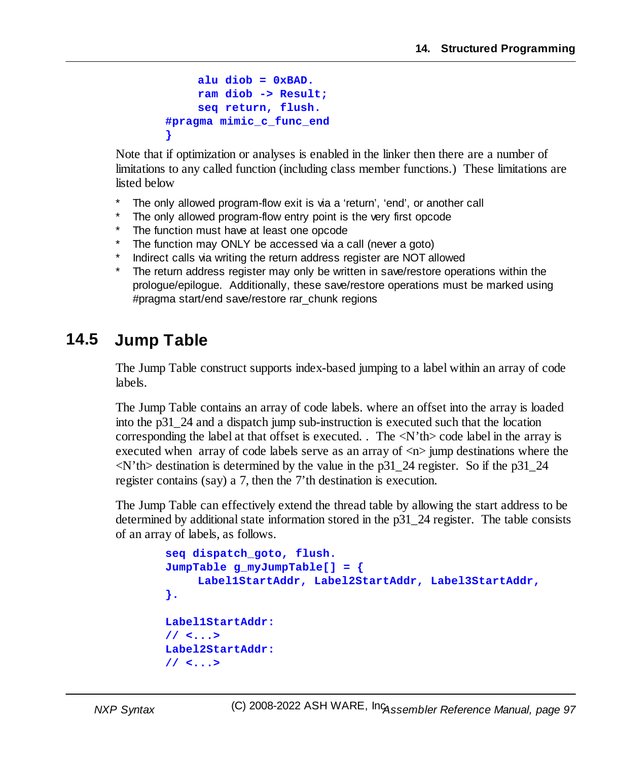```
alu diob = 0xBAD.
    ram diob -> Result;
    seq return, flush.
#pragma mimic_c_func_end
}
```
Note that if optimization or analyses is enabled in the linker then there are a number of limitations to any called function (including class member functions.) These limitations are listed below

- The only allowed program-flow exit is via a 'return', 'end', or another call
- The only allowed program-flow entry point is the very first opcode
- The function must have at least one opcode
- The function may ONLY be accessed via a call (never a goto)
- Indirect calls via writing the return address register are NOT allowed
- The return address register may only be written in save/restore operations within the prologue/epilogue. Additionally, these save/restore operations must be marked using #pragma start/end save/restore rar\_chunk regions

## **14.5 Jump Table**

The Jump Table construct supports index-based jumping to a label within an array of code labels.

The Jump Table contains an array of code labels. where an offset into the array is loaded into the p31\_24 and a dispatch jump sub-instruction is executed such that the location corresponding the label at that offset is executed. . The  $\langle N'$ th $\rangle$  code label in the array is executed when array of code labels serve as an array of  $\langle n \rangle$  jump destinations where the  $\langle N'$ th destination is determined by the value in the p31\_24 register. So if the p31\_24 register contains (say) a 7, then the 7'th destination is execution.

The Jump Table can effectively extend the thread table by allowing the start address to be determined by additional state information stored in the  $p31_224$  register. The table consists of an array of labels, as follows.

```
seq dispatch_goto, flush.
JumpTable g_myJumpTable[] = {
    Label1StartAddr, Label2StartAddr, Label3StartAddr,
}.
Label1StartAddr:
// <...>
Label2StartAddr:
// <...>
```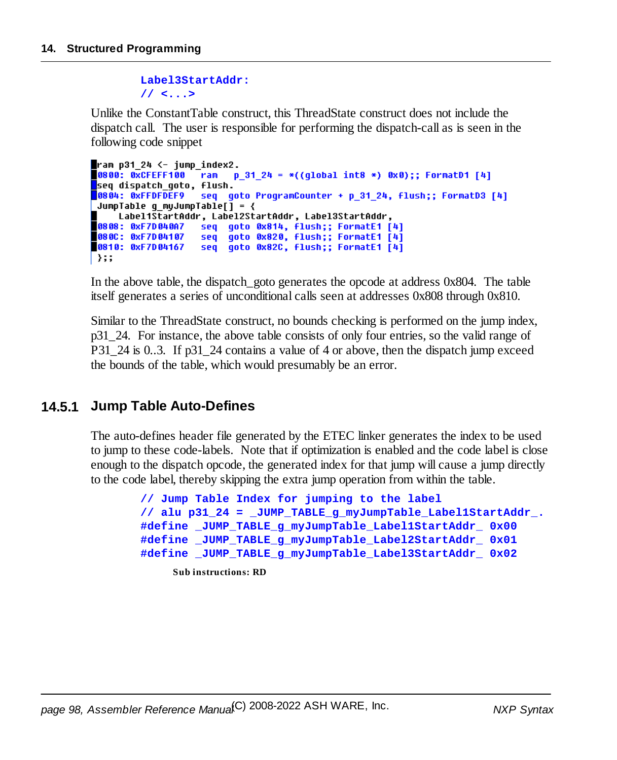#### **Label3StartAddr:**

**// <...>**

Unlike the ConstantTable construct, this ThreadState construct does not include the dispatch call. The user is responsible for performing the dispatch-call as is seen in the following code snippet

```
\blacksquareram p31_24 <- jump_index2.
0800: 0xCFEFF100 ram
                         p 31 24 = *((qlobal int8 *) 0x0);; FormatD1 [4]
seq dispatch goto, flush.
9804: 0xFFDFDEF9seq goto ProgramCounter + p 31 24, flush;; FormatD3 [4]
 JumpTable q myJumpTable[] = {
    Label1StartAddr, Label2StartAddr, Label3StartAddr,
0808: 0xF7D040A7 seq goto 0x814, flush;; FormatE1 [4]
080C: 0xF7D04107
                   seq goto 0x820, flush;; FormatE1 [4]
0810: 0xF7D04167
                   seq goto 0x82C, flush;; FormatE1 [4]
∣ };;
```
In the above table, the dispatch goto generates the opcode at address 0x804. The table itself generates a series of unconditional calls seen at addresses 0x808 through 0x810.

Similar to the ThreadState construct, no bounds checking is performed on the jump index, p31\_24. For instance, the above table consists of only four entries, so the valid range of P31\_24 is 0..3. If p31\_24 contains a value of 4 or above, then the dispatch jump exceed the bounds of the table, which would presumably be an error.

### **14.5.1 Jump Table Auto-Defines**

The auto-defines header file generated by the ETEC linker generates the index to be used to jump to these code-labels. Note that if optimization is enabled and the code label is close enough to the dispatch opcode, the generated index for that jump will cause a jump directly to the code label, thereby skipping the extra jump operation from within the table.

```
// Jump Table Index for jumping to the label
// alu p31_24 = _JUMP_TABLE_g_myJumpTable_Label1StartAddr_.
#define _JUMP_TABLE_g_myJumpTable_Label1StartAddr_ 0x00
#define _JUMP_TABLE_g_myJumpTable_Label2StartAddr_ 0x01
#define _JUMP_TABLE_g_myJumpTable_Label3StartAddr_ 0x02
    Sub instructions: RD
```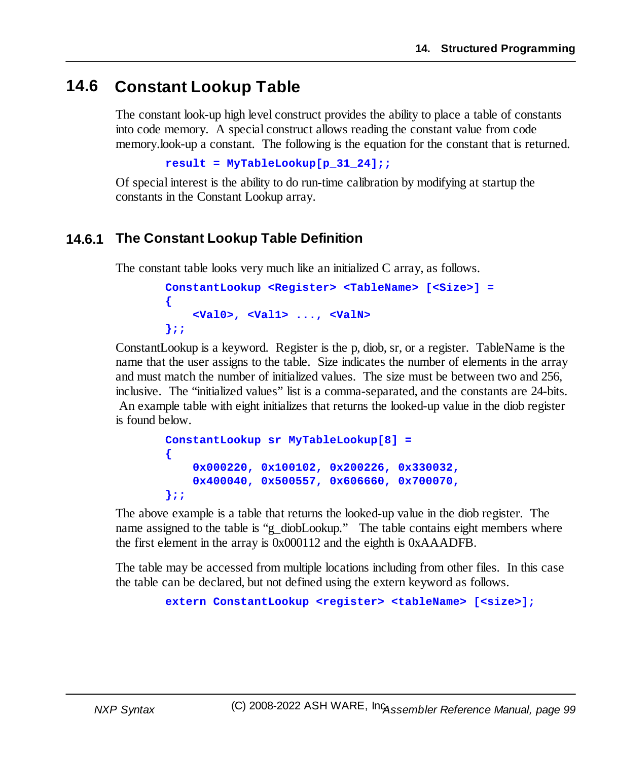## **14.6 Constant Lookup Table**

The constant look-up high level construct provides the ability to place a table of constants into code memory. A special construct allows reading the constant value from code memory.look-up a constant. The following is the equation for the constant that is returned.

```
result = MyTableLookup[p_31_24];;
```
Of special interest is the ability to do run-time calibration by modifying at startup the constants in the Constant Lookup array.

### **14.6.1 The Constant Lookup Table Definition**

The constant table looks very much like an initialized C array, as follows.

```
ConstantLookup <Register> <TableName> [<Size>] =
{
    <Val0>, <Val1> ..., <ValN>
};;
```
ConstantLookup is a keyword. Register is the p, diob, sr, or a register. TableName is the name that the user assigns to the table. Size indicates the number of elements in the array and must match the number of initialized values. The size must be between two and 256, inclusive. The "initialized values" list is a comma-separated, and the constants are 24-bits. An example table with eight initializes that returns the looked-up value in the diob register is found below.

```
ConstantLookup sr MyTableLookup[8] =
{
    0x000220, 0x100102, 0x200226, 0x330032,
    0x400040, 0x500557, 0x606660, 0x700070,
};;
```
The above example is a table that returns the looked-up value in the diob register. The name assigned to the table is "g\_diobLookup." The table contains eight members where the first element in the array is 0x000112 and the eighth is 0xAAADFB.

The table may be accessed from multiple locations including from other files. In this case the table can be declared, but not defined using the extern keyword as follows.

**extern ConstantLookup <register> <tableName> [<size>];**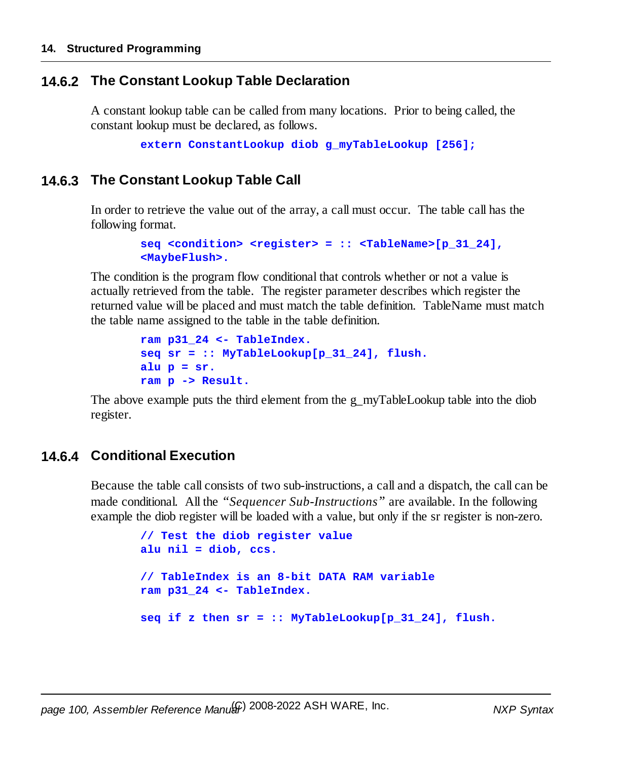### **14.6.2 The Constant Lookup Table Declaration**

A constant lookup table can be called from many locations. Prior to being called, the constant lookup must be declared, as follows.

```
extern ConstantLookup diob g_myTableLookup [256];
```
### **14.6.3 The Constant Lookup Table Call**

In order to retrieve the value out of the array, a call must occur. The table call has the following format.

```
seq <condition> <register> = :: <TableName>[p_31_24],
<MaybeFlush>.
```
The condition is the program flow conditional that controls whether or not a value is actually retrieved from the table. The register parameter describes which register the returned value will be placed and must match the table definition. TableName must match the table name assigned to the table in the table definition.

```
ram p31_24 <- TableIndex.
seq sr = :: MyTableLookup[p_31_24], flush.
alu p = sr.
ram p -> Result.
```
The above example puts the third element from the g\_myTableLookup table into the diob register.

### **14.6.4 Conditional Execution**

Because the table call consists of two sub-instructions, a call and a dispatch, the call can be made conditional. All the *"Sequencer Sub-Instructions"* are available. In the following example the diob register will be loaded with a value, but only if the sr register is non-zero.

```
// Test the diob register value
alu nil = diob, ccs.
// TableIndex is an 8-bit DATA RAM variable
ram p31_24 <- TableIndex.
seq if z then sr = :: MyTableLookup[p_31_24], flush.
```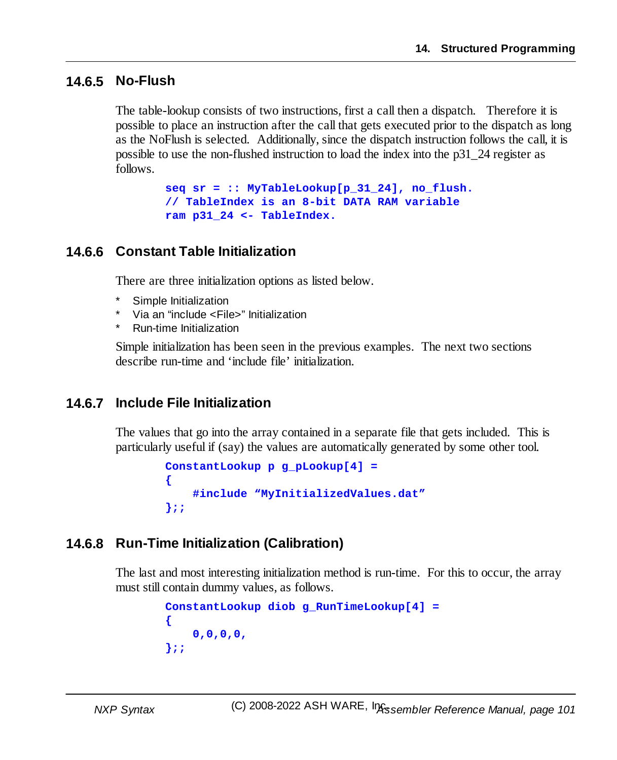### **14.6.5 No-Flush**

The table-lookup consists of two instructions, first a call then a dispatch. Therefore it is possible to place an instruction after the call that gets executed prior to the dispatch as long as the NoFlush is selected. Additionally, since the dispatch instruction follows the call, it is possible to use the non-flushed instruction to load the index into the p31\_24 register as follows.

> **seq sr = :: MyTableLookup[p\_31\_24], no\_flush. // TableIndex is an 8-bit DATA RAM variable ram p31\_24 <- TableIndex.**

### **14.6.6 Constant Table Initialization**

There are three initialization options as listed below.

- Simple Initialization
- \* Via an "include <File>" Initialization
- **Run-time Initialization**

Simple initialization has been seen in the previous examples. The next two sections describe run-time and 'include file' initialization.

### **14.6.7 Include File Initialization**

The values that go into the array contained in a separate file that gets included. This is particularly useful if (say) the values are automatically generated by some other tool.

```
ConstantLookup p g_pLookup[4] =
{
    #include "MyInitializedValues.dat"
};;
```
### **14.6.8 Run-Time Initialization (Calibration)**

The last and most interesting initialization method is run-time. For this to occur, the array must still contain dummy values, as follows.

```
ConstantLookup diob g_RunTimeLookup[4] =
{
    0,0,0,0,
};;
```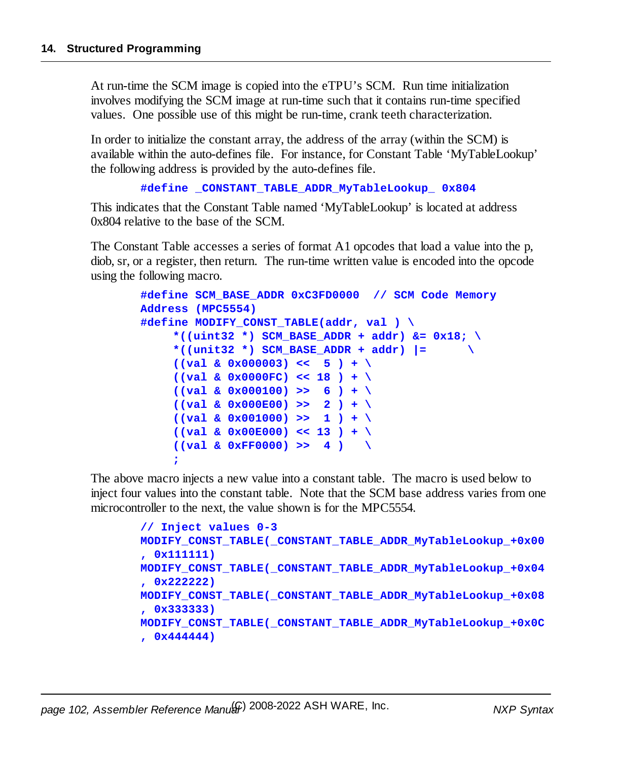At run-time the SCM image is copied into the eTPU's SCM. Run time initialization involves modifying the SCM image at run-time such that it contains run-time specified values. One possible use of this might be run-time, crank teeth characterization.

In order to initialize the constant array, the address of the array (within the SCM) is available within the auto-defines file. For instance, for Constant Table 'MyTableLookup' the following address is provided by the auto-defines file.

```
#define _CONSTANT_TABLE_ADDR_MyTableLookup_ 0x804
```
This indicates that the Constant Table named 'MyTableLookup' is located at address 0x804 relative to the base of the SCM.

The Constant Table accesses a series of format A1 opcodes that load a value into the p, diob, sr, or a register, then return. The run-time written value is encoded into the opcode using the following macro.

```
#define SCM_BASE_ADDR 0xC3FD0000 // SCM Code Memory
Address (MPC5554)
#define MODIFY_CONST_TABLE(addr, val ) \
    *((uint32 *) SCM_BASE_ADDR + addr) &= 0x18; \
    *((unit32 *) SCM_BASE_ADDR + addr) |= \
    ((val & 0x000003) << 5 ) + \
    ((val & 0x0000FC) << 18 ) + \
    ((val & 0x000100) >> 6 ) + \
    ((val & 0x000E00) >> 2 ) + \
    ((val & 0x001000) >> 1 ) + \
    ((val & 0x00E000) << 13 ) + \
    ((val & 0xFF0000) >> 4 ) \
    ;
```
The above macro injects a new value into a constant table. The macro is used below to inject four values into the constant table. Note that the SCM base address varies from one microcontroller to the next, the value shown is for the MPC5554.

```
// Inject values 0-3
MODIFY_CONST_TABLE(_CONSTANT_TABLE_ADDR_MyTableLookup_+0x00
, 0x111111)
MODIFY_CONST_TABLE(_CONSTANT_TABLE_ADDR_MyTableLookup_+0x04
, 0x222222)
MODIFY_CONST_TABLE(_CONSTANT_TABLE_ADDR_MyTableLookup_+0x08
, 0x333333)
MODIFY_CONST_TABLE(_CONSTANT_TABLE_ADDR_MyTableLookup_+0x0C
, 0x444444)
```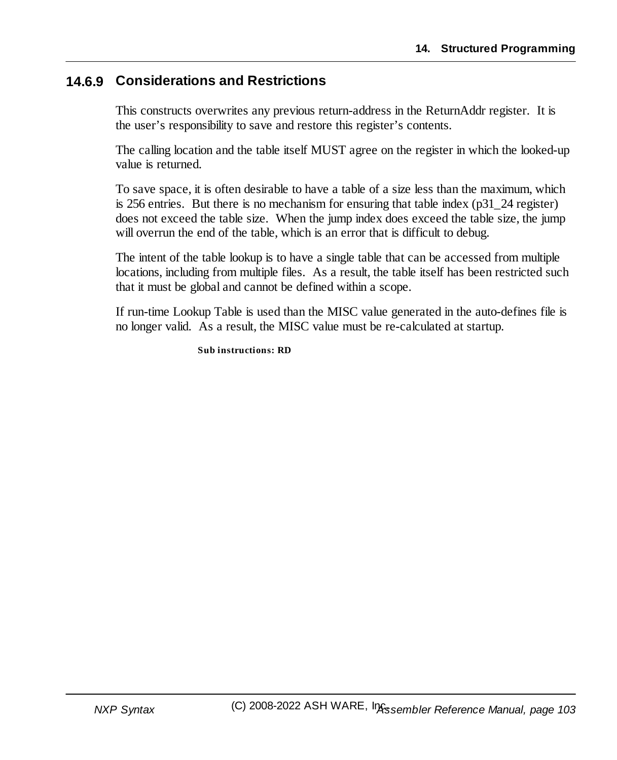### **14.6.9 Considerations and Restrictions**

This constructs overwrites any previous return-address in the ReturnAddr register. It is the user's responsibility to save and restore this register's contents.

The calling location and the table itself MUST agree on the register in which the looked-up value is returned.

To save space, it is often desirable to have a table of a size less than the maximum, which is 256 entries. But there is no mechanism for ensuring that table index ( $p31$  24 register) does not exceed the table size. When the jump index does exceed the table size, the jump will overrun the end of the table, which is an error that is difficult to debug.

The intent of the table lookup is to have a single table that can be accessed from multiple locations, including from multiple files. As a result, the table itself has been restricted such that it must be global and cannot be defined within a scope.

If run-time Lookup Table is used than the MISC value generated in the auto-defines file is no longer valid. As a result, the MISC value must be re-calculated at startup.

**Sub instructions: RD**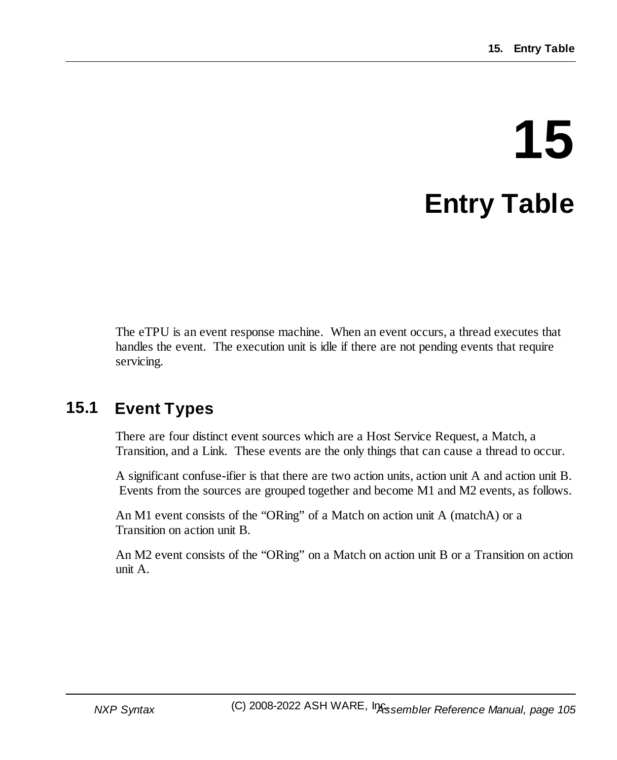# **15 Entry Table**

The eTPU is an event response machine. When an event occurs, a thread executes that handles the event. The execution unit is idle if there are not pending events that require servicing.

## **15.1 Event Types**

There are four distinct event sources which are a Host Service Request, a Match, a Transition, and a Link. These events are the only things that can cause a thread to occur.

A significant confuse-ifier is that there are two action units, action unit A and action unit B. Events from the sources are grouped together and become M1 and M2 events, as follows.

An M1 event consists of the "ORing" of a Match on action unit A (matchA) or a Transition on action unit B.

An M2 event consists of the "ORing" on a Match on action unit B or a Transition on action unit A.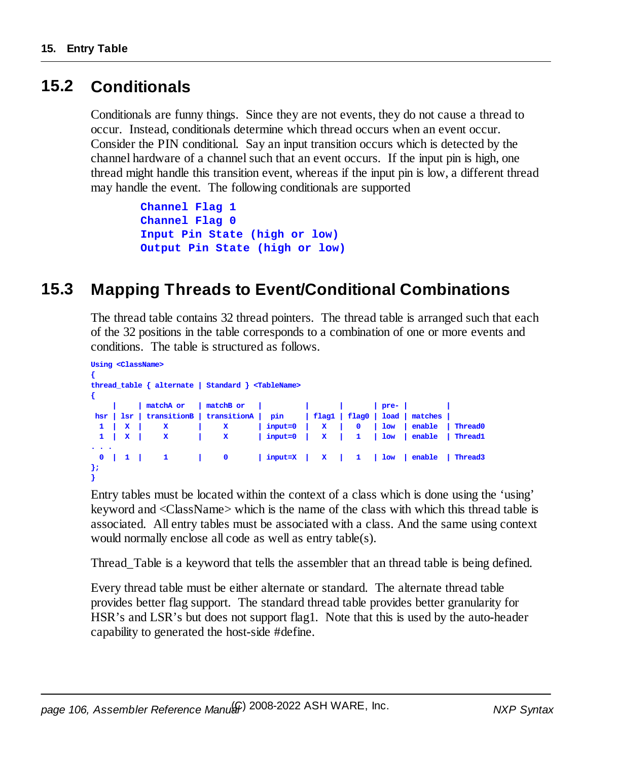## **15.2 Conditionals**

Conditionals are funny things. Since they are not events, they do not cause a thread to occur. Instead, conditionals determine which thread occurs when an event occur. Consider the PIN conditional. Say an input transition occurs which is detected by the channel hardware of a channel such that an event occurs. If the input pin is high, one thread might handle this transition event, whereas if the input pin is low, a different thread may handle the event. The following conditionals are supported

```
Channel Flag 1
Channel Flag 0
Input Pin State (high or low)
Output Pin State (high or low)
```
## **15.3 Mapping Threads to Event/Conditional Combinations**

The thread table contains 32 thread pointers. The thread table is arranged such that each of the 32 positions in the table corresponds to a combination of one or more events and conditions. The table is structured as follows.

```
Using <ClassName>
{
thread_table { alternate | Standard } <TableName>
{
       | | matchA or | matchB or | | | | pre- | |
hsr | lsr | transitionB | transitionA | pin | flag1 | flag0 | load | matches |
 1 | X | X | X | input=0 | X | 0 | low | enable | Thread0
 1 | X | X | X | input=0 | X | 1 | low | enable | Thread1
. . .
 0 | 1 | 1 | 0 | input=X | X | 1 | low | enable | Thread3
};
}
```
Entry tables must be located within the context of a class which is done using the 'using' keyword and <ClassName> which is the name of the class with which this thread table is associated. All entry tables must be associated with a class. And the same using context would normally enclose all code as well as entry table(s).

Thread\_Table is a keyword that tells the assembler that an thread table is being defined.

Every thread table must be either alternate or standard. The alternate thread table provides better flag support. The standard thread table provides better granularity for HSR's and LSR's but does not support flag1. Note that this is used by the auto-header capability to generated the host-side #define.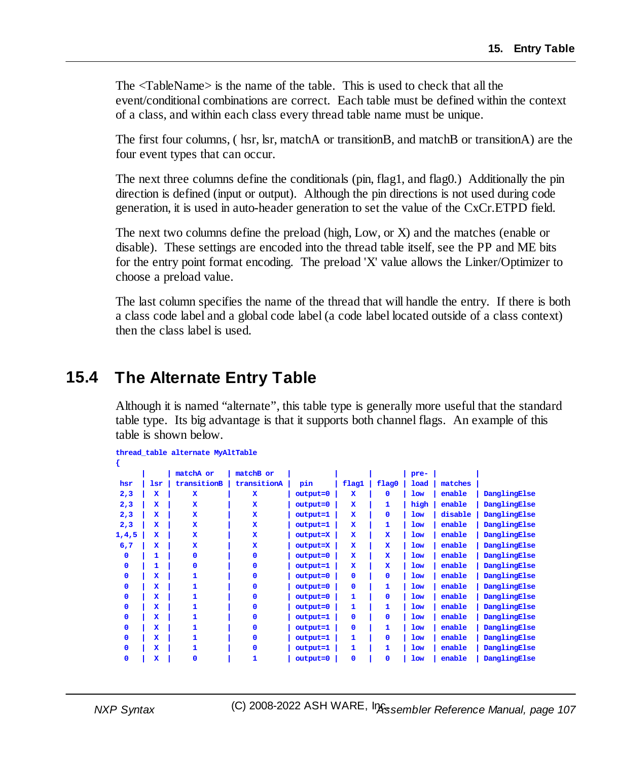The <TableName> is the name of the table. This is used to check that all the event/conditional combinations are correct. Each table must be defined within the context of a class, and within each class every thread table name must be unique.

The first four columns, ( hsr, lsr, matchA or transitionB, and matchB or transitionA) are the four event types that can occur.

The next three columns define the conditionals (pin, flag1, and flag0.) Additionally the pin direction is defined (input or output). Although the pin directions is not used during code generation, it is used in auto-header generation to set the value of the CxCr.ETPD field.

The next two columns define the preload (high, Low, or X) and the matches (enable or disable). These settings are encoded into the thread table itself, see the PP and ME bits for the entry point format encoding. The preload 'X' value allows the Linker/Optimizer to choose a preload value.

The last column specifies the name of the thread that will handle the entry. If there is both a class code label and a global code label (a code label located outside of a class context) then the class label is used.

## **15.4 The Alternate Entry Table**

Although it is named "alternate", this table type is generally more useful that the standard table type. Its big advantage is that it supports both channel flags. An example of this table is shown below.

| thread_table alternate MyAltTable |  |  |  |
|-----------------------------------|--|--|--|
|-----------------------------------|--|--|--|

|              |             | matchA or   | matchB or   |            |              |              | pre- |         |              |
|--------------|-------------|-------------|-------------|------------|--------------|--------------|------|---------|--------------|
| hsr          | lsr         | transitionB | transitionA | pin        | flag1        | flag0        | load | matches |              |
| 2,3          | x           | $\mathbf x$ | $\mathbf x$ | output=0   | $\mathbf x$  | 0            | low  | enable  | DanglingElse |
| 2,3          | $\mathbf x$ | $\mathbf x$ | $\mathbf x$ | output=0   | $\mathbf x$  | 1            | high | enable  | DanglingElse |
| 2,3          | $\mathbf x$ | $\mathbf x$ | $\mathbf x$ | output=1   | $\mathbf x$  | 0            | low  | disable | DanglingElse |
| 2,3          | $\mathbf x$ | $\mathbf x$ | $\mathbf x$ | output=1   | $\mathbf x$  | 1            | low  | enable  | DanglingElse |
| 1, 4, 5      | x           | $\mathbf x$ | $\mathbf x$ | output=X   | $\mathbf x$  | $\mathbf x$  | low  | enable  | DanglingElse |
| 6,7          | $\mathbf x$ | $\mathbf x$ | $\mathbf x$ | output=X   | $\mathbf x$  | $\mathbf x$  | low  | enable  | DanglingElse |
| 0            | 1           | O           | $\mathbf 0$ | output=0   | $\mathbf x$  | $\mathbf x$  | low  | enable  | DanglingElse |
| 0            | 1           | O           | $\mathbf 0$ | output=1   | $\mathbf x$  | $\mathbf x$  | low  | enable  | DanglingElse |
| $\mathbf{0}$ | $\mathbf x$ | 1           | $\Omega$    | output=0   | $\mathbf{0}$ | $\mathbf{O}$ | low  | enable  | DanglingElse |
| $\mathbf{0}$ | $\mathbf x$ | 1           | $\Omega$    | $output=0$ | $\mathbf{0}$ | 1            | low  | enable  | DanglingElse |
| $\mathbf{0}$ | $\mathbf x$ | 1           | $\Omega$    | output=0   | 1            | $\mathbf{O}$ | low  | enable  | DanglingElse |
| 0            | $\mathbf x$ | 1           | $\mathbf 0$ | output=0   | 1            | 1            | low  | enable  | DanglingElse |
| 0            | x           | 1           | $\Omega$    | output=1   | $\mathbf{0}$ | $\mathbf{O}$ | low  | enable  | DanglingElse |
| 0            | x           | 1           | $\Omega$    | output=1   | $\mathbf{0}$ | 1            | low  | enable  | DanglingElse |
| 0            | $\mathbf x$ | 1           | $\mathbf 0$ | output=1   | 1            | 0            | low  | enable  | DanglingElse |
| 0            | $\mathbf x$ | 1           | $\Omega$    | output=1   | 1            | 1            | low  | enable  | DanglingElse |
| $\mathbf{O}$ | x           | O           |             | output=0   | $\mathbf 0$  | $\mathbf{0}$ | low  | enable  | DanglingElse |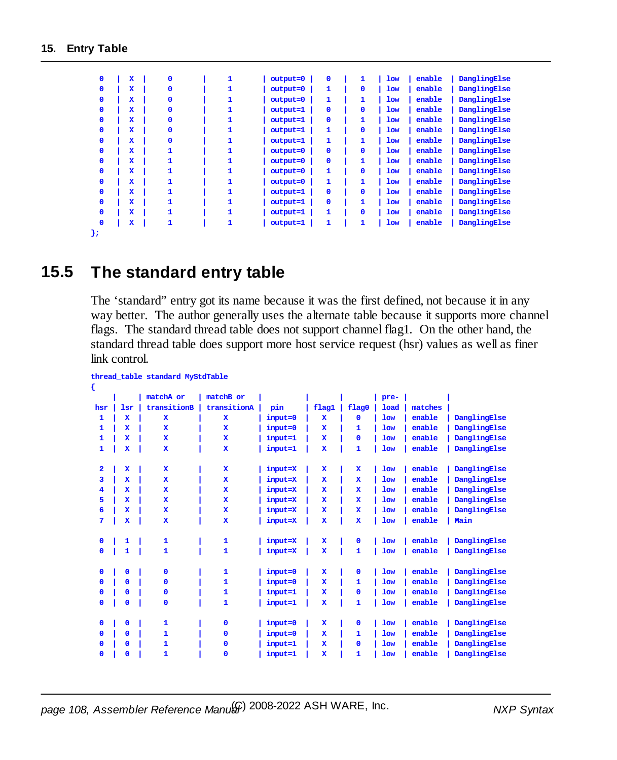| $\Omega$ | $\mathbf x$             | $\mathbf{0}$ | 1 | output=0   | $\mathbf{0}$ | 1            | low        | enable | DanglingElse |
|----------|-------------------------|--------------|---|------------|--------------|--------------|------------|--------|--------------|
| $\Omega$ | $\mathbf x$             | $\mathbf{0}$ |   | $output=0$ | 1            | $\mathbf{O}$ | low        | enable | DanglingElse |
| $\Omega$ | $\mathbf x$             | 0            |   | output=0   | 1            | 1            | low        | enable | DanglingElse |
| $\Omega$ | $\mathbf x$             | O            |   | output=1   | $\mathbf{0}$ | $\mathbf{O}$ | low        | enable | DanglingElse |
| $\Omega$ | $\mathbf x$             | $\mathbf{O}$ |   | $output=1$ | $\mathbf{0}$ | 1            | <b>low</b> | enable | DanglingElse |
| $\Omega$ | $\mathbf x$             | 0            | 1 | $output=1$ | 1            | $\mathbf{O}$ | <b>low</b> | enable | DanglingElse |
| $\Omega$ | $\mathbf x$             | 0            |   | output=1   | 1            | 1            | low        | enable | DanglingElse |
| $\Omega$ | $\mathbf x$             | 1            |   | output=0   | $\mathbf{0}$ | $\mathbf{O}$ | <b>low</b> | enable | DanglingElse |
| $\Omega$ | $\mathbf x$             | 1            |   | $output=0$ | $\mathbf{0}$ | 1            | low        | enable | DanglingElse |
| $\Omega$ | $\mathbf x$             | 1            | 1 | $output=0$ | 1            | $\mathbf{O}$ | <b>low</b> | enable | DanglingElse |
| $\Omega$ | $\mathbf x$             | 1            | 1 | output=0   | 1            | 1            | low        | enable | DanglingElse |
| $\Omega$ | $\mathbf x$             | 1            |   | $output=1$ | $\mathbf{0}$ | $\mathbf{O}$ | <b>low</b> | enable | DanglingElse |
| $\Omega$ | $\mathbf x$             | 1            |   | $output=1$ | $\Omega$     | 1            | low        | enable | DanglingElse |
| $\Omega$ | $\mathbf x$             | 1            | 1 | output=1   | 1            | $\mathbf{0}$ | <b>low</b> | enable | DanglingElse |
| $\Omega$ | $\overline{\mathbf{x}}$ | 1            | 1 | output=1   | 1            | 1            | <b>low</b> | enable | DanglingElse |
| };       |                         |              |   |            |              |              |            |        |              |

## **15.5 The standard entry table**

The 'standard" entry got its name because it was the first defined, not because it in any way better. The author generally uses the alternate table because it supports more channel flags. The standard thread table does not support channel flag1. On the other hand, the standard thread table does support more host service request (hsr) values as well as finer link control.

| €                       |             | thread_table standard MyStdTable |              |         |              |              |             |         |              |
|-------------------------|-------------|----------------------------------|--------------|---------|--------------|--------------|-------------|---------|--------------|
|                         |             | matchA or                        | matchB or    |         |              |              | pre-        |         |              |
| hsr                     | lsr         | transitionB                      | transitionA  | pin     | flag1        | flag0        | <b>load</b> | matches |              |
| 1                       | $\mathbf x$ | $\mathbf x$                      | $\mathbf x$  | input=0 | $\mathbf x$  | ٥            | <b>low</b>  | enable  | DanglingElse |
| 1                       | $\mathbf x$ | $\mathbf x$                      | $\mathbf x$  | input=0 | $\mathbf x$  | 1            | <b>low</b>  | enable  | DanglingElse |
| 1                       | $\mathbf x$ | $\mathbf{x}$                     | $\mathbf x$  | input=1 | $\mathbf x$  | 0            | <b>low</b>  | enable  | DanglingElse |
| 1                       | $\mathbf x$ | $\mathbf x$                      | $\mathbf x$  | input=1 | x            | 1            | <b>low</b>  | enable  | DanglingElse |
| $\overline{\mathbf{2}}$ | $\mathbf x$ | $\mathbf{x}$                     | $\mathbf x$  | input=X | $\mathbf{x}$ | $\mathbf{x}$ | <b>low</b>  | enable  | DanglingElse |
| 3                       | $\mathbf x$ | $\mathbf{x}$                     | $\mathbf x$  | input=X | $\mathbf x$  | $\mathbf x$  | <b>low</b>  | enable  | DanglingElse |
| 4                       | $\mathbf x$ | $\mathbf x$                      | $\mathbf x$  | input=X | $\mathbf x$  | $\mathbf x$  | <b>low</b>  | enable  | DanglingElse |
| 5                       | $\mathbf x$ | $\mathbf{x}$                     | $\mathbf x$  | input=X | $\mathbf x$  | $\mathbf x$  | <b>low</b>  | enable  | DanglingElse |
| 6                       | $\mathbf x$ | $\mathbf x$                      | $\mathbf x$  | input=X | $\mathbf x$  | $\mathbf x$  | <b>low</b>  | enable  | DanglingElse |
| 7                       | $\mathbf x$ | $\mathbf x$                      | $\mathbf x$  | input=X | $\mathbf x$  | $\mathbf x$  | <b>low</b>  | enable  | Main         |
| 0                       | 1           | 1                                | 1            | input=X | $\mathbf x$  | $\mathbf 0$  | <b>low</b>  | enable  | DanglingElse |
| $\mathbf{O}$            | 1           | $\mathbf{1}$                     | 1            | input=X | $\mathbf x$  | $\mathbf{1}$ | <b>low</b>  | enable  | DanglingElse |
| $\mathbf{O}$            | $\mathbf 0$ | $\Omega$                         | 1            | input=0 | $\mathbf x$  | $\mathbf{0}$ | <b>low</b>  | enable  | DanglingElse |
| 0                       | $\mathbf 0$ | $\Omega$                         | 1            | input=0 | $\mathbf x$  | 1            | <b>low</b>  | enable  | DanglingElse |
| 0                       | $\mathbf 0$ | $\mathbf 0$                      | 1            | input=1 | $\mathbf x$  | 0            | <b>low</b>  | enable  | DanglingElse |
| $\mathbf{O}$            | $\mathbf 0$ | $\Omega$                         | 1            | input=1 | $\mathbf x$  | 1            | <b>low</b>  | enable  | DanglingElse |
| 0                       | $\mathbf 0$ | $\mathbf{1}$                     | 0            | input=0 | $\mathbf x$  | $\mathbf 0$  | <b>low</b>  | enable  | DanglingElse |
| $\mathbf{0}$            | $\Omega$    | 1                                | 0            | input=0 | $\mathbf x$  | 1            | <b>low</b>  | enable  | DanglingElse |
| $\mathbf{0}$            | $\mathbf 0$ | 1                                | $\mathbf{0}$ | input=1 | $\mathbf x$  | $\mathbf{0}$ | <b>low</b>  | enable  | DanglingElse |
| $\mathbf{O}$            | $\mathbf 0$ | 1                                | 0            | input=1 | $\mathbf x$  | 1            | <b>low</b>  | enable  | DanglingElse |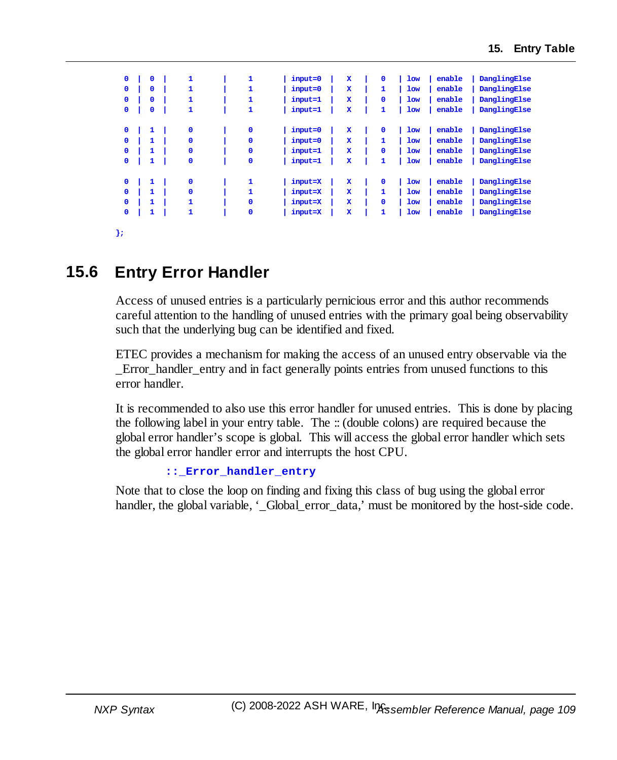| $\mathbf{0}$ | $\mathbf 0$  | 1            | 1            | input=0 | $\mathbf x$ | $\mathbf 0$ | <b>low</b> | enable | DanglingElse |
|--------------|--------------|--------------|--------------|---------|-------------|-------------|------------|--------|--------------|
| $\mathbf{0}$ | $\mathbf{0}$ | 1            | 1            | input=0 | $\mathbf x$ | 1           | <b>low</b> | enable | DanglingElse |
| $\mathbf{0}$ | $\mathbf{0}$ | 1            | 1            | input=1 | $\mathbf x$ | $\mathbf 0$ | <b>low</b> | enable | DanglingElse |
| $\mathbf{0}$ | 0            | 1            | 1            | input=1 | $\mathbf x$ | 1           | <b>low</b> | enable | DanglingElse |
|              |              |              |              |         |             |             |            |        |              |
| $\mathbf 0$  | 1            | $\mathbf 0$  | $\mathbf 0$  | input=0 | $\mathbf x$ | $\mathbf 0$ | <b>low</b> | enable | DanglingElse |
| $\mathbf{0}$ | 1            | $\mathbf{0}$ | $\mathbf{0}$ | input=0 | $\mathbf x$ | 1           | <b>low</b> | enable | DanglingElse |
| $\mathbf{0}$ | 1            | $\mathbf 0$  | $\mathbf 0$  | input=1 | $\mathbf x$ | $\mathbf 0$ | <b>low</b> | enable | DanglingElse |
| $\mathbf 0$  | 1            | $\mathbf 0$  | $\mathbf 0$  | input=1 | x           | 1           | <b>low</b> | enable | DanglingElse |
|              |              |              |              |         |             |             |            |        |              |
| $\mathbf 0$  | 1            | $\mathbf 0$  | 1            | input=X | $\mathbf x$ | $\mathbf 0$ | <b>low</b> | enable | DanglingElse |
| $\mathbf{0}$ | 1            | $\mathbf{0}$ | 1            | input=X | $\mathbf x$ | 1           | <b>low</b> | enable | DanglingElse |
| $\mathbf{0}$ | 1            | 1            | $\mathbf 0$  | input=X | $\mathbf x$ | $\Omega$    | <b>low</b> | enable | DanglingElse |
| $\mathbf 0$  | 1            | 1            | $\mathbf 0$  | input=X | $\mathbf x$ | 1           | <b>low</b> | enable | DanglingElse |
|              |              |              |              |         |             |             |            |        |              |
|              |              |              |              |         |             |             |            |        |              |

**};**

## **15.6 Entry Error Handler**

Access of unused entries is a particularly pernicious error and this author recommends careful attention to the handling of unused entries with the primary goal being observability such that the underlying bug can be identified and fixed.

ETEC provides a mechanism for making the access of an unused entry observable via the \_Error\_handler\_entry and in fact generally points entries from unused functions to this error handler.

It is recommended to also use this error handler for unused entries. This is done by placing the following label in your entry table. The :: (double colons) are required because the global error handler's scope is global. This will access the global error handler which sets the global error handler error and interrupts the host CPU.

```
::_Error_handler_entry
```
Note that to close the loop on finding and fixing this class of bug using the global error handler, the global variable, '\_Global\_error\_data,' must be monitored by the host-side code.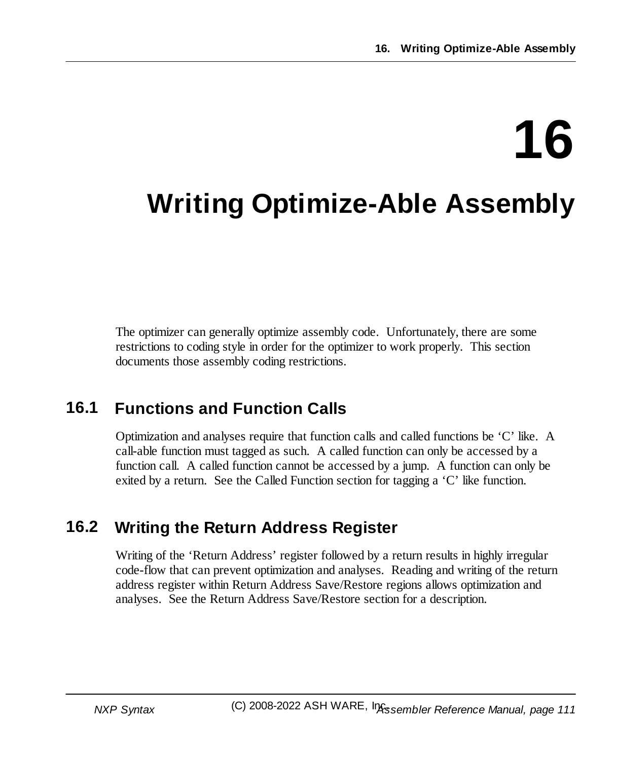# **16**

# **Writing Optimize-Able Assembly**

The optimizer can generally optimize assembly code. Unfortunately, there are some restrictions to coding style in order for the optimizer to work properly. This section documents those assembly coding restrictions.

# **16.1 Functions and Function Calls**

Optimization and analyses require that function calls and called functions be 'C' like. A call-able function must tagged as such. A called function can only be accessed by a function call. A called function cannot be accessed by a jump. A function can only be exited by a return. See the Called Function section for tagging a 'C' like function.

## **16.2 Writing the Return Address Register**

Writing of the 'Return Address' register followed by a return results in highly irregular code-flow that can prevent optimization and analyses. Reading and writing of the return address register within Return Address Save/Restore regions allows optimization and analyses. See the Return Address Save/Restore section for a description.